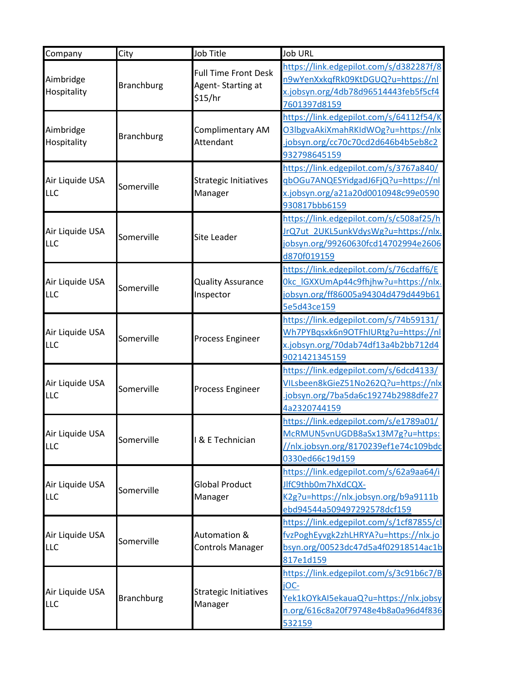| Company                       | City              | Job Title                               | <b>Job URL</b>                           |
|-------------------------------|-------------------|-----------------------------------------|------------------------------------------|
|                               | <b>Branchburg</b> | <b>Full Time Front Desk</b>             | https://link.edgepilot.com/s/d382287f/8  |
| Aimbridge<br>Hospitality      |                   | Agent-Starting at                       | n9wYenXxkqfRk09KtDGUQ?u=https://nl       |
|                               |                   | \$15/hr                                 | x.jobsyn.org/4db78d96514443feb5f5cf4     |
|                               |                   |                                         | 7601397d8159                             |
|                               |                   |                                         | https://link.edgepilot.com/s/64112f54/K  |
| Aimbridge                     | <b>Branchburg</b> | Complimentary AM                        | O3lbgvaAkiXmahRKIdWOg?u=https://nlx      |
| Hospitality                   |                   | Attendant                               | .jobsyn.org/cc70c70cd2d646b4b5eb8c2      |
|                               |                   |                                         | 932798645159                             |
|                               |                   |                                         | https://link.edgepilot.com/s/3767a840/   |
| Air Liquide USA               | Somerville        | <b>Strategic Initiatives</b>            | qbOGu7ANQESYidgadJ6FjQ?u=https://nl      |
| <b>LLC</b>                    |                   | Manager                                 | x.jobsyn.org/a21a20d0010948c99e0590      |
|                               |                   |                                         | 930817bbb6159                            |
|                               |                   |                                         | https://link.edgepilot.com/s/c508af25/h  |
| Air Liquide USA               | Somerville        | <b>Site Leader</b>                      | IrQ7ut 2UKL5unkVdysWg?u=https://nlx.     |
| <b>LLC</b>                    |                   |                                         | jobsyn.org/99260630fcd14702994e2606      |
|                               |                   |                                         | d870f019159                              |
|                               |                   |                                         | https://link.edgepilot.com/s/76cdaff6/E  |
| Air Liquide USA               | Somerville        | <b>Quality Assurance</b>                | Okc IGXXUmAp44c9fhjhw?u=https://nlx.     |
| <b>LLC</b>                    |                   | Inspector                               | jobsyn.org/ff86005a94304d479d449b61      |
|                               |                   |                                         | 5e5d43ce159                              |
|                               | Somerville        | <b>Process Engineer</b>                 | https://link.edgepilot.com/s/74b59131/   |
| Air Liquide USA               |                   |                                         | Wh7PYBqsxk6n9OTFhIURtg?u=https://nl      |
| <b>LLC</b>                    |                   |                                         | x.jobsyn.org/70dab74df13a4b2bb712d4      |
|                               |                   |                                         | 9021421345159                            |
|                               | Somerville        |                                         | https://link.edgepilot.com/s/6dcd4133/   |
| Air Liquide USA               |                   |                                         | VILsbeen8kGieZ51No262Q?u=https://nlx     |
| <b>LLC</b>                    |                   | <b>Process Engineer</b>                 | jobsyn.org/7ba5da6c19274b2988dfe27       |
|                               |                   |                                         | 4a2320744159                             |
|                               |                   |                                         | https://link.edgepilot.com/s/e1789a01/   |
| Air Liquide USA               | Somerville        | & E Technician                          | McRMUN5vnUGDB8aSx13M7g?u=https:          |
| LLC                           |                   |                                         | //nlx.jobsyn.org/8170239ef1e74c109bdc    |
|                               |                   |                                         | 0330ed66c19d159                          |
|                               |                   |                                         | https://link.edgepilot.com/s/62a9aa64/i  |
| Air Liquide USA               | Somerville        | <b>Global Product</b>                   | JlfC9thb0m7hXdCQX-                       |
| <b>LLC</b>                    |                   | Manager                                 | K2g?u=https://nlx.jobsyn.org/b9a9111b    |
|                               |                   |                                         | ebd94544a509497292578dcf159              |
|                               |                   |                                         | https://link.edgepilot.com/s/1cf87855/cl |
| Air Liquide USA               |                   | Automation &                            | fvzPoghEyvgk2zhLHRYA?u=https://nlx.jo    |
| <b>LLC</b>                    | Somerville        | <b>Controls Manager</b>                 | bsyn.org/00523dc47d5a4f02918514ac1b      |
|                               |                   |                                         | 817e1d159                                |
|                               |                   |                                         | https://link.edgepilot.com/s/3c91b6c7/B  |
|                               |                   |                                         | iOC-                                     |
| Air Liquide USA<br><b>LLC</b> | <b>Branchburg</b> | <b>Strategic Initiatives</b><br>Manager | Yek1kOYkAI5ekauaQ?u=https://nlx.jobsy    |
|                               |                   |                                         | n.org/616c8a20f79748e4b8a0a96d4f836      |
|                               |                   |                                         | 532159                                   |
|                               |                   |                                         |                                          |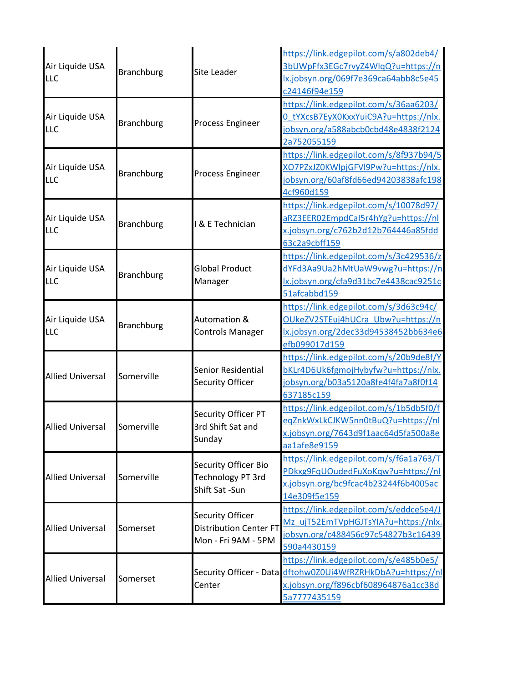| Air Liquide USA<br>LLC        | <b>Branchburg</b> | <b>Site Leader</b>                                                              | https://link.edgepilot.com/s/a802deb4/<br>3bUWpFfx3EGc7rvyZ4WlqQ?u=https://n<br>lx.jobsyn.org/069f7e369ca64abb8c5e45<br>c24146f94e159                         |
|-------------------------------|-------------------|---------------------------------------------------------------------------------|---------------------------------------------------------------------------------------------------------------------------------------------------------------|
| Air Liquide USA<br>LLC        | <b>Branchburg</b> | <b>Process Engineer</b>                                                         | https://link.edgepilot.com/s/36aa6203/<br>0_tYXcsB7EyX0KxxYuiC9A?u=https://nlx.<br>jobsyn.org/a588abcb0cbd48e4838f2124<br>2a752055159                         |
| Air Liquide USA<br><b>LLC</b> | <b>Branchburg</b> | <b>Process Engineer</b>                                                         | https://link.edgepilot.com/s/8f937b94/5<br>XO7PZxJZ0KWlpjGFVl9Pw?u=https://nlx.<br>jobsyn.org/60af8fd66ed94203838afc198<br>4cf960d159                         |
| Air Liquide USA<br><b>LLC</b> | <b>Branchburg</b> | & E Technician                                                                  | https://link.edgepilot.com/s/10078d97/<br>aRZ3EER02EmpdCaI5r4hYg?u=https://nl<br>x.jobsyn.org/c762b2d12b764446a85fdd<br>63c2a9cbff159                         |
| Air Liquide USA<br>LLC        | <b>Branchburg</b> | <b>Global Product</b><br>Manager                                                | https://link.edgepilot.com/s/3c429536/z<br>dYFd3Aa9Ua2hMtUaW9vwg?u=https://n<br>lx.jobsyn.org/cfa9d31bc7e4438cac9251c<br>51afcabbd159                         |
| Air Liquide USA<br>LLC        | <b>Branchburg</b> | Automation &<br><b>Controls Manager</b>                                         | https://link.edgepilot.com/s/3d63c94c/<br>OUkeZV2STEuj4hUCra Ubw?u=https://n<br>lx.jobsyn.org/2dec33d94538452bb634e6<br>efb099017d159                         |
| <b>Allied Universal</b>       | Somerville        | <b>Senior Residential</b><br>Security Officer                                   | https://link.edgepilot.com/s/20b9de8f/Y<br>bKLr4D6Uk6fgmojHybyfw?u=https://nlx.<br>jobsyn.org/b03a5120a8fe4f4fa7a8f0f14<br>637185c159                         |
| <b>Allied Universal</b>       | Somerville        | Security Officer PT<br>3rd Shift Sat and<br>Sunday                              | https://link.edgepilot.com/s/1b5db5f0/f<br>eqZnkWxLkCJKW5nn0tBuQ?u=https://nl<br>x.jobsyn.org/7643d9f1aac64d5fa500a8e<br>aa1afe8e9159                         |
| <b>Allied Universal</b>       | Somerville        | Security Officer Bio<br>Technology PT 3rd<br>Shift Sat -Sun                     | https://link.edgepilot.com/s/f6a1a763/T<br>PDkxg9FqUOudedFuXoKqw?u=https://nl<br>x.jobsyn.org/bc9fcac4b23244f6b4005ac<br>14e309f5e159                         |
| <b>Allied Universal</b>       | Somerset          | <b>Security Officer</b><br><b>Distribution Center FT</b><br>Mon - Fri 9AM - 5PM | https://link.edgepilot.com/s/eddce5e4/J<br>Mz_ujT52EmTVpHGJTsYIA?u=https://nlx.<br>jobsyn.org/c488456c97c54827b3c16439<br>590a4430159                         |
| <b>Allied Universal</b>       | Somerset          | Center                                                                          | https://link.edgepilot.com/s/e485b0e5/<br>Security Officer - Data dftohw0Z0Ui4WfRZRHkDbA?u=https://nl<br>x.jobsyn.org/f896cbf608964876a1cc38d<br>5a7777435159 |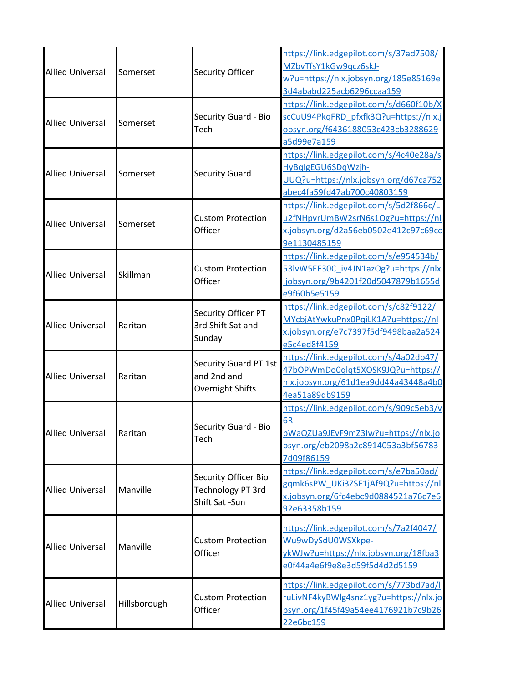| <b>Allied Universal</b> | Somerset     | Security Officer                                            | https://link.edgepilot.com/s/37ad7508/<br>MZbvTfsY1kGw9qcz6skJ-<br>w?u=https://nlx.jobsyn.org/185e85169e<br>3d4ababd225acb6296ccaa159     |
|-------------------------|--------------|-------------------------------------------------------------|-------------------------------------------------------------------------------------------------------------------------------------------|
| <b>Allied Universal</b> | Somerset     | Security Guard - Bio<br>Tech                                | https://link.edgepilot.com/s/d660f10b/X<br>scCuU94PkqFRD_pfxfk3Q?u=https://nlx.j<br>obsyn.org/f6436188053c423cb3288629<br>a5d99e7a159     |
| <b>Allied Universal</b> | Somerset     | <b>Security Guard</b>                                       | https://link.edgepilot.com/s/4c40e28a/s<br>HyBqlgEGU6SDqWzjh-<br>UUQ?u=https://nlx.jobsyn.org/d67ca752<br>abec4fa59fd47ab700c40803159     |
| <b>Allied Universal</b> | Somerset     | <b>Custom Protection</b><br>Officer                         | https://link.edgepilot.com/s/5d2f866c/L<br>u2fNHpvrUmBW2srN6s1Og?u=https://nl<br>x.jobsyn.org/d2a56eb0502e412c97c69cc<br>9e1130485159     |
| <b>Allied Universal</b> | Skillman     | <b>Custom Protection</b><br>Officer                         | https://link.edgepilot.com/s/e954534b/<br>53lvW5EF30C iv4JN1azOg?u=https://nlx<br>jobsyn.org/9b4201f20d5047879b1655d<br>e9f60b5e5159      |
| <b>Allied Universal</b> | Raritan      | Security Officer PT<br>3rd Shift Sat and<br>Sunday          | https://link.edgepilot.com/s/c82f9122/<br>MYcbjAtYwkuPnx0PqiLK1A?u=https://nl<br>x.jobsyn.org/e7c7397f5df9498baa2a524<br>e5c4ed8f4159     |
| <b>Allied Universal</b> | Raritan      | Security Guard PT 1st<br>and 2nd and<br>Overnight Shifts    | https://link.edgepilot.com/s/4a02db47/<br>47bOPWmDo0qlqt5XOSK9JQ?u=https://<br>nlx.jobsyn.org/61d1ea9dd44a43448a4b0<br>4ea51a89db9159     |
| <b>Allied Universal</b> | Raritan      | Security Guard - Bio<br>Tech                                | https://link.edgepilot.com/s/909c5eb3/v<br>6R-<br>bWaQZUa9JEvF9mZ3Iw?u=https://nlx.jo<br>bsyn.org/eb2098a2c8914053a3bf56783<br>7d09f86159 |
| <b>Allied Universal</b> | Manville     | Security Officer Bio<br>Technology PT 3rd<br>Shift Sat -Sun | https://link.edgepilot.com/s/e7ba50ad/<br>gqmk6sPW_UKi3ZSE1jAf9Q?u=https://nl<br>x.jobsyn.org/6fc4ebc9d0884521a76c7e6<br>92e63358b159     |
| <b>Allied Universal</b> | Manville     | <b>Custom Protection</b><br>Officer                         | https://link.edgepilot.com/s/7a2f4047/<br>Wu9wDySdU0WSXkpe-<br>ykWJw?u=https://nlx.jobsyn.org/18fba3<br>e0f44a4e6f9e8e3d59f5d4d2d5159     |
| <b>Allied Universal</b> | Hillsborough | <b>Custom Protection</b><br>Officer                         | https://link.edgepilot.com/s/773bd7ad/l<br>ruLivNF4kyBWlg4snz1yg?u=https://nlx.jo<br>bsyn.org/1f45f49a54ee4176921b7c9b26<br>22e6bc159     |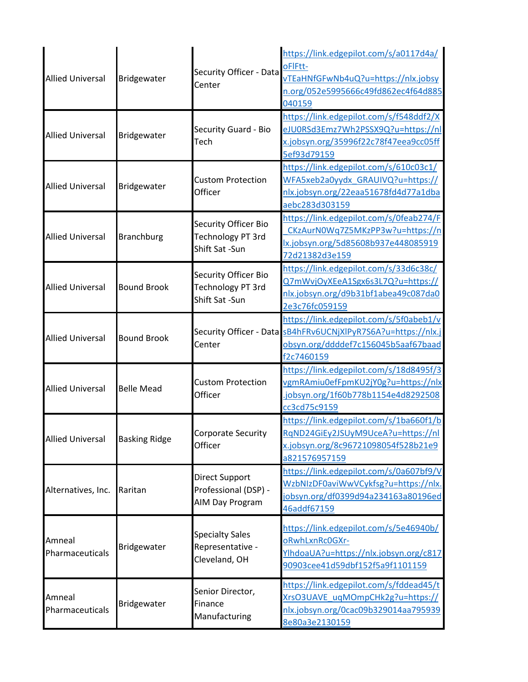| <b>Allied Universal</b>   | Bridgewater          | Security Officer - Data<br>Center                           | https://link.edgepilot.com/s/a0117d4a/<br>oFIFtt-<br>vTEaHNfGFwNb4uQ?u=https://nlx.jobsy<br>n.org/052e5995666c49fd862ec4f64d885<br>040159                     |
|---------------------------|----------------------|-------------------------------------------------------------|---------------------------------------------------------------------------------------------------------------------------------------------------------------|
| <b>Allied Universal</b>   | Bridgewater          | Security Guard - Bio<br>Tech                                | https://link.edgepilot.com/s/f548ddf2/X<br>eJU0RSd3Emz7Wh2PSSX9Q?u=https://nl<br>x.jobsyn.org/35996f22c78f47eea9cc05ff<br>5ef93d79159                         |
| <b>Allied Universal</b>   | Bridgewater          | <b>Custom Protection</b><br>Officer                         | https://link.edgepilot.com/s/610c03c1/<br>WFA5xeb2a0yydx GRAUIVQ?u=https://<br>nlx.jobsyn.org/22eaa51678fd4d77a1dba<br>aebc283d303159                         |
| <b>Allied Universal</b>   | <b>Branchburg</b>    | Security Officer Bio<br>Technology PT 3rd<br>Shift Sat -Sun | https://link.edgepilot.com/s/0feab274/F<br>CKzAurN0Wq7Z5MKzPP3w?u=https://n<br>lx.jobsyn.org/5d85608b937e448085919<br>72d21382d3e159                          |
| <b>Allied Universal</b>   | <b>Bound Brook</b>   | Security Officer Bio<br>Technology PT 3rd<br>Shift Sat -Sun | https://link.edgepilot.com/s/33d6c38c/<br>Q7mWvjOyXEeA1Sgx6s3L7Q?u=https://<br>nlx.jobsyn.org/d9b31bf1abea49c087da0<br>2e3c76fc059159                         |
| <b>Allied Universal</b>   | <b>Bound Brook</b>   | Center                                                      | https://link.edgepilot.com/s/5f0abeb1/v<br>Security Officer - Data SB4hFRv6UCNjXlPyR7S6A?u=https://nlx.j<br>obsyn.org/ddddef7c156045b5aaf67baad<br>f2c7460159 |
| <b>Allied Universal</b>   | <b>Belle Mead</b>    | <b>Custom Protection</b><br>Officer                         | https://link.edgepilot.com/s/18d8495f/3<br>vgmRAmiu0efFpmKU2jY0g?u=https://nlx<br>jobsyn.org/1f60b778b1154e4d8292508<br>cc3cd75c9159                          |
| <b>Allied Universal</b>   | <b>Basking Ridge</b> | Corporate Security<br>Officer                               | https://link.edgepilot.com/s/1ba660f1/b<br>RqND24GiEy2JSUyM9UceA?u=https://nl<br>x.jobsyn.org/8c96721098054f528b21e9<br>a821576957159                         |
| Alternatives, Inc.        | Raritan              | Direct Support<br>Professional (DSP) -<br>AIM Day Program   | https://link.edgepilot.com/s/0a607bf9/V<br>WzbNIzDF0aviWwVCykfsg?u=https://nlx.<br>jobsyn.org/df0399d94a234163a80196ed<br>46addf67159                         |
| Amneal<br>Pharmaceuticals | Bridgewater          | <b>Specialty Sales</b><br>Representative -<br>Cleveland, OH | https://link.edgepilot.com/s/5e46940b/<br>oRwhLxnRc0GXr-<br>YlhdoaUA?u=https://nlx.jobsyn.org/c817<br>90903cee41d59dbf152f5a9f1101159                         |
| Amneal<br>Pharmaceuticals | Bridgewater          | Senior Director,<br>Finance<br>Manufacturing                | https://link.edgepilot.com/s/fddead45/t<br>XrsO3UAVE_uqMOmpCHk2g?u=https://<br>nlx.jobsyn.org/0cac09b329014aa795939<br>8e80a3e2130159                         |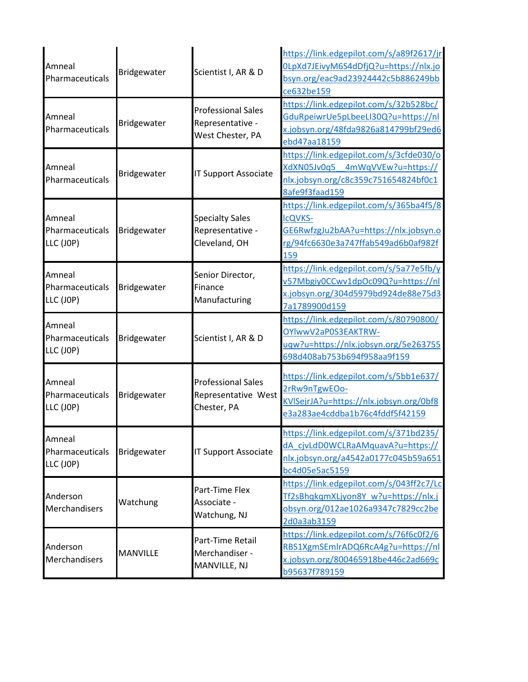|                                        | Bridgewater        | Scientist I, AR & D                                             | https://link.edgepilot.com/s/a89f2617/jr                 |
|----------------------------------------|--------------------|-----------------------------------------------------------------|----------------------------------------------------------|
| Amneal<br>Pharmaceuticals              |                    |                                                                 | 0LpXd7JEivyM6S4dDfjQ?u=https://nlx.jo                    |
|                                        |                    |                                                                 | bsyn.org/eac9ad23924442c5b886249bb                       |
|                                        |                    |                                                                 | ce632be159                                               |
|                                        |                    | <b>Professional Sales</b>                                       | https://link.edgepilot.com/s/32b528bc/                   |
| Amneal                                 |                    |                                                                 | GduRpeiwrUe5pLbeeLI30Q?u=https://nl                      |
| Pharmaceuticals                        | Bridgewater        | Representative -                                                | x.jobsyn.org/48fda9826a814799bf29ed6                     |
|                                        |                    | West Chester, PA                                                | ebd47aa18159                                             |
|                                        |                    |                                                                 | https://link.edgepilot.com/s/3cfde030/o                  |
| Amneal                                 |                    |                                                                 | XdXN05Jv0q5 4mWqVVEw?u=https://                          |
| Pharmaceuticals                        | Bridgewater        | <b>IT Support Associate</b>                                     | nlx.jobsyn.org/c8c359c751654824bf0c1                     |
|                                        |                    |                                                                 | 8afe9f3faad159                                           |
|                                        |                    |                                                                 | https://link.edgepilot.com/s/365ba4f5/8                  |
| Amneal                                 |                    | <b>Specialty Sales</b>                                          | <b>IcQVKS-</b>                                           |
| Pharmaceuticals                        | Bridgewater        | Representative -                                                | GE6RwfzgJu2bAA?u=https://nlx.jobsyn.o                    |
| LLC (JOP)                              |                    | Cleveland, OH                                                   | rg/94fc6630e3a747ffab549ad6b0af982f                      |
|                                        |                    |                                                                 | 159                                                      |
|                                        |                    |                                                                 | https://link.edgepilot.com/s/5a77e5fb/y                  |
| Amneal<br>Pharmaceuticals              | Bridgewater        | Senior Director,                                                | v57Mbgiy0CCwv1dpOc09Q?u=https://nl                       |
|                                        |                    | Finance                                                         | x.jobsyn.org/304d5979bd924de88e75d3                      |
| LLC (JOP)                              |                    | Manufacturing                                                   | 7a1789900d159                                            |
| Amneal<br>Pharmaceuticals<br>LLC (JOP) | Bridgewater        | Scientist I, AR & D                                             | https://link.edgepilot.com/s/80790800/                   |
|                                        |                    |                                                                 | OYlwwV2aP0S3EAKTRW-                                      |
|                                        |                    |                                                                 | uqw?u=https://nlx.jobsyn.org/5e263755                    |
|                                        |                    |                                                                 | 698d408ab753b694f958aa9f159                              |
|                                        |                    |                                                                 |                                                          |
| Amneal                                 | Bridgewater        | <b>Professional Sales</b><br>Representative West<br>Chester, PA | https://link.edgepilot.com/s/5bb1e637/                   |
| Pharmaceuticals                        |                    |                                                                 | 2rRw9nTgwEOo-<br>KVISejrJA?u=https://nlx.jobsyn.org/0bf8 |
| LLC (JOP)                              |                    |                                                                 | e3a283ae4cddba1b76c4fddf5f42159                          |
|                                        |                    |                                                                 |                                                          |
| Amneal                                 |                    |                                                                 | https://link.edgepilot.com/s/371bd235/                   |
|                                        |                    | <b>IT Support Associate</b>                                     | dA cjvLdD0WCLRaAMquavA?u=https://                        |
| Pharmaceuticals<br>LLC (JOP)           | <b>Bridgewater</b> |                                                                 | nlx.jobsyn.org/a4542a0177c045b59a651                     |
|                                        |                    |                                                                 | bc4d05e5ac5159                                           |
|                                        |                    |                                                                 | https://link.edgepilot.com/s/043ff2c7/Lc                 |
| Anderson<br>Merchandisers              |                    | Part-Time Flex                                                  | Tf2sBhqkqmXLjyon8Y w?u=https://nlx.j                     |
|                                        | Watchung           | Associate -<br>Watchung, NJ                                     | obsyn.org/012ae1026a9347c7829cc2be                       |
|                                        |                    |                                                                 | 2d0a3ab3159                                              |
|                                        |                    |                                                                 | https://link.edgepilot.com/s/76f6c0f2/6                  |
| Anderson<br>Merchandisers              | <b>MANVILLE</b>    | Part-Time Retail<br>Merchandiser -                              | RBS1XgmSEmlrADQ6RcA4g?u=https://nl                       |
|                                        |                    |                                                                 | x.jobsyn.org/800465918be446c2ad669c                      |
|                                        |                    | MANVILLE, NJ                                                    | b95637f789159                                            |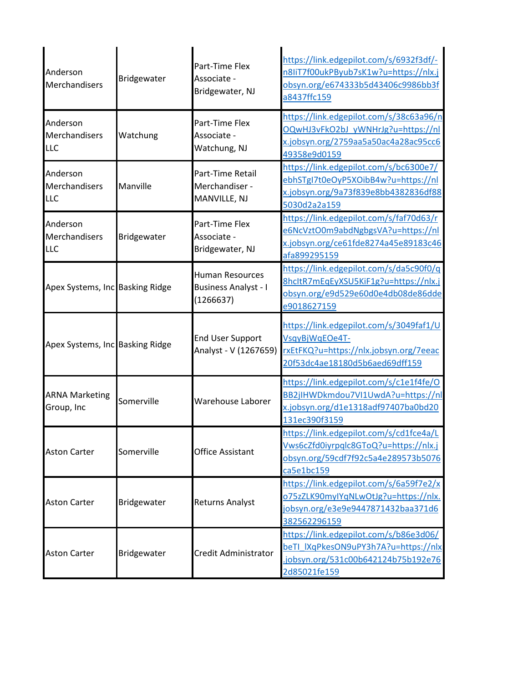| Anderson<br>Merchandisers               | Bridgewater | Part-Time Flex<br>Associate -<br>Bridgewater, NJ                   | https://link.edgepilot.com/s/6932f3df/-<br>n8IiT7f00ukPByub7sK1w?u=https://nlx.j<br>obsyn.org/e674333b5d43406c9986bb3f<br>a8437ffc159 |
|-----------------------------------------|-------------|--------------------------------------------------------------------|---------------------------------------------------------------------------------------------------------------------------------------|
| Anderson<br>Merchandisers<br>LLC        | Watchung    | Part-Time Flex<br>Associate -<br>Watchung, NJ                      | https://link.edgepilot.com/s/38c63a96/n<br>OQwHJ3vFkO2bJ_yWNHrJg?u=https://nl<br>x.jobsyn.org/2759aa5a50ac4a28ac95cc6<br>49358e9d0159 |
| Anderson<br>Merchandisers<br>LLC        | Manville    | Part-Time Retail<br>Merchandiser -<br>MANVILLE, NJ                 | https://link.edgepilot.com/s/bc6300e7/<br>ebhSTgI7t0eOyP5XOibB4w?u=https://nl<br>x.jobsyn.org/9a73f839e8bb4382836df88<br>5030d2a2a159 |
| Anderson<br>Merchandisers<br><b>LLC</b> | Bridgewater | Part-Time Flex<br>Associate -<br>Bridgewater, NJ                   | https://link.edgepilot.com/s/faf70d63/r<br>e6NcVztO0m9abdNgbgsVA?u=https://nl<br>x.jobsyn.org/ce61fde8274a45e89183c46<br>afa899295159 |
| Apex Systems, Inc Basking Ridge         |             | <b>Human Resources</b><br><b>Business Analyst - I</b><br>(1266637) | https://link.edgepilot.com/s/da5c90f0/q<br>8hcltR7mEqEyXSU5KiF1g?u=https://nlx.j<br>obsyn.org/e9d529e60d0e4db08de86dde<br>e9018627159 |
| Apex Systems, Inc Basking Ridge         |             | <b>End User Support</b><br>Analyst - V (1267659)                   | https://link.edgepilot.com/s/3049faf1/U<br>VsqyBjWqEOe4T-<br>rxEtFKQ?u=https://nlx.jobsyn.org/7eeac<br>20f53dc4ae18180d5b6aed69dff159 |
| <b>ARNA Marketing</b><br>Group, Inc     | Somerville  | Warehouse Laborer                                                  | https://link.edgepilot.com/s/c1e1f4fe/O<br>BB2jIHWDkmdou7VI1UwdA?u=https://nl<br>x.jobsyn.org/d1e1318adf97407ba0bd20<br>131ec390f3159 |
| <b>Aston Carter</b>                     | Somerville  | <b>Office Assistant</b>                                            | https://link.edgepilot.com/s/cd1fce4a/L<br>Vws6cZfd0iyrpqlc8GToQ?u=https://nlx.j<br>obsyn.org/59cdf7f92c5a4e289573b5076<br>ca5e1bc159 |
| <b>Aston Carter</b>                     | Bridgewater | <b>Returns Analyst</b>                                             | https://link.edgepilot.com/s/6a59f7e2/x<br>o75zZLK90myIYqNLwOtJg?u=https://nlx.<br>jobsyn.org/e3e9e9447871432baa371d6<br>382562296159 |
| <b>Aston Carter</b>                     | Bridgewater | Credit Administrator                                               | https://link.edgepilot.com/s/b86e3d06/<br>beTI lXqPkesON9uPY3h7A?u=https://nlx<br>jobsyn.org/531c00b642124b75b192e76<br>2d85021fe159  |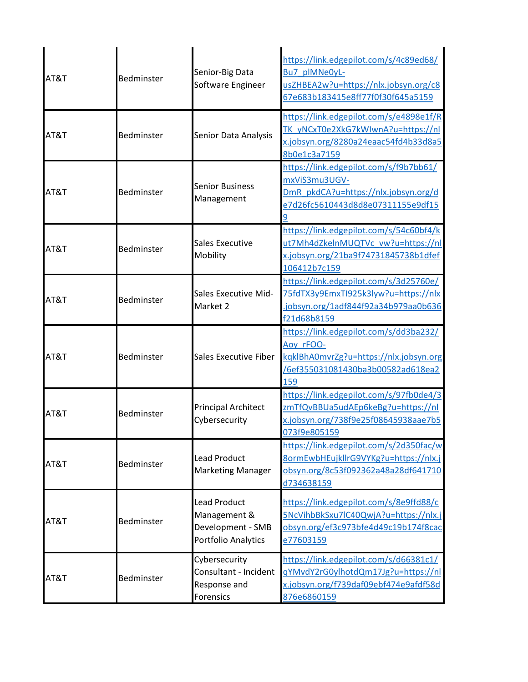| AT&T | Bedminster | Senior-Big Data<br>Software Engineer                                            | https://link.edgepilot.com/s/4c89ed68/<br>Bu7 plMNe0yL-<br>usZHBEA2w?u=https://nlx.jobsyn.org/c8<br>67e683b183415e8ff77f0f30f645a5159     |
|------|------------|---------------------------------------------------------------------------------|-------------------------------------------------------------------------------------------------------------------------------------------|
| AT&T | Bedminster | Senior Data Analysis                                                            | https://link.edgepilot.com/s/e4898e1f/R<br>TK yNCxT0e2XkG7kWIwnA?u=https://nl<br>x.jobsyn.org/8280a24eaac54fd4b33d8a5<br>8b0e1c3a7159     |
| AT&T | Bedminster | <b>Senior Business</b><br>Management                                            | https://link.edgepilot.com/s/f9b7bb61/<br>mxViS3mu3UGV-<br>DmR pkdCA?u=https://nlx.jobsyn.org/d<br>e7d26fc5610443d8d8e07311155e9df15<br>9 |
| AT&T | Bedminster | Sales Executive<br>Mobility                                                     | https://link.edgepilot.com/s/54c60bf4/k<br>ut7Mh4dZkelnMUQTVc vw?u=https://nl<br>x.jobsyn.org/21ba9f74731845738b1dfef<br>106412b7c159     |
| AT&T | Bedminster | <b>Sales Executive Mid-</b><br>Market 2                                         | https://link.edgepilot.com/s/3d25760e/<br>75fdTX3y9EmxTl925k3lyw?u=https://nlx<br>jobsyn.org/1adf844f92a34b979aa0b636<br>f21d68b8159      |
| AT&T | Bedminster | <b>Sales Executive Fiber</b>                                                    | https://link.edgepilot.com/s/dd3ba232/<br>Aoy rFOO-<br>kqklBhA0mvrZg?u=https://nlx.jobsyn.org<br>/6ef355031081430ba3b00582ad618ea2<br>159 |
| AT&T | Bedminster | <b>Principal Architect</b><br>Cybersecurity                                     | https://link.edgepilot.com/s/97fb0de4/3<br>zmTfQvBBUa5udAEp6keBg?u=https://nl<br>x.jobsyn.org/738f9e25f08645938aae7b5<br>073f9e805159     |
| AT&T | Bedminster | <b>Lead Product</b><br><b>Marketing Manager</b>                                 | https://link.edgepilot.com/s/2d350fac/w<br>8ormEwbHEujkllrG9VYKg?u=https://nlx.j<br>obsyn.org/8c53f092362a48a28df641710<br>d734638159     |
| AT&T | Bedminster | <b>Lead Product</b><br>Management &<br>Development - SMB<br>Portfolio Analytics | https://link.edgepilot.com/s/8e9ffd88/c<br>5NcVihbBkSxu7lC40QwjA?u=https://nlx.j<br>obsyn.org/ef3c973bfe4d49c19b174f8cac<br>e77603159     |
| AT&T | Bedminster | Cybersecurity<br>Consultant - Incident<br>Response and<br><b>Forensics</b>      | https://link.edgepilot.com/s/d66381c1/<br>gYMvdY2rG0ylhotdQm17Jg?u=https://nl<br>x.jobsyn.org/f739daf09ebf474e9afdf58d<br>876e6860159     |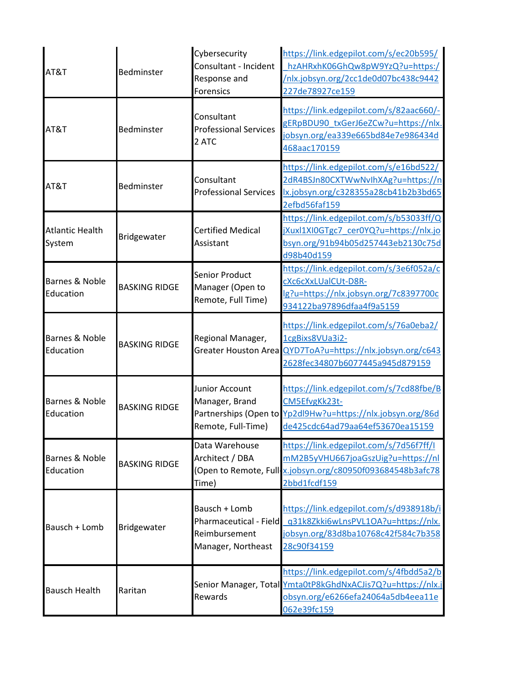| AT&T                             | Bedminster           | Cybersecurity<br>Consultant - Incident<br>Response and<br>Forensics            | https://link.edgepilot.com/s/ec20b595/<br>hzAHRxhK06GhQw8pW9YzQ?u=https:/<br>/nlx.jobsyn.org/2cc1de0d07bc438c9442<br>227de78927ce159                        |
|----------------------------------|----------------------|--------------------------------------------------------------------------------|-------------------------------------------------------------------------------------------------------------------------------------------------------------|
| AT&T                             | Bedminster           | Consultant<br><b>Professional Services</b><br>2 ATC                            | https://link.edgepilot.com/s/82aac660/-<br>gERpBDU90 txGerJ6eZCw?u=https://nlx.<br>jobsyn.org/ea339e665bd84e7e986434d<br>468aac170159                       |
| AT&T                             | Bedminster           | Consultant<br><b>Professional Services</b>                                     | https://link.edgepilot.com/s/e16bd522/<br>2dR4BSJn80CXTWwNvlhXAg?u=https://n<br>lx.jobsyn.org/c328355a28cb41b2b3bd65<br>2efbd56faf159                       |
| <b>Atlantic Health</b><br>System | Bridgewater          | <b>Certified Medical</b><br>Assistant                                          | https://link.edgepilot.com/s/b53033ff/Q<br>jXuxl1XI0GTgc7 cer0YQ?u=https://nlx.jo<br>bsyn.org/91b94b05d257443eb2130c75d<br>d98b40d159                       |
| Barnes & Noble<br>Education      | <b>BASKING RIDGE</b> | <b>Senior Product</b><br>Manager (Open to<br>Remote, Full Time)                | https://link.edgepilot.com/s/3e6f052a/c<br>cXc6cXxLUalCUt-D8R-<br>lg?u=https://nlx.jobsyn.org/7c8397700c<br>934122ba97896dfaa4f9a5159                       |
| Barnes & Noble<br>Education      | <b>BASKING RIDGE</b> | Regional Manager,<br><b>Greater Houston Area</b>                               | https://link.edgepilot.com/s/76a0eba2/<br>1cgBixs8VUa3i2-<br>QYD7ToA?u=https://nlx.jobsyn.org/c643<br>2628fec34807b6077445a945d879159                       |
| Barnes & Noble<br>Education      | <b>BASKING RIDGE</b> | Junior Account<br>Manager, Brand<br>Remote, Full-Time)                         | https://link.edgepilot.com/s/7cd88fbe/B<br>CM5EfvgKk23t-<br>Partnerships (Open to Yp2dl9Hw?u=https://nlx.jobsyn.org/86d<br>de425cdc64ad79aa64ef53670ea15159 |
| Barnes & Noble<br>Education      | <b>BASKING RIDGE</b> | Data Warehouse<br>Architect / DBA<br>Time)                                     | https://link.edgepilot.com/s/7d56f7ff/I<br>mM2B5yVHU667joaGszUig?u=https://nl<br>(Open to Remote, Full-x.jobsyn.org/c80950f093684548b3afc78<br>2bbd1fcdf159 |
| Bausch + Lomb                    | Bridgewater          | Bausch + Lomb<br>Pharmaceutical - Field<br>Reimbursement<br>Manager, Northeast | https://link.edgepilot.com/s/d938918b/i<br>q31k8Zkki6wLnsPVL1OA?u=https://nlx.<br>jobsyn.org/83d8ba10768c42f584c7b358<br>28c90f34159                        |
| <b>Bausch Health</b>             | Raritan              | Rewards                                                                        | https://link.edgepilot.com/s/4fbdd5a2/b<br>Senior Manager, Total Ymta0tP8kGhdNxACJis7Q?u=https://nlx.j<br>obsyn.org/e6266efa24064a5db4eea11e<br>062e39fc159 |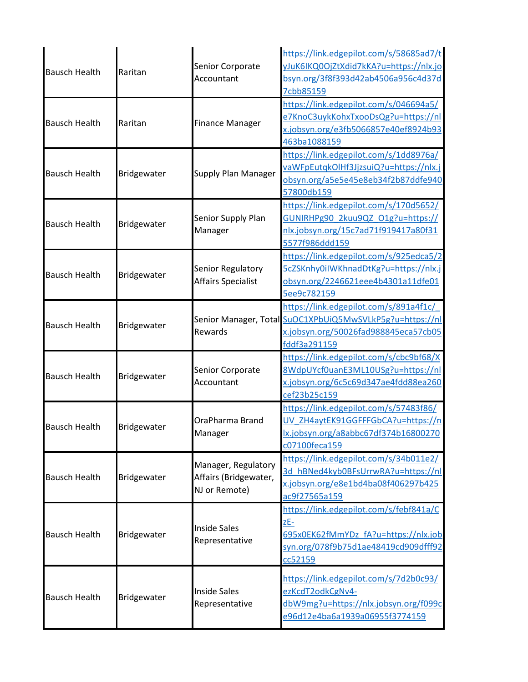| <b>Bausch Health</b> | Raritan            | Senior Corporate<br>Accountant                                | https://link.edgepilot.com/s/58685ad7/t<br>yJuK6IKQ0OjZtXdid7kKA?u=https://nlx.jo<br>bsyn.org/3f8f393d42ab4506a956c4d37d<br>7cbb85159                      |
|----------------------|--------------------|---------------------------------------------------------------|------------------------------------------------------------------------------------------------------------------------------------------------------------|
| <b>Bausch Health</b> | Raritan            | <b>Finance Manager</b>                                        | https://link.edgepilot.com/s/046694a5/<br>e7KnoC3uykKohxTxooDsQg?u=https://nl<br>x.jobsyn.org/e3fb5066857e40ef8924b93<br>463ba1088159                      |
| <b>Bausch Health</b> | <b>Bridgewater</b> | <b>Supply Plan Manager</b>                                    | https://link.edgepilot.com/s/1dd8976a/<br>va WFp Eutqk Ol Hf 3 J j z sui Q ? u = https://nlx.j<br>obsyn.org/a5e5e45e8eb34f2b87ddfe940<br>57800db159        |
| <b>Bausch Health</b> | Bridgewater        | Senior Supply Plan<br>Manager                                 | https://link.edgepilot.com/s/170d5652/<br>GUNIRHPg90 2kuu9QZ O1g?u=https://<br>nlx.jobsyn.org/15c7ad71f919417a80f31<br>5577f986ddd159                      |
| <b>Bausch Health</b> | <b>Bridgewater</b> | Senior Regulatory<br><b>Affairs Specialist</b>                | https://link.edgepilot.com/s/925edca5/2<br>5cZSKnhy0iIWKhnadDtKg?u=https://nlx.j<br>obsyn.org/2246621eee4b4301a11dfe01<br>5ee9c782159                      |
| <b>Bausch Health</b> | Bridgewater        | Rewards                                                       | https://link.edgepilot.com/s/891a4f1c/<br>Senior Manager, Total SuOC1XPbUiQ5MwSVLkP5g?u=https://nl<br>x.jobsyn.org/50026fad988845eca57cb05<br>fddf3a291159 |
| <b>Bausch Health</b> | Bridgewater        | Senior Corporate<br>Accountant                                | https://link.edgepilot.com/s/cbc9bf68/X<br>8WdpUYcf0uanE3ML10USg?u=https://nl<br>x.jobsyn.org/6c5c69d347ae4fdd88ea260<br>cef23b25c159                      |
| <b>Bausch Health</b> | <b>Bridgewater</b> | OraPharma Brand<br>Manager                                    | https://link.edgepilot.com/s/57483f86/<br>UV ZH4aytEK91GGFFFGbCA?u=https://n<br>lx.jobsyn.org/a8abbc67df374b16800270<br>c07100feca159                      |
| <b>Bausch Health</b> | Bridgewater        | Manager, Regulatory<br>Affairs (Bridgewater,<br>NJ or Remote) | https://link.edgepilot.com/s/34b011e2/<br>3d_hBNed4kyb0BFsUrrwRA?u=https://nl<br>x.jobsyn.org/e8e1bd4ba08f406297b425<br>ac9f27565a159                      |
| <b>Bausch Health</b> | Bridgewater        | <b>Inside Sales</b><br>Representative                         | https://link.edgepilot.com/s/febf841a/C<br>zE-<br>695x0EK62fMmYDz fA?u=https://nlx.job<br>syn.org/078f9b75d1ae48419cd909dfff92<br>cc52159                  |
| <b>Bausch Health</b> | Bridgewater        | <b>Inside Sales</b><br>Representative                         | https://link.edgepilot.com/s/7d2b0c93/<br>ezKcdT2odkCgNv4-<br>dbW9mg?u=https://nlx.jobsyn.org/f099c<br>e96d12e4ba6a1939a06955f3774159                      |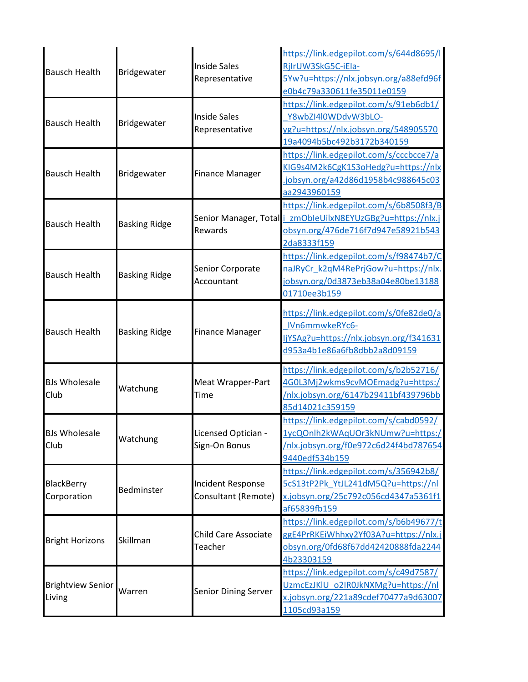| <b>Bausch Health</b>               | Bridgewater          | <b>Inside Sales</b><br>Representative    | https://link.edgepilot.com/s/644d8695/<br>RjIrUW3SkG5C-iEla-<br>5Yw?u=https://nlx.jobsyn.org/a88efd96f<br>e0b4c79a330611fe35011e0159                        |
|------------------------------------|----------------------|------------------------------------------|-------------------------------------------------------------------------------------------------------------------------------------------------------------|
| <b>Bausch Health</b>               | Bridgewater          | <b>Inside Sales</b><br>Representative    | https://link.edgepilot.com/s/91eb6db1/<br>Y8wbZI4l0WDdvW3bLO-<br>yg?u=https://nlx.jobsyn.org/548905570<br>19a4094b5bc492b3172b340159                        |
| <b>Bausch Health</b>               | Bridgewater          | <b>Finance Manager</b>                   | https://link.edgepilot.com/s/cccbcce7/a<br>KIG9s4M2k6CgK1S3oHedg?u=https://nlx<br>jobsyn.org/a42d86d1958b4c988645c03<br>aa2943960159                        |
| <b>Bausch Health</b>               | <b>Basking Ridge</b> | Rewards                                  | https://link.edgepilot.com/s/6b8508f3/B<br>Senior Manager, Total   zmObleUilxN8EYUzGBg?u=https://nlx.j<br>obsyn.org/476de716f7d947e58921b543<br>2da8333f159 |
| <b>Bausch Health</b>               | <b>Basking Ridge</b> | Senior Corporate<br>Accountant           | https://link.edgepilot.com/s/f98474b7/C<br>naJRyCr k2qM4RePrjGow?u=https://nlx.<br>iobsyn.org/0d3873eb38a04e80be13188<br>01710ee3b159                       |
| <b>Bausch Health</b>               | <b>Basking Ridge</b> | <b>Finance Manager</b>                   | https://link.edgepilot.com/s/0fe82de0/a<br>IVn6mmwkeRYc6-<br>jYSAg?u=https://nlx.jobsyn.org/f341631<br>d953a4b1e86a6fb8dbb2a8d09159                         |
| <b>BJs Wholesale</b><br>Club       | Watchung             | <b>Meat Wrapper-Part</b><br>Time         | https://link.edgepilot.com/s/b2b52716/<br>4G0L3Mj2wkms9cvMOEmadg?u=https:/<br>/nlx.jobsyn.org/6147b29411bf439796bb<br>85d14021c359159                       |
| <b>BJs Wholesale</b><br>Club       | Watchung             | Licensed Optician -<br>Sign-On Bonus     | https://link.edgepilot.com/s/cabd0592/<br>1ycQOnlh2kWAqUOr3kNUmw?u=https:/<br>/nlx.jobsyn.org/f0e972c6d24f4bd787654<br>9440edf534b159                       |
| BlackBerry<br>Corporation          | Bedminster           | Incident Response<br>Consultant (Remote) | https://link.edgepilot.com/s/356942b8/<br>5cS13tP2Pk YtJL241dM5Q?u=https://nl<br>x.jobsyn.org/25c792c056cd4347a5361f1<br>af65839fb159                       |
| <b>Bright Horizons</b>             | Skillman             | <b>Child Care Associate</b><br>Teacher   | https://link.edgepilot.com/s/b6b49677/t<br>ggE4PrRKEiWhhxy2Yf03A?u=https://nlx.j<br>obsyn.org/0fd68f67dd42420888fda2244<br>4b23303159                       |
| <b>Brightview Senior</b><br>Living | Warren               | <b>Senior Dining Server</b>              | https://link.edgepilot.com/s/c49d7587/<br>UzmcEzJKIU o2IR0JkNXMg?u=https://nl<br>x.jobsyn.org/221a89cdef70477a9d63007<br>1105cd93a159                       |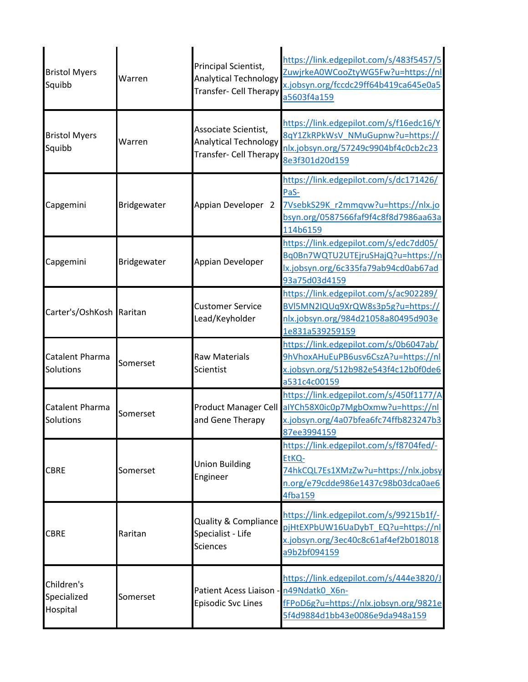| <b>Bristol Myers</b><br>Squibb        | Warren      | Principal Scientist,<br><b>Analytical Technology</b><br>Transfer- Cell Therapy | https://link.edgepilot.com/s/483f5457/5<br>ZuwjrkeA0WCooZtyWG5Fw?u=https://nl<br>x.jobsyn.org/fccdc29ff64b419ca645e0a5<br>a5603f4a159     |
|---------------------------------------|-------------|--------------------------------------------------------------------------------|-------------------------------------------------------------------------------------------------------------------------------------------|
| <b>Bristol Myers</b><br>Squibb        | Warren      | Associate Scientist,<br><b>Analytical Technology</b><br>Transfer- Cell Therapy | https://link.edgepilot.com/s/f16edc16/Y<br>8qY1ZkRPkWsV NMuGupnw?u=https://<br>nlx.jobsyn.org/57249c9904bf4c0cb2c23<br>8e3f301d20d159     |
| Capgemini                             | Bridgewater | Appian Developer 2                                                             | https://link.edgepilot.com/s/dc171426/<br>PaS-<br>7VsebkS29K_r2mmqvw?u=https://nlx.jo<br>bsyn.org/0587566faf9f4c8f8d7986aa63a<br>114b6159 |
| Capgemini                             | Bridgewater | Appian Developer                                                               | https://link.edgepilot.com/s/edc7dd05/<br>Bq0Bn7WQTU2UTEjruSHajQ?u=https://n<br>lx.jobsyn.org/6c335fa79ab94cd0ab67ad<br>93a75d03d4159     |
| Carter's/OshKosh Raritan              |             | <b>Customer Service</b><br>Lead/Keyholder                                      | https://link.edgepilot.com/s/ac902289/<br>BVI5MN2IQUq9XrQW8s3p5g?u=https://<br>nlx.jobsyn.org/984d21058a80495d903e<br>1e831a539259159     |
| Catalent Pharma<br>Solutions          | Somerset    | <b>Raw Materials</b><br>Scientist                                              | https://link.edgepilot.com/s/0b6047ab/<br>9hVhoxAHuEuPB6usv6CszA?u=https://nl<br>x.jobsyn.org/512b982e543f4c12b0f0de6<br>a531c4c00159     |
| Catalent Pharma<br>Solutions          | Somerset    | Product Manager Cell<br>and Gene Therapy                                       | https://link.edgepilot.com/s/450f1177/A<br>alYCh58X0ic0p7MgbOxmw?u=https://nl<br>x.jobsyn.org/4a07bfea6fc74ffb823247b3<br>87ee3994159     |
| <b>CBRE</b>                           | Somerset    | <b>Union Building</b><br>Engineer                                              | https://link.edgepilot.com/s/f8704fed/-<br>EtKQ-<br>74hkCQL7Es1XMzZw?u=https://nlx.jobsy<br>n.org/e79cdde986e1437c98b03dca0ae6<br>4fba159 |
| <b>CBRE</b>                           | Raritan     | <b>Quality &amp; Compliance</b><br>Specialist - Life<br><b>Sciences</b>        | https://link.edgepilot.com/s/99215b1f/-<br>pjHtEXPbUW16UaDybT EQ?u=https://nl<br>x.jobsyn.org/3ec40c8c61af4ef2b018018<br>a9b2bf094159     |
| Children's<br>Specialized<br>Hospital | Somerset    | Patient Acess Liaison - n49Ndatk0 X6n-<br><b>Episodic Svc Lines</b>            | https://link.edgepilot.com/s/444e3820/J<br>fFPoD6g?u=https://nlx.jobsyn.org/9821e<br>5f4d9884d1bb43e0086e9da948a159                       |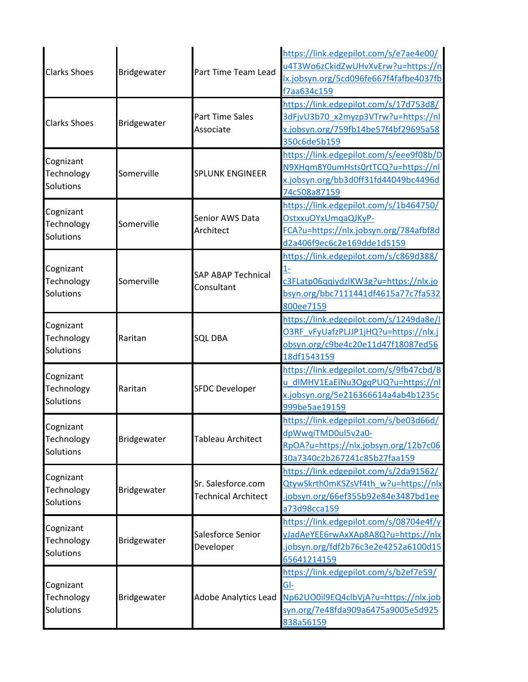| <b>Clarks Shoes</b>                  | Bridgewater | Part Time Team Lead                              | https://link.edgepilot.com/s/e7ae4e00/<br>u4T3Wo6zCkidZwUHvXvErw?u=https://n<br>Ix.jobsyn.org/5cd096fe667f4fafbe4037fb<br>f7aa634c159       |
|--------------------------------------|-------------|--------------------------------------------------|---------------------------------------------------------------------------------------------------------------------------------------------|
| <b>Clarks Shoes</b>                  | Bridgewater | <b>Part Time Sales</b><br>Associate              | https://link.edgepilot.com/s/17d753d8/<br>3dFjvU3b70_x2myzp3VTrw?u=https://nl<br>x.jobsyn.org/759fb14be57f4bf29695a58<br>350c6de5b159       |
| Cognizant<br>Technology<br>Solutions | Somerville  | <b>SPLUNK ENGINEER</b>                           | https://link.edgepilot.com/s/eee9f08b/D<br>N9XHqm8Y0umHsts0rtTCQ?u=https://nl<br>x.jobsyn.org/bb3d0ff31fd44049bc4496d<br>74c508a87159       |
| Cognizant<br>Technology<br>Solutions | Somerville  | Senior AWS Data<br>Architect                     | https://link.edgepilot.com/s/1b464750/<br>OstxxuOYxUmqaQJKyP-<br>FCA?u=https://nlx.jobsyn.org/784afbf8d<br>d2a406f9ec6c2e169dde1d5159       |
| Cognizant<br>Technology<br>Solutions | Somerville  | <b>SAP ABAP Technical</b><br>Consultant          | https://link.edgepilot.com/s/c869d388/<br>$1-$<br>c3FLatp06qqiydzlKW3g?u=https://nlx.jo<br>bsyn.org/bbc7111441df4615a77c7fa532<br>800ee7159 |
| Cognizant<br>Technology<br>Solutions | Raritan     | <b>SQL DBA</b>                                   | https://link.edgepilot.com/s/1249da8e/l<br>O3RF vFyUafzPLJJP1jHQ?u=https://nlx.j<br>obsyn.org/c9be4c20e11d47f18087ed56<br>18df1543159       |
| Cognizant<br>Technology<br>Solutions | Raritan     | <b>SFDC Developer</b>                            | https://link.edgepilot.com/s/9fb47cbd/B<br>dlMHV1EaElNu3OgqPUQ?u=https://nl<br>x.jobsyn.org/5e216366614a4ab4b1235c<br>999be5ae19159         |
| Cognizant<br>Technology<br>Solutions | Bridgewater | Tableau Architect                                | https://link.edgepilot.com/s/be03d66d/<br>dpWwqiTMD0ul5v2a0-<br>RpOA?u=https://nlx.jobsyn.org/12b7c06<br>30a7340c2b267241c85b27faa159       |
| Cognizant<br>Technology<br>Solutions | Bridgewater | Sr. Salesforce.com<br><b>Technical Architect</b> | https://link.edgepilot.com/s/2da91562/<br>QtywSkrth0mKSZsVf4th w?u=https://nlx<br>jobsyn.org/66ef355b92e84e3487bd1ee<br>a73d98cca159        |
| Cognizant<br>Technology<br>Solutions | Bridgewater | Salesforce Senior<br>Developer                   | https://link.edgepilot.com/s/08704e4f/y<br>yJadAeYEE6rwAxXAp8A8Q?u=https://nlx<br>jobsyn.org/fdf2b76c3e2e4252a6100d15<br>65641214159        |
| Cognizant<br>Technology<br>Solutions | Bridgewater | Adobe Analytics Lead                             | https://link.edgepilot.com/s/b2ef7e59/<br>$GI-$<br>Np62UO0il9EQ4clbVjA?u=https://nlx.job<br>syn.org/7e48fda909a6475a9005e5d925<br>838a56159 |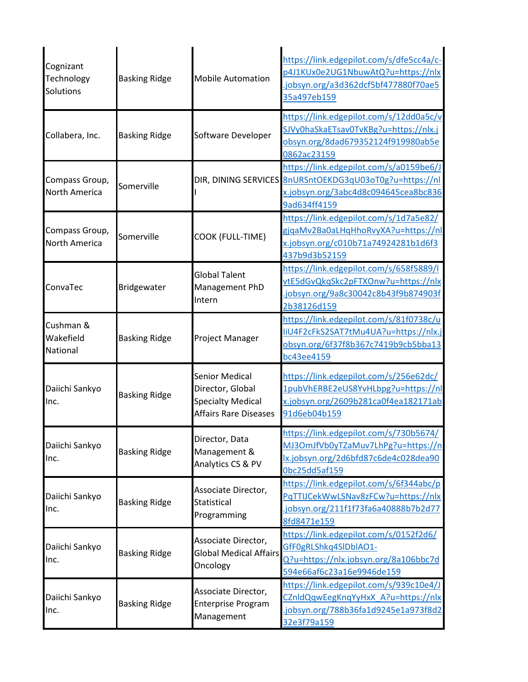| Cognizant<br>Technology<br>Solutions | <b>Basking Ridge</b> | <b>Mobile Automation</b>                                                                              | https://link.edgepilot.com/s/dfe5cc4a/c-<br>p4J1KUx0e2UG1NbuwAtQ?u=https://nlx<br>jobsyn.org/a3d362dcf5bf477880f70ae5<br>35a497eb159                       |
|--------------------------------------|----------------------|-------------------------------------------------------------------------------------------------------|------------------------------------------------------------------------------------------------------------------------------------------------------------|
| Collabera, Inc.                      | <b>Basking Ridge</b> | Software Developer                                                                                    | https://link.edgepilot.com/s/12dd0a5c/v<br>SJVy0haSkaETsav0TvKBg?u=https://nlx.j<br>obsyn.org/8dad679352124f919980ab5e<br>0862ac23159                      |
| Compass Group,<br>North America      | Somerville           |                                                                                                       | https://link.edgepilot.com/s/a0159be6/J<br>DIR, DINING SERVICES 8nURSntOEKDG3qU03oT0g?u=https://nl<br>x.jobsyn.org/3abc4d8c094645cea8bc836<br>9ad634ff4159 |
| Compass Group,<br>North America      | Somerville           | COOK (FULL-TIME)                                                                                      | https://link.edgepilot.com/s/1d7a5e82/<br>gjqaMv2Ba0aLHqHhoRvyXA?u=https://nl<br>x.jobsyn.org/c010b71a74924281b1d6f3<br>437b9d3b52159                      |
| ConvaTec                             | Bridgewater          | <b>Global Talent</b><br>Management PhD<br>Intern                                                      | https://link.edgepilot.com/s/658f5889/l<br>vtE5dGvQkqSkc2pFTXOnw?u=https://nlx<br>jobsyn.org/9a8c30042c8b43f9b874903f<br>2b38126d159                       |
| Cushman &<br>Wakefield<br>National   | <b>Basking Ridge</b> | Project Manager                                                                                       | https://link.edgepilot.com/s/81f0738c/u<br>liU4F2cFkS2SAT7tMu4UA?u=https://nlx.j<br>obsyn.org/6f37f8b367c7419b9cb5bba13<br>bc43ee4159                      |
| Daiichi Sankyo<br>Inc.               | <b>Basking Ridge</b> | <b>Senior Medical</b><br>Director, Global<br><b>Specialty Medical</b><br><b>Affairs Rare Diseases</b> | https://link.edgepilot.com/s/256e62dc/<br>1pubVhERBE2eUS8YvHLbpg?u=https://nl<br>x.jobsyn.org/2609b281ca0f4ea182171ab<br>91d6eb04b159                      |
| Daiichi Sankyo<br>Inc.               | <b>Basking Ridge</b> | Director, Data<br>Management &<br>Analytics CS & PV                                                   | https://link.edgepilot.com/s/730b5674/<br>MJ3OmJfVb0yTZaMuv7LhPg?u=https://n<br>lx.jobsyn.org/2d6bfd87c6de4c028dea90<br>Obc25dd5af159                      |
| Daiichi Sankyo<br>Inc.               | <b>Basking Ridge</b> | Associate Director,<br><b>Statistical</b><br>Programming                                              | https://link.edgepilot.com/s/6f344abc/p<br>PqTTIJCekWwLSNav8zFCw?u=https://nlx<br>jobsyn.org/211f1f73fa6a40888b7b2d77<br>8fd8471e159                       |
| Daiichi Sankyo<br>Inc.               | <b>Basking Ridge</b> | Associate Director,<br><b>Global Medical Affairs</b><br>Oncology                                      | https://link.edgepilot.com/s/0152f2d6/<br>GfF0gRLShkq4SlDblAO1-<br>Q?u=https://nlx.jobsyn.org/8a106bbc7d<br>594e66af6c23a16e9946de159                      |
| Daiichi Sankyo<br>Inc.               | <b>Basking Ridge</b> | Associate Director,<br><b>Enterprise Program</b><br>Management                                        | https://link.edgepilot.com/s/939c10e4/J<br>CZnIdQqwEegKnqYyHxX A?u=https://nlx<br>jobsyn.org/788b36fa1d9245e1a973f8d2<br>32e3f79a159                       |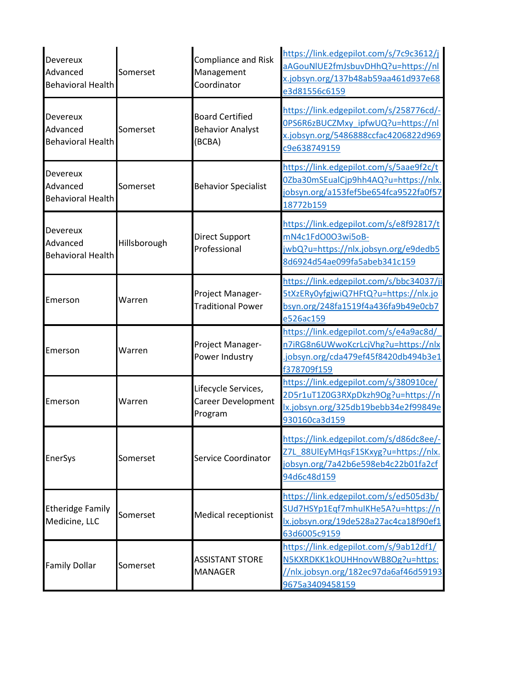| Devereux<br>Advanced<br><b>Behavioral Health</b>        | Somerset     | <b>Compliance and Risk</b><br>Management<br>Coordinator     | https://link.edgepilot.com/s/7c9c3612/j<br>aAGouNIUE2fmJsbuvDHhQ?u=https://nl<br>x.jobsyn.org/137b48ab59aa461d937e68<br>e3d81556c6159 |
|---------------------------------------------------------|--------------|-------------------------------------------------------------|---------------------------------------------------------------------------------------------------------------------------------------|
| <b>Devereux</b><br>Advanced<br><b>Behavioral Health</b> | Somerset     | <b>Board Certified</b><br><b>Behavior Analyst</b><br>(BCBA) | https://link.edgepilot.com/s/258776cd/-<br>0PS6R6zBUCZMxy ipfwUQ?u=https://nl<br>x.jobsyn.org/5486888ccfac4206822d969<br>c9e638749159 |
| <b>Devereux</b><br>Advanced<br><b>Behavioral Health</b> | Somerset     | <b>Behavior Specialist</b>                                  | https://link.edgepilot.com/s/5aae9f2c/t<br>0Zba30mSEualCjp9hh4AQ?u=https://nlx.<br>jobsyn.org/a153fef5be654fca9522fa0f57<br>18772b159 |
| <b>Devereux</b><br>Advanced<br><b>Behavioral Health</b> | Hillsborough | Direct Support<br>Professional                              | https://link.edgepilot.com/s/e8f92817/t<br>mN4c1FdO0O3wi5oB-<br>jwbQ?u=https://nlx.jobsyn.org/e9dedb5<br>8d6924d54ae099fa5abeb341c159 |
| Emerson                                                 | Warren       | Project Manager-<br><b>Traditional Power</b>                | https://link.edgepilot.com/s/bbc34037/ji<br>5tXzERy0yfgjwiQ7HFtQ?u=https://nlx.jo<br>bsyn.org/248fa1519f4a436fa9b49e0cb7<br>e526ac159 |
| Emerson                                                 | Warren       | Project Manager-<br>Power Industry                          | https://link.edgepilot.com/s/e4a9ac8d/<br>n7iRG8n6UWwoKcrLcjVhg?u=https://nlx<br>jobsyn.org/cda479ef45f8420db494b3e1<br>f378709f159   |
| Emerson                                                 | Warren       | Lifecycle Services,<br>Career Development<br>Program        | https://link.edgepilot.com/s/380910ce/<br>2D5r1uT1Z0G3RXpDkzh9Og?u=https://n<br>lx.jobsyn.org/325db19bebb34e2f99849e<br>930160ca3d159 |
| EnerSys                                                 | Somerset     | Service Coordinator                                         | https://link.edgepilot.com/s/d86dc8ee/-<br>Z7L 88UlEyMHqsF1SKxyg?u=https://nlx.<br>jobsyn.org/7a42b6e598eb4c22b01fa2cf<br>94d6c48d159 |
| <b>Etheridge Family</b><br>Medicine, LLC                | Somerset     | <b>Medical receptionist</b>                                 | https://link.edgepilot.com/s/ed505d3b/<br>SUd7HSYp1Eqf7mhuIKHe5A?u=https://n<br>lx.jobsyn.org/19de528a27ac4ca18f90ef1<br>63d6005c9159 |
| <b>Family Dollar</b>                                    | Somerset     | <b>ASSISTANT STORE</b><br><b>MANAGER</b>                    | https://link.edgepilot.com/s/9ab12df1/<br>N5KXRDKK1kOUHHnovWB8Og?u=https:<br>//nlx.jobsyn.org/182ec97da6af46d59193<br>9675a3409458159 |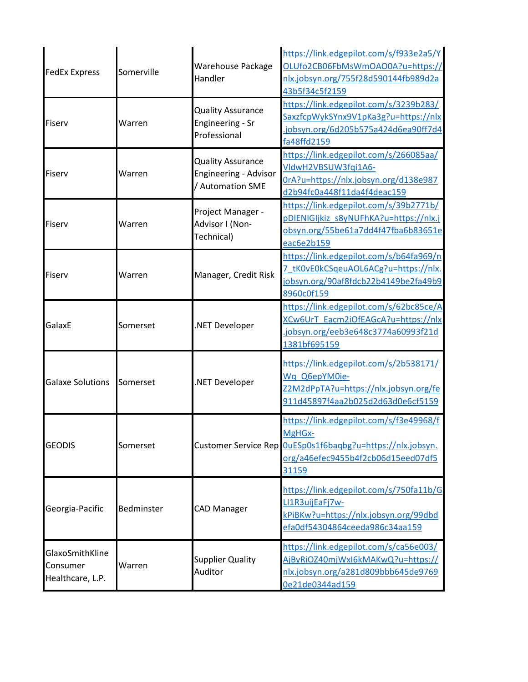| <b>FedEx Express</b>                            | Somerville | Warehouse Package<br>Handler                                          | https://link.edgepilot.com/s/f933e2a5/Y<br>OLUfo2CB06FbMsWmOAO0A?u=https://<br>nlx.jobsyn.org/755f28d590144fb989d2a<br>43b5f34c5f2159     |
|-------------------------------------------------|------------|-----------------------------------------------------------------------|-------------------------------------------------------------------------------------------------------------------------------------------|
| Fiserv                                          | Warren     | <b>Quality Assurance</b><br>Engineering - Sr<br>Professional          | https://link.edgepilot.com/s/3239b283/<br>SaxzfcpWykSYnx9V1pKa3g?u=https://nlx<br>jobsyn.org/6d205b575a424d6ea90ff7d4<br>fa48ffd2159      |
| Fiserv                                          | Warren     | <b>Quality Assurance</b><br>Engineering - Advisor<br>/ Automation SME | https://link.edgepilot.com/s/266085aa/<br>VldwH2VBSUW3fqi1A6-<br>0rA?u=https://nlx.jobsyn.org/d138e987<br>d2b94fc0a448f11da4f4deac159     |
| Fiserv                                          | Warren     | Project Manager -<br>Advisor I (Non-<br>Technical)                    | https://link.edgepilot.com/s/39b2771b/<br>pDIENIGIjkiz s8yNUFhKA?u=https://nlx.j<br>obsyn.org/55be61a7dd4f47fba6b83651e<br>eac6e2b159     |
| Fiserv                                          | Warren     | Manager, Credit Risk                                                  | https://link.edgepilot.com/s/b64fa969/n<br>7 tK0vE0kCSqeuAOL6ACg?u=https://nlx.<br>jobsyn.org/90af8fdcb22b4149be2fa49b9<br>8960c0f159     |
| GalaxE                                          | Somerset   | NET Developer                                                         | https://link.edgepilot.com/s/62bc85ce/A<br>XCw6UrT Eacm2iOfEAGcA?u=https://nlx<br>jobsyn.org/eeb3e648c3774a60993f21d<br>1381bf695159      |
| <b>Galaxe Solutions</b>                         | Somerset   | NET Developer                                                         | https://link.edgepilot.com/s/2b538171/<br>Wq Q6epYM0ie-<br>Z2M2dPpTA?u=https://nlx.jobsyn.org/fe<br>911d45897f4aa2b025d2d63d0e6cf5159     |
| <b>GEODIS</b>                                   | Somerset   | <b>Customer Service Rep</b>                                           | https://link.edgepilot.com/s/f3e49968/f<br>MgHGx-<br>OuESp0s1f6baqbg?u=https://nlx.jobsyn.<br>org/a46efec9455b4f2cb06d15eed07df5<br>31159 |
| Georgia-Pacific                                 | Bedminster | <b>CAD Manager</b>                                                    | https://link.edgepilot.com/s/750fa11b/G<br>LI1R3uijEaFj7w-<br>kPiBKw?u=https://nlx.jobsyn.org/99dbd<br>efa0df54304864ceeda986c34aa159     |
| GlaxoSmithKline<br>Consumer<br>Healthcare, L.P. | Warren     | <b>Supplier Quality</b><br>Auditor                                    | https://link.edgepilot.com/s/ca56e003/<br>AjByRiOZ40mjWxI6kMAKwQ?u=https://<br>nlx.jobsyn.org/a281d809bbb645de9769<br>0e21de0344ad159     |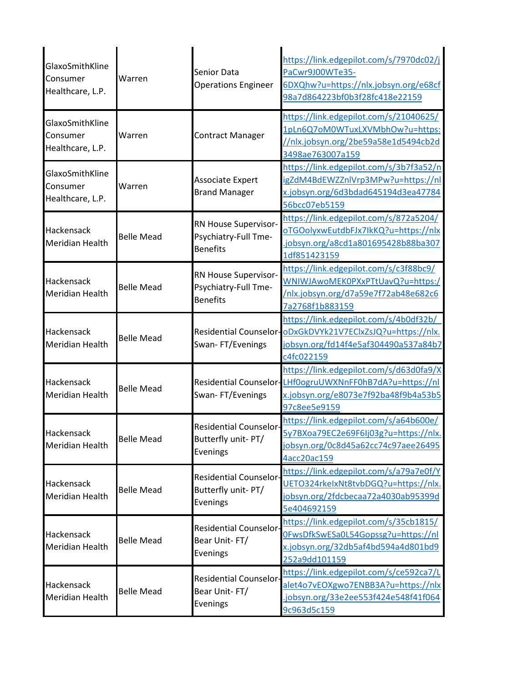| GlaxoSmithKline<br>Consumer<br>Healthcare, L.P. | Warren            | Senior Data<br><b>Operations Engineer</b>                       | https://link.edgepilot.com/s/7970dc02/j<br>PaCwr9J00WTe35-<br>6DXQhw?u=https://nlx.jobsyn.org/e68cf<br>98a7d864223bf0b3f28fc418e22159                       |
|-------------------------------------------------|-------------------|-----------------------------------------------------------------|-------------------------------------------------------------------------------------------------------------------------------------------------------------|
| GlaxoSmithKline<br>Consumer<br>Healthcare, L.P. | Warren            | <b>Contract Manager</b>                                         | https://link.edgepilot.com/s/21040625/<br>1pLn6Q7oM0WTuxLXVMbhOw?u=https:<br>//nlx.jobsyn.org/2be59a58e1d5494cb2d<br>3498ae763007a159                       |
| GlaxoSmithKline<br>Consumer<br>Healthcare, L.P. | Warren            | Associate Expert<br><b>Brand Manager</b>                        | https://link.edgepilot.com/s/3b7f3a52/n<br>igZdM4BdEWZZnlVrp3MPw?u=https://nl<br>x.jobsyn.org/6d3bdad645194d3ea47784<br>56bcc07eb5159                       |
| Hackensack<br><b>Meridian Health</b>            | <b>Belle Mead</b> | RN House Supervisor-<br>Psychiatry-Full Tme-<br><b>Benefits</b> | https://link.edgepilot.com/s/872a5204/<br>oTGOolyxwEutdbFJx7IkKQ?u=https://nlx<br>jobsyn.org/a8cd1a801695428b88ba307<br>1df851423159                        |
| Hackensack<br><b>Meridian Health</b>            | <b>Belle Mead</b> | RN House Supervisor-<br>Psychiatry-Full Tme-<br><b>Benefits</b> | https://link.edgepilot.com/s/c3f88bc9/<br>WNIWJAwoMEK0PXxPTtUavQ?u=https:/<br>/nlx.jobsyn.org/d7a59e7f72ab48e682c6<br>7a2768f1b883159                       |
| Hackensack<br><b>Meridian Health</b>            | <b>Belle Mead</b> | Swan-FT/Evenings                                                | https://link.edgepilot.com/s/4b0df32b/<br>Residential Counselor-ODxGkDVYk21V7EClxZsJQ?u=https://nlx.<br>jobsyn.org/fd14f4e5af304490a537a84b7<br>c4fc022159  |
| Hackensack<br>Meridian Health                   | <b>Belle Mead</b> | Swan-FT/Evenings                                                | https://link.edgepilot.com/s/d63d0fa9/X<br>Residential Counselor-LHf0ogruUWXNnFF0hB7dA?u=https://nl<br>x.jobsyn.org/e8073e7f92ba48f9b4a53b5<br>97c8ee5e9159 |
| Hackensack<br><b>Meridian Health</b>            | <b>Belle Mead</b> | <b>Residential Counselor-</b><br>Butterfly unit-PT/<br>Evenings | https://link.edgepilot.com/s/a64b600e/<br>5y7BXoa79EC2e69F6Ij03g?u=https://nlx.<br>obsyn.org/0c8d45a62cc74c97aee26495<br>4acc20ac159                        |
| Hackensack<br><b>Meridian Health</b>            | <b>Belle Mead</b> | <b>Residential Counselor-</b><br>Butterfly unit-PT/<br>Evenings | https://link.edgepilot.com/s/a79a7e0f/Y<br>UETO324rkelxNt8tvbDGQ?u=https://nlx.<br>obsyn.org/2fdcbecaa72a4030ab95399d<br>5e404692159                        |
| Hackensack<br><b>Meridian Health</b>            | <b>Belle Mead</b> | <b>Residential Counselor-</b><br>Bear Unit-FT/<br>Evenings      | https://link.edgepilot.com/s/35cb1815/<br>0FwsDfkSwESa0L54Gopssg?u=https://nl<br>x.jobsyn.org/32db5af4bd594a4d801bd9<br>252a9dd101159                       |
| Hackensack<br><b>Meridian Health</b>            | <b>Belle Mead</b> | Residential Counselor-<br>Bear Unit-FT/<br>Evenings             | https://link.edgepilot.com/s/ce592ca7/L<br>alet4o7vEOXgwo7ENBB3A?u=https://nlx<br>jobsyn.org/33e2ee553f424e548f41f064<br>9c963d5c159                        |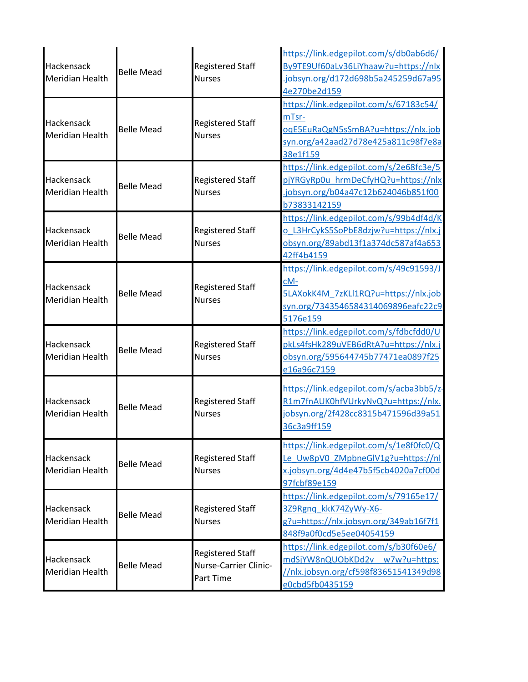| Hackensack<br>Meridian Health        | <b>Belle Mead</b> | <b>Registered Staff</b><br><b>Nurses</b>                      | https://link.edgepilot.com/s/db0ab6d6/<br>By9TE9Uf60aLv36LiYhaaw?u=https://nlx<br>.jobsyn.org/d172d698b5a245259d67a95<br>4e270be2d159     |
|--------------------------------------|-------------------|---------------------------------------------------------------|-------------------------------------------------------------------------------------------------------------------------------------------|
| Hackensack<br>Meridian Health        | <b>Belle Mead</b> | <b>Registered Staff</b><br><b>Nurses</b>                      | https://link.edgepilot.com/s/67183c54/<br>mTsr-<br>oqE5EuRaQgN5sSmBA?u=https://nlx.job<br>syn.org/a42aad27d78e425a811c98f7e8a<br>38e1f159 |
| Hackensack<br>Meridian Health        | <b>Belle Mead</b> | <b>Registered Staff</b><br><b>Nurses</b>                      | https://link.edgepilot.com/s/2e68fc3e/5<br>pjYRGyRp0u hrmDeCfyHQ?u=https://nlx<br>.jobsyn.org/b04a47c12b624046b851f00<br>b73833142159     |
| Hackensack<br><b>Meridian Health</b> | <b>Belle Mead</b> | <b>Registered Staff</b><br><b>Nurses</b>                      | https://link.edgepilot.com/s/99b4df4d/K<br>o L3HrCykS5SoPbE8dzjw?u=https://nlx.j<br>obsyn.org/89abd13f1a374dc587af4a653<br>42ff4b4159     |
| Hackensack<br>Meridian Health        | <b>Belle Mead</b> | <b>Registered Staff</b><br><b>Nurses</b>                      | https://link.edgepilot.com/s/49c91593/J<br>cM-<br>5LAXokK4M_7zKLl1RQ?u=https://nlx.job<br>syn.org/7343546584314069896eafc22c9<br>5176e159 |
| Hackensack<br>Meridian Health        | <b>Belle Mead</b> | <b>Registered Staff</b><br><b>Nurses</b>                      | https://link.edgepilot.com/s/fdbcfdd0/U<br>pkLs4fsHk289uVEB6dRtA?u=https://nlx.j<br>obsyn.org/595644745b77471ea0897f25<br>e16a96c7159     |
| Hackensack<br>Meridian Health        | <b>Belle Mead</b> | <b>Registered Staff</b><br><b>Nurses</b>                      | https://link.edgepilot.com/s/acba3bb5/z-<br>R1m7fnAUK0hfVUrkyNvQ?u=https://nlx.<br>jobsyn.org/2f428cc8315b471596d39a51<br>36c3a9ff159     |
| Hackensack<br><b>Meridian Health</b> | <b>Belle Mead</b> | <b>Registered Staff</b><br><b>Nurses</b>                      | https://link.edgepilot.com/s/1e8f0fc0/Q<br>Le Uw8pV0 ZMpbneGlV1g?u=https://nl<br>x.jobsyn.org/4d4e47b5f5cb4020a7cf00d<br>97fcbf89e159     |
| Hackensack<br>Meridian Health        | <b>Belle Mead</b> | <b>Registered Staff</b><br><b>Nurses</b>                      | https://link.edgepilot.com/s/79165e17/<br>3Z9Rgnq kkK74ZyWy-X6-<br>g?u=https://nlx.jobsyn.org/349ab16f7f1<br>848f9a0f0cd5e5ee04054159     |
| Hackensack<br>Meridian Health        | <b>Belle Mead</b> | <b>Registered Staff</b><br>Nurse-Carrier Clinic-<br>Part Time | https://link.edgepilot.com/s/b30f60e6/<br>mdSjYW8nQUObKDd2v w7w?u=https:<br>//nlx.jobsyn.org/cf598f83651541349d98<br>e0cbd5fb0435159      |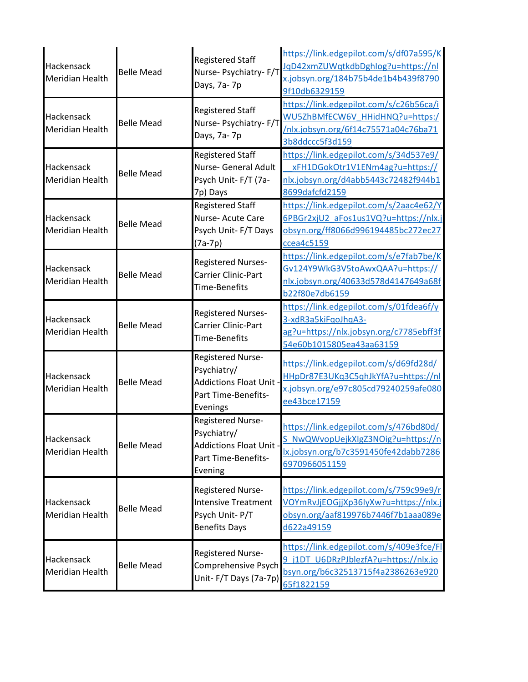| Hackensack<br><b>Meridian Health</b> | <b>Belle Mead</b> | <b>Registered Staff</b><br>Nurse- Psychiatry- F/T<br>Days, 7a-7p                                 | https://link.edgepilot.com/s/df07a595/K<br>JqD42xmZUWqtkdbDghlog?u=https://nl<br>x.jobsyn.org/184b75b4de1b4b439f8790<br>9f10db6329159 |
|--------------------------------------|-------------------|--------------------------------------------------------------------------------------------------|---------------------------------------------------------------------------------------------------------------------------------------|
| Hackensack<br><b>Meridian Health</b> | <b>Belle Mead</b> | <b>Registered Staff</b><br>Nurse- Psychiatry- F/T<br>Days, 7a-7p                                 | https://link.edgepilot.com/s/c26b56ca/i<br>WU5ZhBMfECW6V_HHidHNQ?u=https:/<br>/nlx.jobsyn.org/6f14c75571a04c76ba71<br>3b8ddccc5f3d159 |
| Hackensack<br><b>Meridian Health</b> | <b>Belle Mead</b> | <b>Registered Staff</b><br>Nurse- General Adult<br>Psych Unit- F/T (7a-<br>7p) Days              | https://link.edgepilot.com/s/34d537e9/<br>xFH1DGokOtr1V1ENm4ag?u=https://<br>nlx.jobsyn.org/d4abb5443c72482f944b1<br>8699dafcfd2159   |
| Hackensack<br><b>Meridian Health</b> | <b>Belle Mead</b> | <b>Registered Staff</b><br>Nurse- Acute Care<br>Psych Unit-F/T Days<br>$(7a-7p)$                 | https://link.edgepilot.com/s/2aac4e62/Y<br>6PBGr2xjU2 aFos1us1VQ?u=https://nlx.j<br>obsyn.org/ff8066d996194485bc272ec27<br>ccea4c5159 |
| Hackensack<br><b>Meridian Health</b> | <b>Belle Mead</b> | <b>Registered Nurses-</b><br><b>Carrier Clinic-Part</b><br><b>Time-Benefits</b>                  | https://link.edgepilot.com/s/e7fab7be/K<br>Gv124Y9WkG3V5toAwxQAA?u=https://<br>nlx.jobsyn.org/40633d578d4147649a68f<br>b22f80e7db6159 |
| Hackensack<br><b>Meridian Health</b> | <b>Belle Mead</b> | <b>Registered Nurses-</b><br>Carrier Clinic-Part<br><b>Time-Benefits</b>                         | https://link.edgepilot.com/s/01fdea6f/y<br>3-xdR3a5kiFqoJhqA3-<br>ag?u=https://nlx.jobsyn.org/c7785ebff3f<br>54e60b1015805ea43aa63159 |
| Hackensack<br><b>Meridian Health</b> | <b>Belle Mead</b> | Registered Nurse-<br>Psychiatry/<br>Addictions Float Unit<br>Part Time-Benefits-<br>Evenings     | https://link.edgepilot.com/s/d69fd28d/<br>HHpDr87E3UKq3C5qhJkYfA?u=https://nl<br>x.jobsyn.org/e97c805cd79240259afe080<br>ee43bce17159 |
| Hackensack<br><b>Meridian Health</b> | <b>Belle Mead</b> | Registered Nurse-<br>Psychiatry/<br>Addictions Float Unit<br>Part Time-Benefits-<br>Evening      | https://link.edgepilot.com/s/476bd80d/<br>NwQWvopUejkXIgZ3NOig?u=https://n<br>lx.jobsyn.org/b7c3591450fe42dabb7286<br>6970966051159   |
| Hackensack<br><b>Meridian Health</b> | <b>Belle Mead</b> | <b>Registered Nurse-</b><br><b>Intensive Treatment</b><br>Psych Unit-P/T<br><b>Benefits Days</b> | https://link.edgepilot.com/s/759c99e9/r<br>VOYmRvJjEOGjjXp36IyXw?u=https://nlx.j<br>obsyn.org/aaf819976b7446f7b1aaa089e<br>d622a49159 |
| Hackensack<br><b>Meridian Health</b> | <b>Belle Mead</b> | Registered Nurse-<br>Comprehensive Psych<br>Unit-F/T Days (7a-7p)                                | https://link.edgepilot.com/s/409e3fce/Fl<br>j1DT U6DRzPJblezfA?u=https://nlx.jo<br>bsyn.org/b6c32513715f4a2386263e920<br>65f1822159   |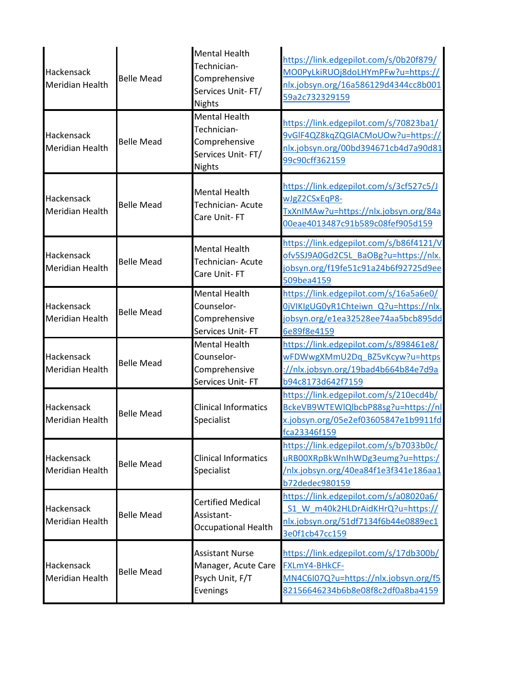| Hackensack<br><b>Meridian Health</b> | <b>Belle Mead</b> | <b>Mental Health</b><br>Technician-<br>Comprehensive<br>Services Unit-FT/<br><b>Nights</b> | https://link.edgepilot.com/s/0b20f879/<br>MO0PyLkiRUOj8doLHYmPFw?u=https://<br>nlx.jobsyn.org/16a586129d4344cc8b001<br>59a2c732329159 |
|--------------------------------------|-------------------|--------------------------------------------------------------------------------------------|---------------------------------------------------------------------------------------------------------------------------------------|
| Hackensack<br><b>Meridian Health</b> | <b>Belle Mead</b> | <b>Mental Health</b><br>Technician-<br>Comprehensive<br>Services Unit-FT/<br><b>Nights</b> | https://link.edgepilot.com/s/70823ba1/<br>9vGIF4QZ8kqZQGIACMoUOw?u=https://<br>nlx.jobsyn.org/00bd394671cb4d7a90d81<br>99c90cff362159 |
| Hackensack<br>Meridian Health        | <b>Belle Mead</b> | <b>Mental Health</b><br>Technician- Acute<br>Care Unit-FT                                  | https://link.edgepilot.com/s/3cf527c5/J<br>wJgZ2CSxEqP8-<br>TxXnIMAw?u=https://nlx.jobsyn.org/84a<br>00eae4013487c91b589c08fef905d159 |
| Hackensack<br>Meridian Health        | <b>Belle Mead</b> | Mental Health<br>Technician- Acute<br>Care Unit-FT                                         | https://link.edgepilot.com/s/b86f4121/V<br>ofv5SJ9A0Gd2C5L BaOBg?u=https://nlx.<br>jobsyn.org/f19fe51c91a24b6f92725d9ee<br>509bea4159 |
| Hackensack<br>Meridian Health        | <b>Belle Mead</b> | Mental Health<br>Counselor-<br>Comprehensive<br>Services Unit-FT                           | https://link.edgepilot.com/s/16a5a6e0/<br>0jVIKIgUG0yR1Chteiwn Q?u=https://nlx.<br>jobsyn.org/e1ea32528ee74aa5bcb895dd<br>6e89f8e4159 |
| Hackensack<br><b>Meridian Health</b> | <b>Belle Mead</b> | <b>Mental Health</b><br>Counselor-<br>Comprehensive<br>Services Unit-FT                    | https://link.edgepilot.com/s/898461e8/<br>wFDWwgXMmU2Dq BZ5vKcyw?u=https<br>://nlx.jobsyn.org/19bad4b664b84e7d9a<br>b94c8173d642f7159 |
| Hackensack<br>Meridian Health        | <b>Belle Mead</b> | <b>Clinical Informatics</b><br>Specialist                                                  | https://link.edgepilot.com/s/210ecd4b/<br>BckeVB9WTEWIQlbcbP88sg?u=https://nl<br>x.jobsyn.org/05e2ef03605847e1b9911fd<br>fca23346f159 |
| Hackensack<br>Meridian Health        | <b>Belle Mead</b> | <b>Clinical Informatics</b><br>Specialist                                                  | https://link.edgepilot.com/s/b7033b0c/<br>uRB00XRpBkWnIhWDg3eumg?u=https:/<br>/nlx.jobsyn.org/40ea84f1e3f341e186aa1<br>b72dedec980159 |
| Hackensack<br>Meridian Health        | <b>Belle Mead</b> | <b>Certified Medical</b><br>Assistant-<br><b>Occupational Health</b>                       | https://link.edgepilot.com/s/a08020a6/<br>S1 W m40k2HLDrAidKHrQ?u=https://<br>nlx.jobsyn.org/51df7134f6b44e0889ec1<br>3e0f1cb47cc159  |
| Hackensack<br>Meridian Health        | <b>Belle Mead</b> | <b>Assistant Nurse</b><br>Manager, Acute Care<br>Psych Unit, F/T<br>Evenings               | https://link.edgepilot.com/s/17db300b/<br>FXLmY4-BHkCF-<br>MN4C6I07Q?u=https://nlx.jobsyn.org/f5<br>82156646234b6b8e08f8c2df0a8ba4159 |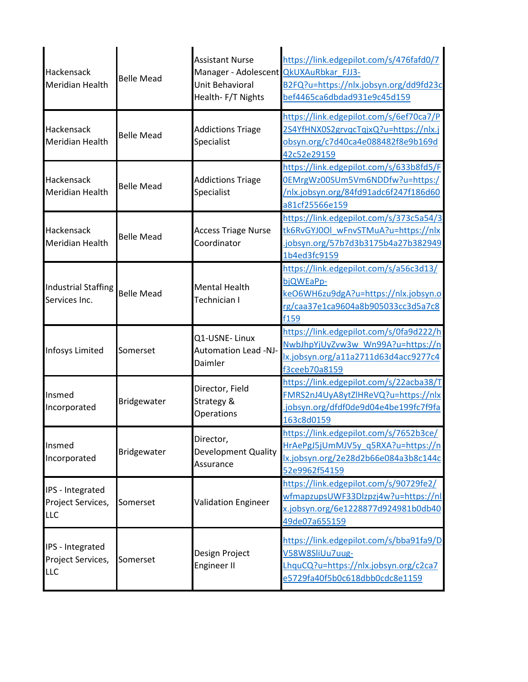| Hackensack<br><b>Meridian Health</b>                | <b>Belle Mead</b> | <b>Assistant Nurse</b><br>Manager - Adolescent QkUXAuRbkar FJJ3-<br>Unit Behavioral<br>Health-F/T Nights | https://link.edgepilot.com/s/476fafd0/7<br>B2FQ?u=https://nlx.jobsyn.org/dd9fd23c<br>bef4465ca6dbdad931e9c45d159                          |
|-----------------------------------------------------|-------------------|----------------------------------------------------------------------------------------------------------|-------------------------------------------------------------------------------------------------------------------------------------------|
| Hackensack<br><b>Meridian Health</b>                | <b>Belle Mead</b> | <b>Addictions Triage</b><br>Specialist                                                                   | https://link.edgepilot.com/s/6ef70ca7/P<br>2S4YfHNX0S2grvqcTqjxQ?u=https://nlx.j<br>obsyn.org/c7d40ca4e088482f8e9b169d<br>42c52e29159     |
| Hackensack<br><b>Meridian Health</b>                | <b>Belle Mead</b> | <b>Addictions Triage</b><br>Specialist                                                                   | https://link.edgepilot.com/s/633b8fd5/F<br>0EMrgWz00SUm5Vm6NDDfw?u=https:/<br>/nlx.jobsyn.org/84fd91adc6f247f186d60<br>a81cf25566e159     |
| Hackensack<br><b>Meridian Health</b>                | <b>Belle Mead</b> | <b>Access Triage Nurse</b><br>Coordinator                                                                | https://link.edgepilot.com/s/373c5a54/3<br>tk6RvGYJ0Ol wFnvSTMuA?u=https://nlx<br>.jobsyn.org/57b7d3b3175b4a27b382949<br>1b4ed3fc9159     |
| <b>Industrial Staffing</b><br>Services Inc.         | <b>Belle Mead</b> | <b>Mental Health</b><br>Technician I                                                                     | https://link.edgepilot.com/s/a56c3d13/<br>bjQWEaPp-<br>keO6WH6zu9dgA?u=https://nlx.jobsyn.o<br>rg/caa37e1ca9604a8b905033cc3d5a7c8<br>f159 |
| <b>Infosys Limited</b>                              | Somerset          | Q1-USNE-Linux<br><b>Automation Lead -NJ-</b><br>Daimler                                                  | https://link.edgepilot.com/s/0fa9d222/h<br>NwbJhpYjUyZvw3w Wn99A?u=https://n<br>lx.jobsyn.org/a11a2711d63d4acc9277c4<br>f3ceeb70a8159     |
| Insmed<br>Incorporated                              | Bridgewater       | Director, Field<br>Strategy &<br>Operations                                                              | https://link.edgepilot.com/s/22acba38/T<br>FMRS2nJ4UyA8ytZlHReVQ?u=https://nlx<br>.jobsyn.org/dfdf0de9d04e4be199fc7f9fa<br>163c8d0159     |
| Insmed<br>Incorporated                              | Bridgewater       | Director,<br><b>Development Quality</b><br>Assurance                                                     | https://link.edgepilot.com/s/7652b3ce/<br>HrAePgJ5jUmMJV5y_q5RXA?u=https://n<br>lx.jobsyn.org/2e28d2b66e084a3b8c144c<br>52e9962f54159     |
| IPS - Integrated<br>Project Services,<br><b>LLC</b> | Somerset          | <b>Validation Engineer</b>                                                                               | https://link.edgepilot.com/s/90729fe2/<br>wfmapzupsUWF33Dlzpzj4w?u=https://nl<br>x.jobsyn.org/6e1228877d924981b0db40<br>49de07a655159     |
| IPS - Integrated<br>Project Services,<br><b>LLC</b> | Somerset          | Design Project<br><b>Engineer II</b>                                                                     | https://link.edgepilot.com/s/bba91fa9/D<br>V58W8SliUu7uug-<br>LhquCQ?u=https://nlx.jobsyn.org/c2ca7<br>e5729fa40f5b0c618dbb0cdc8e1159     |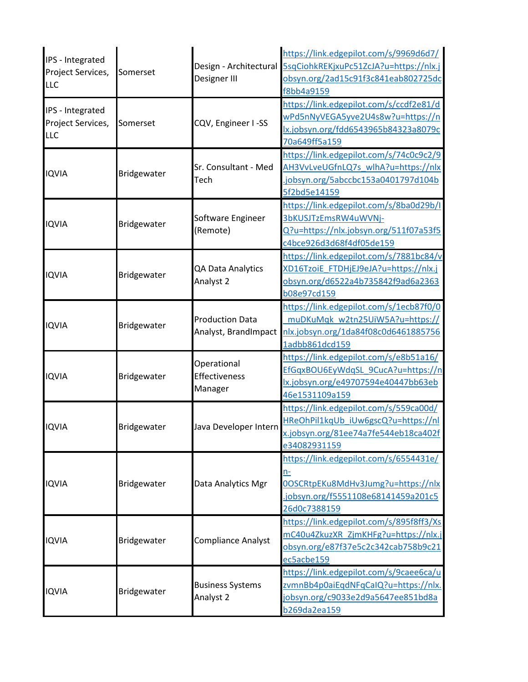| IPS - Integrated<br>Project Services,<br><b>LLC</b> | Somerset    | Design - Architectural<br>Designer III         | https://link.edgepilot.com/s/9969d6d7/<br>5sqCiohkREKjxuPc51ZcJA?u=https://nlx.j<br>obsyn.org/2ad15c91f3c841eab802725dc<br>f8bb4a9159     |
|-----------------------------------------------------|-------------|------------------------------------------------|-------------------------------------------------------------------------------------------------------------------------------------------|
| IPS - Integrated<br>Project Services,<br><b>LLC</b> | Somerset    | CQV, Engineer I-SS                             | https://link.edgepilot.com/s/ccdf2e81/d<br>wPd5nNyVEGA5yve2U4s8w?u=https://n<br>lx.jobsyn.org/fdd6543965b84323a8079c<br>70a649ff5a159     |
| <b>IQVIA</b>                                        | Bridgewater | Sr. Consultant - Med<br>Tech                   | https://link.edgepilot.com/s/74c0c9c2/9<br>AH3VvLveUGfnLQ7s wlhA?u=https://nlx<br>.jobsyn.org/5abccbc153a0401797d104b<br>5f2bd5e14159     |
| <b>IQVIA</b>                                        | Bridgewater | Software Engineer<br>(Remote)                  | https://link.edgepilot.com/s/8ba0d29b/l<br>3bKUSJTzEmsRW4uWVNj-<br>Q?u=https://nlx.jobsyn.org/511f07a53f5<br>c4bce926d3d68f4df05de159     |
| <b>IQVIA</b>                                        | Bridgewater | QA Data Analytics<br>Analyst 2                 | https://link.edgepilot.com/s/7881bc84/v<br>XD16TzoiE FTDHjEJ9eJA?u=https://nlx.j<br>obsyn.org/d6522a4b735842f9ad6a2363<br>b08e97cd159     |
| <b>IQVIA</b>                                        | Bridgewater | <b>Production Data</b><br>Analyst, BrandImpact | https://link.edgepilot.com/s/1ecb87f0/0<br>muDKuMqk w2tn25UiW5A?u=https://<br>nlx.jobsyn.org/1da84f08c0d6461885756<br>1adbb861dcd159      |
| <b>IQVIA</b>                                        | Bridgewater | Operational<br>Effectiveness<br>Manager        | https://link.edgepilot.com/s/e8b51a16/<br>EfGqxBOU6EyWdqSL 9CucA?u=https://n<br>lx.jobsyn.org/e49707594e40447bb63eb<br>46e1531109a159     |
| <b>IQVIA</b>                                        | Bridgewater | Java Developer Intern                          | https://link.edgepilot.com/s/559ca00d/<br>HReOhPil1kqUb iUw6gscQ?u=https://nl<br>x.jobsyn.org/81ee74a7fe544eb18ca402f<br>e34082931159     |
| <b>IQVIA</b>                                        | Bridgewater | Data Analytics Mgr                             | https://link.edgepilot.com/s/6554431e/<br>n-<br>0OSCRtpEKu8MdHv3Jumg?u=https://nlx<br>.jobsyn.org/f5551108e68141459a201c5<br>26d0c7388159 |
| <b>IQVIA</b>                                        | Bridgewater | Compliance Analyst                             | https://link.edgepilot.com/s/895f8ff3/Xs<br>mC40u4ZkuzXR ZjmKHFg?u=https://nlx.j<br>obsyn.org/e87f37e5c2c342cab758b9c21<br>ec5acbe159     |
| <b>IQVIA</b>                                        | Bridgewater | <b>Business Systems</b><br>Analyst 2           | https://link.edgepilot.com/s/9caee6ca/u<br>zvmnBb4p0aiEqdNFqCaIQ?u=https://nlx.<br>jobsyn.org/c9033e2d9a5647ee851bd8a<br>b269da2ea159     |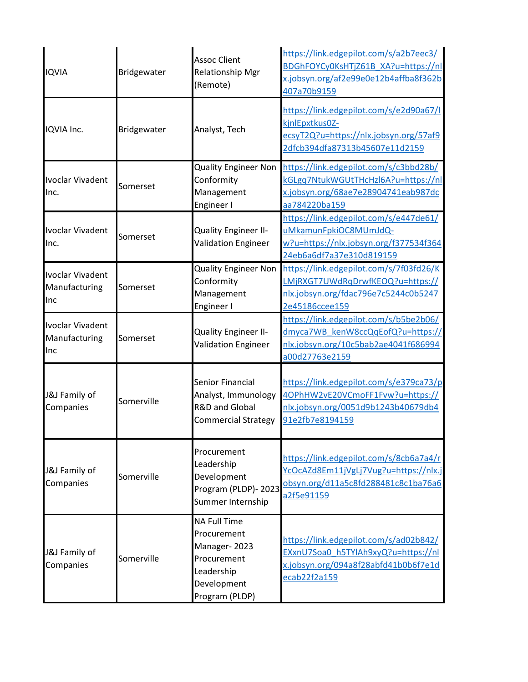| <b>IQVIA</b>                                    | Bridgewater | <b>Assoc Client</b><br><b>Relationship Mgr</b><br>(Remote)                                                       | https://link.edgepilot.com/s/a2b7eec3/<br>BDGhFOYCy0KsHTjZ61B_XA?u=https://nl<br>x.jobsyn.org/af2e99e0e12b4affba8f362b<br>407a70b9159 |
|-------------------------------------------------|-------------|------------------------------------------------------------------------------------------------------------------|---------------------------------------------------------------------------------------------------------------------------------------|
| IQVIA Inc.                                      | Bridgewater | Analyst, Tech                                                                                                    | https://link.edgepilot.com/s/e2d90a67/l<br>kjnlEpxtkus0Z-<br>ecsyT2Q?u=https://nlx.jobsyn.org/57af9<br>2dfcb394dfa87313b45607e11d2159 |
| Ivoclar Vivadent<br>Inc.                        | Somerset    | <b>Quality Engineer Non</b><br>Conformity<br>Management<br>Engineer I                                            | https://link.edgepilot.com/s/c3bbd28b/<br>kGLgq7NtukWGUtTHcHzl6A?u=https://nl<br>x.jobsyn.org/68ae7e28904741eab987dc<br>aa784220ba159 |
| Ivoclar Vivadent<br>Inc.                        | Somerset    | Quality Engineer II-<br><b>Validation Engineer</b>                                                               | https://link.edgepilot.com/s/e447de61/<br>uMkamunFpkiOC8MUmJdQ-<br>w?u=https://nlx.jobsyn.org/f377534f364<br>24eb6a6df7a37e310d819159 |
| Ivoclar Vivadent<br>Manufacturing<br>Inc        | Somerset    | <b>Quality Engineer Non</b><br>Conformity<br>Management<br>Engineer I                                            | https://link.edgepilot.com/s/7f03fd26/K<br>LMjRXGT7UWdRqDrwfKEOQ?u=https://<br>nlx.jobsyn.org/fdac796e7c5244c0b5247<br>2e45186ccee159 |
| <b>Ivoclar Vivadent</b><br>Manufacturing<br>Inc | Somerset    | Quality Engineer II-<br><b>Validation Engineer</b>                                                               | https://link.edgepilot.com/s/b5be2b06/<br>dmyca7WB_kenW8ccQqEofQ?u=https://<br>nlx.jobsyn.org/10c5bab2ae4041f686994<br>a00d27763e2159 |
| J&J Family of<br>Companies                      | Somerville  | <b>Senior Financial</b><br>Analyst, Immunology<br><b>R&amp;D and Global</b><br><b>Commercial Strategy</b>        | https://link.edgepilot.com/s/e379ca73/p<br>4OPhHW2vE20VCmoFF1Fvw?u=https://<br>nlx.jobsyn.org/0051d9b1243b40679db4<br>91e2fb7e8194159 |
| J&J Family of<br>Companies                      | Somerville  | Procurement<br>Leadership<br>Development<br>Program (PLDP)- 2023<br>Summer Internship                            | https://link.edgepilot.com/s/8cb6a7a4/r<br>YcOcAZd8Em11jVgLj7Vug?u=https://nlx.j<br>obsyn.org/d11a5c8fd288481c8c1ba76a6<br>a2f5e91159 |
| J&J Family of<br>Companies                      | Somerville  | <b>NA Full Time</b><br>Procurement<br>Manager-2023<br>Procurement<br>Leadership<br>Development<br>Program (PLDP) | https://link.edgepilot.com/s/ad02b842/<br>EXxnU7Soa0 h5TYlAh9xyQ?u=https://nl<br>x.jobsyn.org/094a8f28abfd41b0b6f7e1d<br>ecab22f2a159 |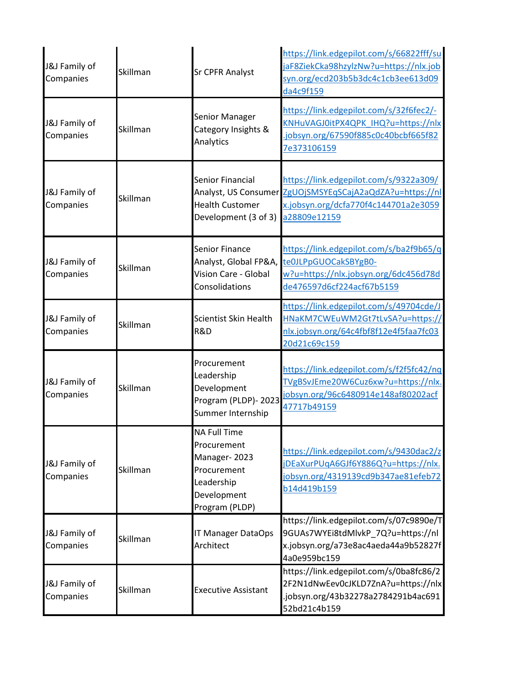| J&J Family of<br>Companies | Skillman | <b>Sr CPFR Analyst</b>                                                                                           | https://link.edgepilot.com/s/66822fff/su<br>jaF8ZiekCka98hzylzNw?u=https://nlx.job<br>syn.org/ecd203b5b3dc4c1cb3ee613d09<br>da4c9f159 |
|----------------------------|----------|------------------------------------------------------------------------------------------------------------------|---------------------------------------------------------------------------------------------------------------------------------------|
| J&J Family of<br>Companies | Skillman | Senior Manager<br>Category Insights &<br>Analytics                                                               | https://link.edgepilot.com/s/32f6fec2/-<br>KNHuVAGJ0itPX4QPK IHQ?u=https://nlx<br>jobsyn.org/67590f885c0c40bcbf665f82<br>7e373106159  |
| J&J Family of<br>Companies | Skillman | Senior Financial<br>Analyst, US Consumer<br><b>Health Customer</b><br>Development (3 of 3)                       | https://link.edgepilot.com/s/9322a309/<br>ZgUOjSMSYEqSCajA2aQdZA?u=https://nl<br>x.jobsyn.org/dcfa770f4c144701a2e3059<br>a28809e12159 |
| J&J Family of<br>Companies | Skillman | <b>Senior Finance</b><br>Analyst, Global FP&A,<br>Vision Care - Global<br>Consolidations                         | https://link.edgepilot.com/s/ba2f9b65/q<br>te0JLPpGUOCakSBYgB0-<br>w?u=https://nlx.jobsyn.org/6dc456d78d<br>de476597d6cf224acf67b5159 |
| J&J Family of<br>Companies | Skillman | Scientist Skin Health<br>R&D                                                                                     | https://link.edgepilot.com/s/49704cde/J<br>HNaKM7CWEuWM2Gt7tLvSA?u=https://<br>nlx.jobsyn.org/64c4fbf8f12e4f5faa7fc03<br>20d21c69c159 |
| J&J Family of<br>Companies | Skillman | Procurement<br>Leadership<br>Development<br>Program (PLDP)- 2023<br>Summer Internship                            | https://link.edgepilot.com/s/f2f5fc42/nq<br>TVgBSvJEme20W6Cuz6xw?u=https://nlx.<br>jobsyn.org/96c6480914e148af80202acf<br>47717b49159 |
| J&J Family of<br>Companies | Skillman | <b>NA Full Time</b><br>Procurement<br>Manager-2023<br>Procurement<br>Leadership<br>Development<br>Program (PLDP) | https://link.edgepilot.com/s/9430dac2/z<br>jDEaXurPUqA6GJf6Y886Q?u=https://nlx.<br>jobsyn.org/4319139cd9b347ae81efeb72<br>b14d419b159 |
| J&J Family of<br>Companies | Skillman | IT Manager DataOps<br>Architect                                                                                  | https://link.edgepilot.com/s/07c9890e/T<br>9GUAs7WYEi8tdMlvkP_7Q?u=https://nl<br>x.jobsyn.org/a73e8ac4aeda44a9b52827f<br>4a0e959bc159 |
| J&J Family of<br>Companies | Skillman | <b>Executive Assistant</b>                                                                                       | https://link.edgepilot.com/s/0ba8fc86/2<br>2F2N1dNwEev0cJKLD7ZnA?u=https://nlx<br>.jobsyn.org/43b32278a2784291b4ac691<br>52bd21c4b159 |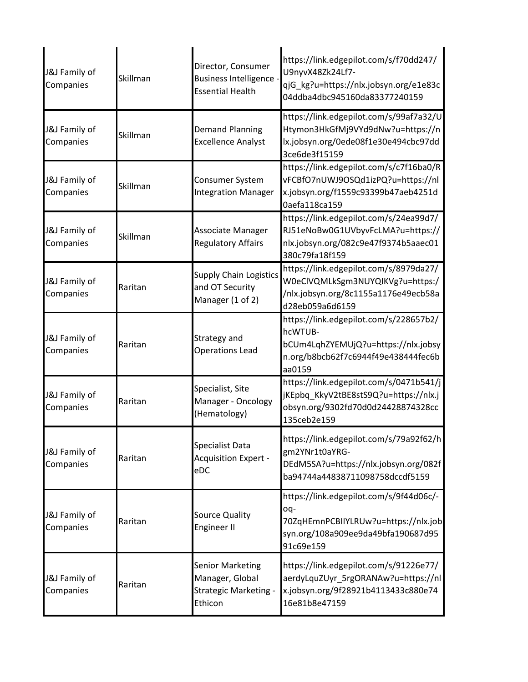| J&J Family of<br>Companies | Skillman | Director, Consumer<br><b>Business Intelligence</b><br><b>Essential Health</b>         | https://link.edgepilot.com/s/f70dd247/<br>U9nyvX48Zk24Lf7-<br>qjG_kg?u=https://nlx.jobsyn.org/e1e83c<br>04ddba4dbc945160da83377240159     |
|----------------------------|----------|---------------------------------------------------------------------------------------|-------------------------------------------------------------------------------------------------------------------------------------------|
| J&J Family of<br>Companies | Skillman | <b>Demand Planning</b><br><b>Excellence Analyst</b>                                   | https://link.edgepilot.com/s/99af7a32/U<br>Htymon3HkGfMj9VYd9dNw?u=https://n<br>lx.jobsyn.org/0ede08f1e30e494cbc97dd<br>3ce6de3f15159     |
| J&J Family of<br>Companies | Skillman | Consumer System<br><b>Integration Manager</b>                                         | https://link.edgepilot.com/s/c7f16ba0/R<br>vFCBfO7nUWJ9OSQd1izPQ?u=https://nl<br>x.jobsyn.org/f1559c93399b47aeb4251d<br>0aefa118ca159     |
| J&J Family of<br>Companies | Skillman | Associate Manager<br><b>Regulatory Affairs</b>                                        | https://link.edgepilot.com/s/24ea99d7/<br>RJ51eNoBw0G1UVbyvFcLMA?u=https://<br>nlx.jobsyn.org/082c9e47f9374b5aaec01<br>380c79fa18f159     |
| J&J Family of<br>Companies | Raritan  | <b>Supply Chain Logistics</b><br>and OT Security<br>Manager (1 of 2)                  | https://link.edgepilot.com/s/8979da27/<br>W0eClVQMLkSgm3NUYQIKVg?u=https:/<br>/nlx.jobsyn.org/8c1155a1176e49ecb58a<br>d28eb059a6d6159     |
| J&J Family of<br>Companies | Raritan  | Strategy and<br><b>Operations Lead</b>                                                | https://link.edgepilot.com/s/228657b2/<br>hcWTUB-<br>bCUm4LqhZYEMUjQ?u=https://nlx.jobsy<br>n.org/b8bcb62f7c6944f49e438444fec6b<br>aa0159 |
| J&J Family of<br>Companies | Raritan  | Specialist, Site<br>Manager - Oncology<br>(Hematology)                                | https://link.edgepilot.com/s/0471b541/j<br>jKEpbq_KkyV2tBE8stS9Q?u=https://nlx.j<br>obsyn.org/9302fd70d0d24428874328cc<br>135ceb2e159     |
| J&J Family of<br>Companies | Raritan  | <b>Specialist Data</b><br><b>Acquisition Expert -</b><br>eDC                          | https://link.edgepilot.com/s/79a92f62/h<br>gm2YNr1t0aYRG-<br>DEdM5SA?u=https://nlx.jobsyn.org/082f<br>ba94744a44838711098758dccdf5159     |
| J&J Family of<br>Companies | Raritan  | <b>Source Quality</b><br>Engineer II                                                  | https://link.edgepilot.com/s/9f44d06c/-<br>oq-<br>70ZqHEmnPCBIIYLRUw?u=https://nlx.job<br>syn.org/108a909ee9da49bfa190687d95<br>91c69e159 |
| J&J Family of<br>Companies | Raritan  | <b>Senior Marketing</b><br>Manager, Global<br><b>Strategic Marketing -</b><br>Ethicon | https://link.edgepilot.com/s/91226e77/<br>aerdyLquZUyr_5rgORANAw?u=https://nl<br>x.jobsyn.org/9f28921b4113433c880e74<br>16e81b8e47159     |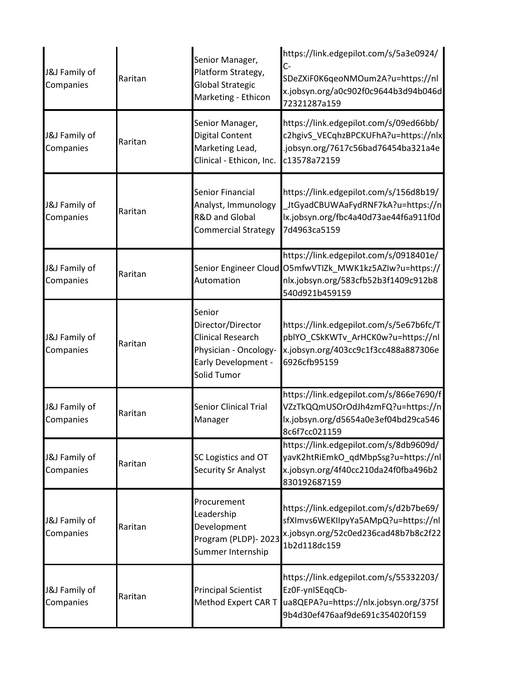| J&J Family of<br>Companies | Raritan | Senior Manager,<br>Platform Strategy,<br><b>Global Strategic</b><br>Marketing - Ethicon                                | https://link.edgepilot.com/s/5a3e0924/<br>C-<br>SDeZXiF0K6qeoNMOum2A?u=https://nl<br>x.jobsyn.org/a0c902f0c9644b3d94b046d<br>72321287a159                   |
|----------------------------|---------|------------------------------------------------------------------------------------------------------------------------|-------------------------------------------------------------------------------------------------------------------------------------------------------------|
| J&J Family of<br>Companies | Raritan | Senior Manager,<br><b>Digital Content</b><br>Marketing Lead,<br>Clinical - Ethicon, Inc.                               | https://link.edgepilot.com/s/09ed66bb/<br>c2hgivS_VECqhzBPCKUFhA?u=https://nlx<br>.jobsyn.org/7617c56bad76454ba321a4e<br>c13578a72159                       |
| J&J Family of<br>Companies | Raritan | Senior Financial<br>Analyst, Immunology<br><b>R&amp;D and Global</b><br><b>Commercial Strategy</b>                     | https://link.edgepilot.com/s/156d8b19/<br>JtGyadCBUWAaFydRNF7kA?u=https://n<br>lx.jobsyn.org/fbc4a40d73ae44f6a911f0d<br>7d4963ca5159                        |
| J&J Family of<br>Companies | Raritan | Automation                                                                                                             | https://link.edgepilot.com/s/0918401e/<br>Senior Engineer Cloud O5mfwVTIZk MWK1kz5AZIw?u=https://<br>nlx.jobsyn.org/583cfb52b3f1409c912b8<br>540d921b459159 |
| J&J Family of<br>Companies | Raritan | Senior<br>Director/Director<br><b>Clinical Research</b><br>Physician - Oncology-<br>Early Development -<br>Solid Tumor | https://link.edgepilot.com/s/5e67b6fc/T<br>pblYO_CSkKWTv_ArHCK0w?u=https://nl<br>x.jobsyn.org/403cc9c1f3cc488a887306e<br>6926cfb95159                       |
| J&J Family of<br>Companies | Raritan | <b>Senior Clinical Trial</b><br>Manager                                                                                | https://link.edgepilot.com/s/866e7690/f<br>VZzTkQQmUSOrOdJh4zmFQ?u=https://n<br>lx.jobsyn.org/d5654a0e3ef04bd29ca546<br>8c6f7cc021159                       |
| J&J Family of<br>Companies | Raritan | SC Logistics and OT<br>Security Sr Analyst                                                                             | https://link.edgepilot.com/s/8db9609d/<br>yavK2htRiEmkO qdMbpSsg?u=https://nl<br>x.jobsyn.org/4f40cc210da24f0fba496b2<br>830192687159                       |
| J&J Family of<br>Companies | Raritan | Procurement<br>Leadership<br>Development<br>Program (PLDP)- 2023<br>Summer Internship                                  | https://link.edgepilot.com/s/d2b7be69/<br>sfXImvs6WEKIIpyYa5AMpQ?u=https://nl<br>x.jobsyn.org/52c0ed236cad48b7b8c2f22<br>1b2d118dc159                       |
| J&J Family of<br>Companies | Raritan | <b>Principal Scientist</b><br>Method Expert CAR T                                                                      | https://link.edgepilot.com/s/55332203/<br>Ez0F-ynISEqqCb-<br>ua8QEPA?u=https://nlx.jobsyn.org/375f<br>9b4d30ef476aaf9de691c354020f159                       |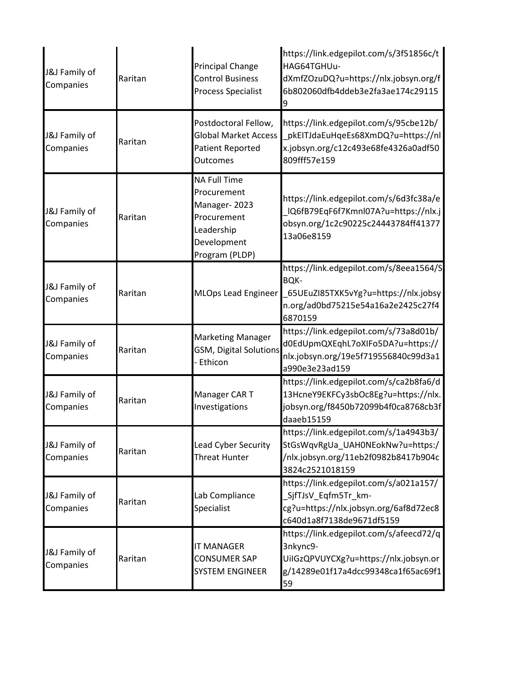| J&J Family of<br>Companies | Raritan | <b>Principal Change</b><br><b>Control Business</b><br>Process Specialist                                         | https://link.edgepilot.com/s/3f51856c/t<br>HAG64TGHUu-<br>dXmfZOzuDQ?u=https://nlx.jobsyn.org/f<br>6b802060dfb4ddeb3e2fa3ae174c29115<br>9        |
|----------------------------|---------|------------------------------------------------------------------------------------------------------------------|--------------------------------------------------------------------------------------------------------------------------------------------------|
| J&J Family of<br>Companies | Raritan | Postdoctoral Fellow,<br><b>Global Market Access</b><br>Patient Reported<br>Outcomes                              | https://link.edgepilot.com/s/95cbe12b/<br>pkEITJdaEuHqeEs68XmDQ?u=https://nl<br>x.jobsyn.org/c12c493e68fe4326a0adf50<br>809fff57e159             |
| J&J Family of<br>Companies | Raritan | <b>NA Full Time</b><br>Procurement<br>Manager-2023<br>Procurement<br>Leadership<br>Development<br>Program (PLDP) | https://link.edgepilot.com/s/6d3fc38a/e<br>IQ6fB79EqF6f7Kmnl07A?u=https://nlx.j<br>obsyn.org/1c2c90225c24443784ff41377<br>13a06e8159             |
| J&J Family of<br>Companies | Raritan | <b>MLOps Lead Engineer</b>                                                                                       | https://link.edgepilot.com/s/8eea1564/S<br><b>BQK-</b><br>65UEuZI85TXK5vYg?u=https://nlx.jobsy_<br>n.org/ad0bd75215e54a16a2e2425c27f4<br>6870159 |
| J&J Family of<br>Companies | Raritan | <b>Marketing Manager</b><br><b>GSM, Digital Solutions</b><br>Ethicon                                             | https://link.edgepilot.com/s/73a8d01b/<br>d0EdUpmQXEqhL7oXIFo5DA?u=https://<br>nlx.jobsyn.org/19e5f719556840c99d3a1<br>a990e3e23ad159            |
| J&J Family of<br>Companies | Raritan | Manager CAR T<br>Investigations                                                                                  | https://link.edgepilot.com/s/ca2b8fa6/d<br>13HcneY9EKFCy3sbOc8Eg?u=https://nlx.<br>jobsyn.org/f8450b72099b4f0ca8768cb3f<br>daaeb15159            |
| J&J Family of<br>Companies | Raritan | Lead Cyber Security<br><b>Threat Hunter</b>                                                                      | https://link.edgepilot.com/s/1a4943b3/<br>StGsWqvRgUa_UAH0NEokNw?u=https:/<br>/nlx.jobsyn.org/11eb2f0982b8417b904c<br>3824c2521018159            |
| J&J Family of<br>Companies | Raritan | Lab Compliance<br>Specialist                                                                                     | https://link.edgepilot.com/s/a021a157/<br>SjfTJsV_Eqfm5Tr_km-<br>cg?u=https://nlx.jobsyn.org/6af8d72ec8<br>c640d1a8f7138de9671df5159             |
| J&J Family of<br>Companies | Raritan | <b>IT MANAGER</b><br><b>CONSUMER SAP</b><br><b>SYSTEM ENGINEER</b>                                               | https://link.edgepilot.com/s/afeecd72/q<br>3nkync9-<br>UilGzQPVUYCXg?u=https://nlx.jobsyn.or<br>g/14289e01f17a4dcc99348ca1f65ac69f1<br>59        |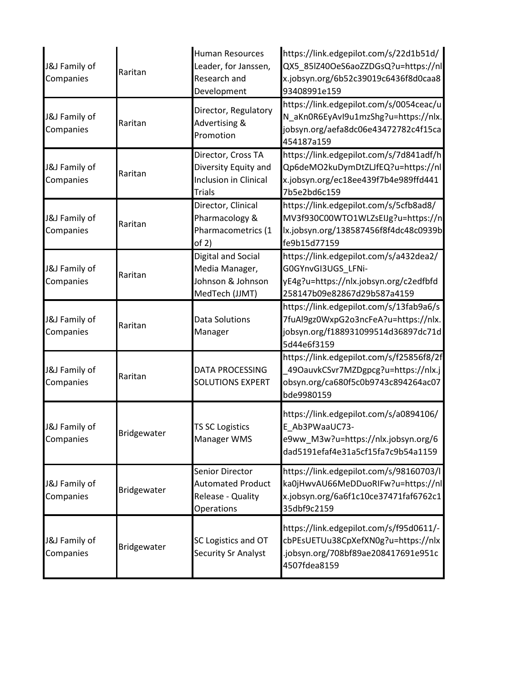| J&J Family of<br>Companies | Raritan     | <b>Human Resources</b><br>Leader, for Janssen,<br>Research and<br>Development        | https://link.edgepilot.com/s/22d1b51d/<br>QX5_85lZ40OeS6aoZZDGsQ?u=https://nl<br>x.jobsyn.org/6b52c39019c6436f8d0caa8<br>93408991e159 |
|----------------------------|-------------|--------------------------------------------------------------------------------------|---------------------------------------------------------------------------------------------------------------------------------------|
| J&J Family of<br>Companies | Raritan     | Director, Regulatory<br><b>Advertising &amp;</b><br>Promotion                        | https://link.edgepilot.com/s/0054ceac/u<br>N_aKn0R6EyAvI9u1mzShg?u=https://nlx.<br>jobsyn.org/aefa8dc06e43472782c4f15ca<br>454187a159 |
| J&J Family of<br>Companies | Raritan     | Director, Cross TA<br>Diversity Equity and<br>Inclusion in Clinical<br><b>Trials</b> | https://link.edgepilot.com/s/7d841adf/h<br>Qp6deMO2kuDymDtZLJfEQ?u=https://nl<br>x.jobsyn.org/ec18ee439f7b4e989ffd441<br>7b5e2bd6c159 |
| J&J Family of<br>Companies | Raritan     | Director, Clinical<br>Pharmacology &<br>Pharmacometrics (1<br>of 2)                  | https://link.edgepilot.com/s/5cfb8ad8/<br>MV3f930C00WTO1WLZsEIJg?u=https://n<br>lx.jobsyn.org/138587456f8f4dc48c0939b<br>fe9b15d77159 |
| J&J Family of<br>Companies | Raritan     | Digital and Social<br>Media Manager,<br>Johnson & Johnson<br>MedTech (JJMT)          | https://link.edgepilot.com/s/a432dea2/<br>G0GYnvGI3UGS_LFNi-<br>yE4g?u=https://nlx.jobsyn.org/c2edfbfd<br>258147b09e82867d29b587a4159 |
| J&J Family of<br>Companies | Raritan     | Data Solutions<br>Manager                                                            | https://link.edgepilot.com/s/13fab9a6/s<br>7fuAl9gz0WxpG2o3ncFeA?u=https://nlx.<br>jobsyn.org/f188931099514d36897dc71d<br>5d44e6f3159 |
| J&J Family of<br>Companies | Raritan     | <b>DATA PROCESSING</b><br><b>SOLUTIONS EXPERT</b>                                    | https://link.edgepilot.com/s/f25856f8/2f<br>49OauvkCSvr7MZDgpcg?u=https://nlx.j<br>obsyn.org/ca680f5c0b9743c894264ac07<br>bde9980159  |
| J&J Family of<br>Companies | Bridgewater | <b>TS SC Logistics</b><br>Manager WMS                                                | https://link.edgepilot.com/s/a0894106/<br>E Ab3PWaaUC73-<br>e9ww_M3w?u=https://nlx.jobsyn.org/6<br>dad5191efaf4e31a5cf15fa7c9b54a1159 |
| J&J Family of<br>Companies | Bridgewater | Senior Director<br><b>Automated Product</b><br>Release - Quality<br>Operations       | https://link.edgepilot.com/s/98160703/l<br>ka0jHwvAU66MeDDuoRIFw?u=https://nl<br>x.jobsyn.org/6a6f1c10ce37471faf6762c1<br>35dbf9c2159 |
| J&J Family of<br>Companies | Bridgewater | SC Logistics and OT<br>Security Sr Analyst                                           | https://link.edgepilot.com/s/f95d0611/-<br>cbPEsUETUu38CpXefXN0g?u=https://nlx<br>.jobsyn.org/708bf89ae208417691e951c<br>4507fdea8159 |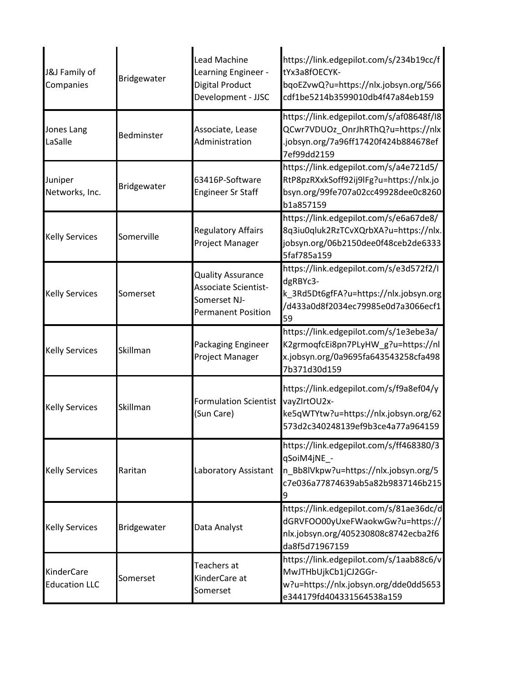| J&J Family of<br>Companies                | Bridgewater | Lead Machine<br>Learning Engineer -<br>Digital Product<br>Development - JJSC                         | https://link.edgepilot.com/s/234b19cc/f<br>tYx3a8fOECYK-<br>bqoEZvwQ?u=https://nlx.jobsyn.org/566<br>cdf1be5214b3599010db4f47a84eb159     |
|-------------------------------------------|-------------|------------------------------------------------------------------------------------------------------|-------------------------------------------------------------------------------------------------------------------------------------------|
| Jones Lang<br>LaSalle                     | Bedminster  | Associate, Lease<br>Administration                                                                   | https://link.edgepilot.com/s/af08648f/I8<br>QCwr7VDUOz_OnrJhRThQ?u=https://nlx<br>jobsyn.org/7a96ff17420f424b884678ef<br>7ef99dd2159      |
| Juniper<br>Networks, Inc.                 | Bridgewater | 63416P-Software<br><b>Engineer Sr Staff</b>                                                          | https://link.edgepilot.com/s/a4e721d5/<br>RtP8pzRXxkSoff92ij9lFg?u=https://nlx.jo<br>bsyn.org/99fe707a02cc49928dee0c8260<br>b1a857159     |
| <b>Kelly Services</b>                     | Somerville  | <b>Regulatory Affairs</b><br>Project Manager                                                         | https://link.edgepilot.com/s/e6a67de8/<br>8q3iu0qluk2RzTCvXQrbXA?u=https://nlx.<br>jobsyn.org/06b2150dee0f48ceb2de6333<br>5faf785a159     |
| <b>Kelly Services</b>                     | Somerset    | <b>Quality Assurance</b><br><b>Associate Scientist-</b><br>Somerset NJ-<br><b>Permanent Position</b> | https://link.edgepilot.com/s/e3d572f2/I<br>dgRBYc3-<br>k_3Rd5Dt6gfFA?u=https://nlx.jobsyn.org<br>/d433a0d8f2034ec79985e0d7a3066ecf1<br>59 |
| <b>Kelly Services</b>                     | Skillman    | Packaging Engineer<br>Project Manager                                                                | https://link.edgepilot.com/s/1e3ebe3a/<br>K2grmoqfcEi8pn7PLyHW_g?u=https://nl<br>x.jobsyn.org/0a9695fa643543258cfa498<br>7b371d30d159     |
| <b>Kelly Services</b>                     | Skillman    | <b>Formulation Scientist</b><br>(Sun Care)                                                           | https://link.edgepilot.com/s/f9a8ef04/y<br>vayZIrtOU2x-<br>ke5qWTYtw?u=https://nlx.jobsyn.org/62<br>573d2c340248139ef9b3ce4a77a964159     |
| <b>Kelly Services</b>                     | Raritan     | Laboratory Assistant                                                                                 | https://link.edgepilot.com/s/ff468380/3<br>qSoiM4jNE -<br>n_Bb8lVkpw?u=https://nlx.jobsyn.org/5<br>c7e036a77874639ab5a82b9837146b215      |
| <b>Kelly Services</b>                     | Bridgewater | Data Analyst                                                                                         | https://link.edgepilot.com/s/81ae36dc/d<br>dGRVFOO00yUxeFWaokwGw?u=https://<br>nlx.jobsyn.org/405230808c8742ecba2f6<br>da8f5d71967159     |
| <b>KinderCare</b><br><b>Education LLC</b> | Somerset    | Teachers at<br>KinderCare at<br>Somerset                                                             | https://link.edgepilot.com/s/1aab88c6/v<br>MwJTHbUjkCb1jCJ2GGr-<br>w?u=https://nlx.jobsyn.org/dde0dd5653<br>e344179fd404331564538a159     |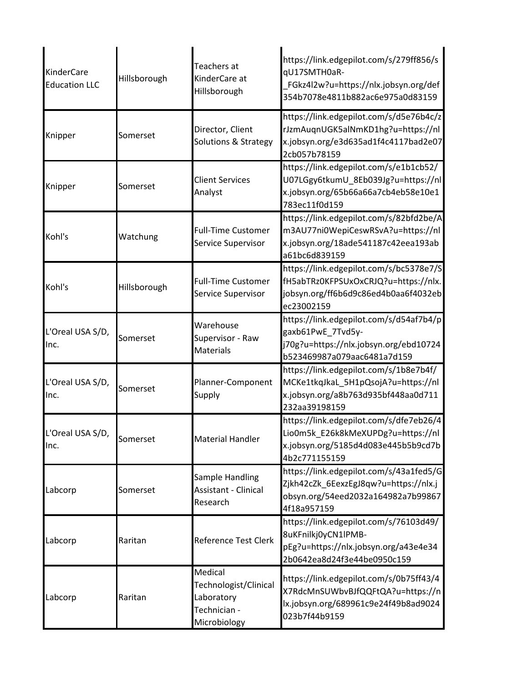| KinderCare<br><b>Education LLC</b> | Hillsborough | Teachers at<br>KinderCare at<br>Hillsborough                                   | https://link.edgepilot.com/s/279ff856/s<br>qU17SMTH0aR-<br>FGkz4l2w?u=https://nlx.jobsyn.org/def<br>354b7078e4811b882ac6e975a0d83159  |
|------------------------------------|--------------|--------------------------------------------------------------------------------|---------------------------------------------------------------------------------------------------------------------------------------|
| Knipper                            | Somerset     | Director, Client<br>Solutions & Strategy                                       | https://link.edgepilot.com/s/d5e76b4c/z<br>rJzmAuqnUGK5alNmKD1hg?u=https://nl<br>x.jobsyn.org/e3d635ad1f4c4117bad2e07<br>2cb057b78159 |
| Knipper                            | Somerset     | <b>Client Services</b><br>Analyst                                              | https://link.edgepilot.com/s/e1b1cb52/<br>U07LGgy6tkumU_8Eb039Jg?u=https://nl<br>x.jobsyn.org/65b66a66a7cb4eb58e10e1<br>783ec11f0d159 |
| Kohl's                             | Watchung     | <b>Full-Time Customer</b><br>Service Supervisor                                | https://link.edgepilot.com/s/82bfd2be/A<br>m3AU77ni0WepiCeswRSvA?u=https://nl<br>x.jobsyn.org/18ade541187c42eea193ab<br>a61bc6d839159 |
| Kohl's                             | Hillsborough | <b>Full-Time Customer</b><br>Service Supervisor                                | https://link.edgepilot.com/s/bc5378e7/S<br>fH5abTRz0KFPSUxOxCRJQ?u=https://nlx.<br>jobsyn.org/ff6b6d9c86ed4b0aa6f4032eb<br>ec23002159 |
| L'Oreal USA S/D,<br>Inc.           | Somerset     | Warehouse<br>Supervisor - Raw<br><b>Materials</b>                              | https://link.edgepilot.com/s/d54af7b4/p<br>gaxb61PwE_7Tvd5y-<br>j70g?u=https://nlx.jobsyn.org/ebd10724<br>b523469987a079aac6481a7d159 |
| L'Oreal USA S/D,<br>Inc.           | Somerset     | Planner-Component<br>Supply                                                    | https://link.edgepilot.com/s/1b8e7b4f/<br>MCKe1tkqJkaL_5H1pQsojA?u=https://nl<br>x.jobsyn.org/a8b763d935bf448aa0d711<br>232aa39198159 |
| L'Oreal USA S/D,<br>Inc.           | Somerset     | <b>Material Handler</b>                                                        | https://link.edgepilot.com/s/dfe7eb26/4<br>Lio0m5k_E26k8kMeXUPDg?u=https://nl<br>x.jobsyn.org/5185d4d083e445b5b9cd7b<br>4b2c771155159 |
| Labcorp                            | Somerset     | Sample Handling<br><b>Assistant - Clinical</b><br>Research                     | https://link.edgepilot.com/s/43a1fed5/G<br>Zjkh42cZk 6EexzEgJ8qw?u=https://nlx.j<br>obsyn.org/54eed2032a164982a7b99867<br>4f18a957159 |
| Labcorp                            | Raritan      | Reference Test Clerk                                                           | https://link.edgepilot.com/s/76103d49/<br>8uKFnilkj0yCN1lPMB-<br>pEg?u=https://nlx.jobsyn.org/a43e4e34<br>2b0642ea8d24f3e44be0950c159 |
| Labcorp                            | Raritan      | Medical<br>Technologist/Clinical<br>Laboratory<br>Technician -<br>Microbiology | https://link.edgepilot.com/s/0b75ff43/4<br>X7RdcMnSUWbvBJfQQFtQA?u=https://n<br>lx.jobsyn.org/689961c9e24f49b8ad9024<br>023b7f44b9159 |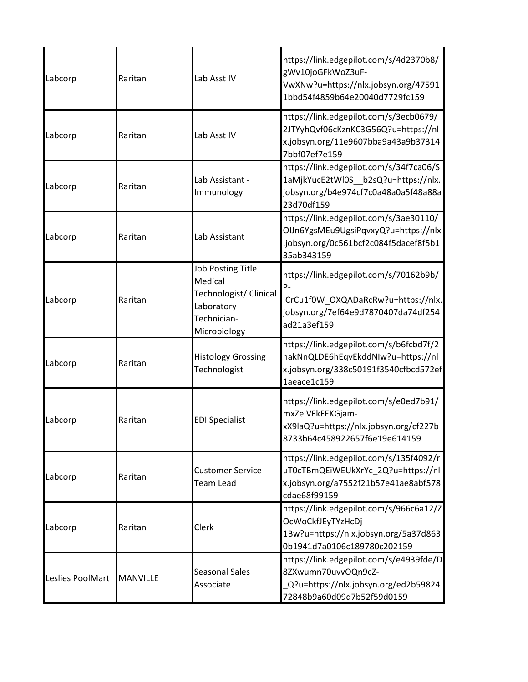| Labcorp          | Raritan         | Lab Asst IV                                                                                                | https://link.edgepilot.com/s/4d2370b8/<br>gWv10joGFkWoZ3uF-<br>VwXNw?u=https://nlx.jobsyn.org/47591<br>1bbd54f4859b64e20040d7729fc159     |
|------------------|-----------------|------------------------------------------------------------------------------------------------------------|-------------------------------------------------------------------------------------------------------------------------------------------|
| Labcorp          | Raritan         | Lab Asst IV                                                                                                | https://link.edgepilot.com/s/3ecb0679/<br>2JTYyhQvf06cKznKC3G56Q?u=https://nl<br>x.jobsyn.org/11e9607bba9a43a9b37314<br>7bbf07ef7e159     |
| Labcorp          | Raritan         | Lab Assistant -<br>Immunology                                                                              | https://link.edgepilot.com/s/34f7ca06/S<br>1aMjkYucE2tWl0S_b2sQ?u=https://nlx.<br>jobsyn.org/b4e974cf7c0a48a0a5f48a88a<br>23d70df159      |
| Labcorp          | Raritan         | Lab Assistant                                                                                              | https://link.edgepilot.com/s/3ae30110/<br>OlJn6YgsMEu9UgsiPqvxyQ?u=https://nlx<br>.jobsyn.org/0c561bcf2c084f5dacef8f5b1<br>35ab343159     |
| Labcorp          | Raritan         | <b>Job Posting Title</b><br>Medical<br>Technologist/ Clinical<br>Laboratory<br>Technician-<br>Microbiology | https://link.edgepilot.com/s/70162b9b/<br>р.<br>ICrCu1f0W_OXQADaRcRw?u=https://nlx.<br>jobsyn.org/7ef64e9d7870407da74df254<br>ad21a3ef159 |
| Labcorp          | Raritan         | <b>Histology Grossing</b><br>Technologist                                                                  | https://link.edgepilot.com/s/b6fcbd7f/2<br>hakNnQLDE6hEqvEkddNIw?u=https://nl<br>x.jobsyn.org/338c50191f3540cfbcd572ef<br>1aeace1c159     |
| Labcorp          | Raritan         | <b>EDI Specialist</b>                                                                                      | https://link.edgepilot.com/s/e0ed7b91/<br>mxZelVFkFEKGjam-<br>xX9laQ?u=https://nlx.jobsyn.org/cf227b<br>8733b64c458922657f6e19e614159     |
| Labcorp          | Raritan         | <b>Customer Service</b><br><b>Team Lead</b>                                                                | https://link.edgepilot.com/s/135f4092/r<br>uT0cTBmQEiWEUkXrYc_2Q?u=https://nl<br>x.jobsyn.org/a7552f21b57e41ae8abf578<br>cdae68f99159     |
| Labcorp          | Raritan         | Clerk                                                                                                      | https://link.edgepilot.com/s/966c6a12/Z<br>OcWoCkfJEyTYzHcDj-<br>1Bw?u=https://nlx.jobsyn.org/5a37d863<br>0b1941d7a0106c189780c202159     |
| Leslies PoolMart | <b>MANVILLE</b> | <b>Seasonal Sales</b><br>Associate                                                                         | https://link.edgepilot.com/s/e4939fde/D<br>8ZXwumn70uvvOQn9cZ-<br>Q?u=https://nlx.jobsyn.org/ed2b59824<br>72848b9a60d09d7b52f59d0159      |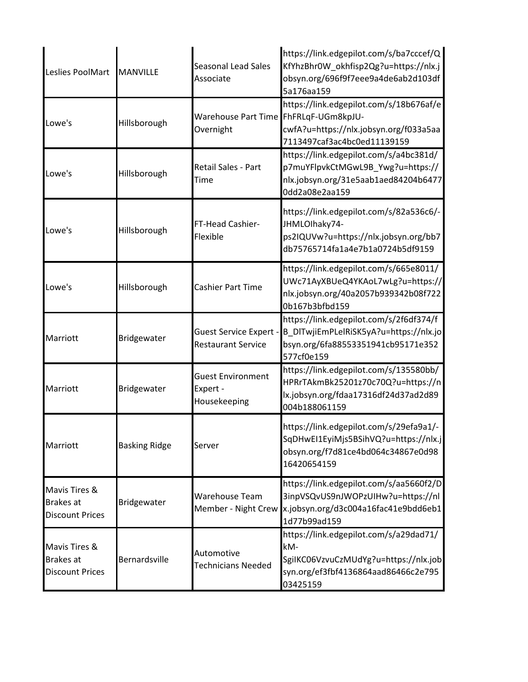| Leslies PoolMart                                            | MANVILLE             | <b>Seasonal Lead Sales</b><br>Associate                    | https://link.edgepilot.com/s/ba7cccef/Q<br>KfYhzBhr0W okhfisp2Qg?u=https://nlx.j<br>obsyn.org/696f9f7eee9a4de6ab2d103df<br>5a176aa159     |
|-------------------------------------------------------------|----------------------|------------------------------------------------------------|-------------------------------------------------------------------------------------------------------------------------------------------|
| Lowe's                                                      | Hillsborough         | Warehouse Part Time FhFRLqF-UGm8kpJU-<br>Overnight         | https://link.edgepilot.com/s/18b676af/e<br>cwfA?u=https://nlx.jobsyn.org/f033a5aa<br>7113497caf3ac4bc0ed11139159                          |
| Lowe's                                                      | Hillsborough         | Retail Sales - Part<br>Time                                | https://link.edgepilot.com/s/a4bc381d/<br>p7muYFlpvkCtMGwL9B_Ywg?u=https://<br>nlx.jobsyn.org/31e5aab1aed84204b6477<br>0dd2a08e2aa159     |
| Lowe's                                                      | Hillsborough         | FT-Head Cashier-<br>Flexible                               | https://link.edgepilot.com/s/82a536c6/-<br>JHMLOIhaky74-<br>ps2IQUVw?u=https://nlx.jobsyn.org/bb7<br>db75765714fa1a4e7b1a0724b5df9159     |
| Lowe's                                                      | Hillsborough         | Cashier Part Time                                          | https://link.edgepilot.com/s/665e8011/<br>UWc71AyXBUeQ4YKAoL7wLg?u=https://<br>nlx.jobsyn.org/40a2057b939342b08f722<br>0b167b3bfbd159     |
| Marriott                                                    | Bridgewater          | <b>Guest Service Expert -</b><br><b>Restaurant Service</b> | https://link.edgepilot.com/s/2f6df374/f<br>B_DITwjiEmPLelRiSK5yA?u=https://nlx.jo<br>bsyn.org/6fa88553351941cb95171e352<br>577cf0e159     |
| Marriott                                                    | Bridgewater          | <b>Guest Environment</b><br>Expert -<br>Housekeeping       | https://link.edgepilot.com/s/135580bb/<br>HPRrTAkmBk25201z70c70Q?u=https://n<br>lx.jobsyn.org/fdaa17316df24d37ad2d89<br>004b188061159     |
| Marriott                                                    | <b>Basking Ridge</b> | Server                                                     | https://link.edgepilot.com/s/29efa9a1/-<br>SqDHwEI1EyiMjs5BSihVQ?u=https://nlx.j<br>obsyn.org/f7d81ce4bd064c34867e0d98<br>16420654159     |
| Mavis Tires &<br>Brakes at<br><b>Discount Prices</b>        | Bridgewater          | Warehouse Team<br>Member - Night Crew                      | https://link.edgepilot.com/s/aa5660f2/D<br>3inpVSQvUS9nJWOPzUIHw?u=https://nl<br>x.jobsyn.org/d3c004a16fac41e9bdd6eb1<br>1d77b99ad159     |
| Mavis Tires &<br><b>Brakes</b> at<br><b>Discount Prices</b> | Bernardsville        | Automotive<br><b>Technicians Needed</b>                    | https://link.edgepilot.com/s/a29dad71/<br>kM-<br>SgiIKC06VzvuCzMUdYg?u=https://nlx.job<br>syn.org/ef3fbf4136864aad86466c2e795<br>03425159 |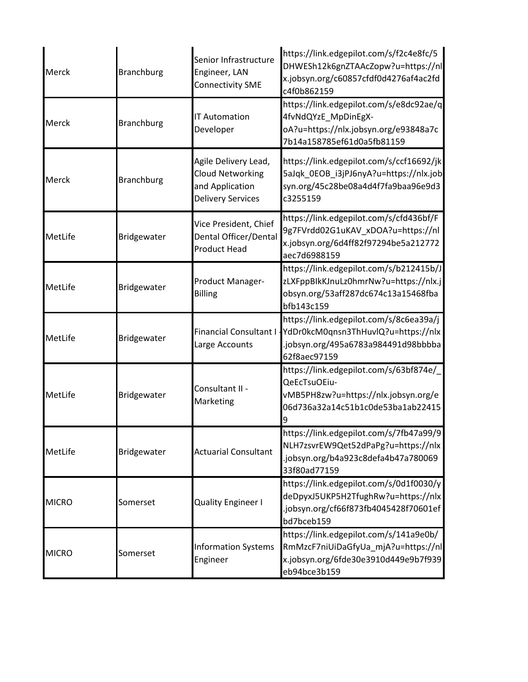| Merck        | <b>Branchburg</b> | Senior Infrastructure<br>Engineer, LAN<br><b>Connectivity SME</b>                              | https://link.edgepilot.com/s/f2c4e8fc/5<br>DHWESh12k6gnZTAAcZopw?u=https://nl<br>x.jobsyn.org/c60857cfdf0d4276af4ac2fd<br>c4f0b862159 |
|--------------|-------------------|------------------------------------------------------------------------------------------------|---------------------------------------------------------------------------------------------------------------------------------------|
| Merck        | <b>Branchburg</b> | <b>IT Automation</b><br>Developer                                                              | https://link.edgepilot.com/s/e8dc92ae/q<br>4fvNdQYzE_MpDinEgX-<br>oA?u=https://nlx.jobsyn.org/e93848a7c<br>7b14a158785ef61d0a5fb81159 |
| Merck        | <b>Branchburg</b> | Agile Delivery Lead,<br><b>Cloud Networking</b><br>and Application<br><b>Delivery Services</b> | https://link.edgepilot.com/s/ccf16692/jk<br>5aJqk_0EOB_i3jPJ6nyA?u=https://nlx.job<br>syn.org/45c28be08a4d4f7fa9baa96e9d3<br>c3255159 |
| MetLife      | Bridgewater       | Vice President, Chief<br>Dental Officer/Dental<br><b>Product Head</b>                          | https://link.edgepilot.com/s/cfd436bf/F<br>9g7FVrdd02G1uKAV_xDOA?u=https://nl<br>x.jobsyn.org/6d4ff82f97294be5a212772<br>aec7d6988159 |
| MetLife      | Bridgewater       | Product Manager-<br><b>Billing</b>                                                             | https://link.edgepilot.com/s/b212415b/J<br>zLXFppBlkKJnuLz0hmrNw?u=https://nlx.j<br>obsyn.org/53aff287dc674c13a15468fba<br>bfb143c159 |
| MetLife      | Bridgewater       | Financial Consultant I -<br>Large Accounts                                                     | https://link.edgepilot.com/s/8c6ea39a/j<br>YdDr0kcM0qnsn3ThHuvlQ?u=https://nlx<br>.jobsyn.org/495a6783a984491d98bbbba<br>62f8aec97159 |
| MetLife      | Bridgewater       | Consultant II -<br>Marketing                                                                   | https://link.edgepilot.com/s/63bf874e/<br>QeEcTsuOEiu-<br>vMB5PH8zw?u=https://nlx.jobsyn.org/e<br>06d736a32a14c51b1c0de53ba1ab22415   |
| MetLife      | Bridgewater       | <b>Actuarial Consultant</b>                                                                    | https://link.edgepilot.com/s/7fb47a99/9<br>NLH7zsvrEW9Qet52dPaPg?u=https://nlx<br>.jobsyn.org/b4a923c8defa4b47a780069<br>33f80ad77159 |
| <b>MICRO</b> | Somerset          | <b>Quality Engineer I</b>                                                                      | https://link.edgepilot.com/s/0d1f0030/y<br>deDpyxJ5UKP5H2TfughRw?u=https://nlx<br>.jobsyn.org/cf66f873fb4045428f70601ef<br>bd7bceb159 |
| <b>MICRO</b> | Somerset          | <b>Information Systems</b><br>Engineer                                                         | https://link.edgepilot.com/s/141a9e0b/<br>RmMzcF7niUiDaGfyUa_mjA?u=https://nl<br>x.jobsyn.org/6fde30e3910d449e9b7f939<br>eb94bce3b159 |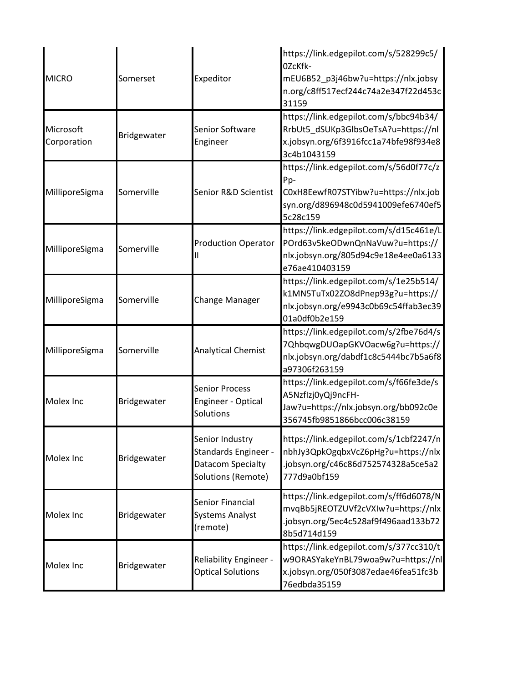| <b>MICRO</b>             | Somerset    | Expeditor                                                                          | https://link.edgepilot.com/s/528299c5/<br>OZcKfk-<br>mEU6B52_p3j46bw?u=https://nlx.jobsy<br>n.org/c8ff517ecf244c74a2e347f22d453c<br>31159 |
|--------------------------|-------------|------------------------------------------------------------------------------------|-------------------------------------------------------------------------------------------------------------------------------------------|
| Microsoft<br>Corporation | Bridgewater | Senior Software<br>Engineer                                                        | https://link.edgepilot.com/s/bbc94b34/<br>RrbUt5_dSUKp3GlbsOeTsA?u=https://nl<br>x.jobsyn.org/6f3916fcc1a74bfe98f934e8<br>3c4b1043159     |
| MilliporeSigma           | Somerville  | Senior R&D Scientist                                                               | https://link.edgepilot.com/s/56d0f77c/z<br>Pp-<br>C0xH8EewfR07STYibw?u=https://nlx.job<br>syn.org/d896948c0d5941009efe6740ef5<br>5c28c159 |
| MilliporeSigma           | Somerville  | <b>Production Operator</b>                                                         | https://link.edgepilot.com/s/d15c461e/L<br>POrd63v5keODwnQnNaVuw?u=https://<br>nlx.jobsyn.org/805d94c9e18e4ee0a6133<br>e76ae410403159     |
| MilliporeSigma           | Somerville  | <b>Change Manager</b>                                                              | https://link.edgepilot.com/s/1e25b514/<br>k1MN5TuTx02ZO8dPnep93g?u=https://<br>nlx.jobsyn.org/e9943c0b69c54ffab3ec39<br>01a0df0b2e159     |
| MilliporeSigma           | Somerville  | <b>Analytical Chemist</b>                                                          | https://link.edgepilot.com/s/2fbe76d4/s<br>7QhbqwgDUOapGKVOacw6g?u=https://<br>nlx.jobsyn.org/dabdf1c8c5444bc7b5a6f8<br>a97306f263159     |
| Molex Inc                | Bridgewater | <b>Senior Process</b><br><b>Engineer - Optical</b><br>Solutions                    | https://link.edgepilot.com/s/f66fe3de/s<br>A5Nzflzj0yQj9ncFH-<br>Jaw?u=https://nlx.jobsyn.org/bb092c0e<br>356745fb9851866bcc006c38159     |
| Molex Inc                | Bridgewater | Senior Industry<br>Standards Engineer -<br>Datacom Specialty<br>Solutions (Remote) | https://link.edgepilot.com/s/1cbf2247/n<br>nbhJy3QpkOgqbxVcZ6pHg?u=https://nlx<br>.jobsyn.org/c46c86d752574328a5ce5a2<br>777d9a0bf159     |
| Molex Inc                | Bridgewater | Senior Financial<br><b>Systems Analyst</b><br>(remote)                             | https://link.edgepilot.com/s/ff6d6078/N<br>mvqBb5jREOTZUVf2cVXIw?u=https://nlx<br>.jobsyn.org/5ec4c528af9f496aad133b72<br>8b5d714d159     |
| Molex Inc                | Bridgewater | Reliability Engineer -<br><b>Optical Solutions</b>                                 | https://link.edgepilot.com/s/377cc310/t<br>w9ORASYakeYnBL79woa9w?u=https://nl<br>x.jobsyn.org/050f3087edae46fea51fc3b<br>76edbda35159     |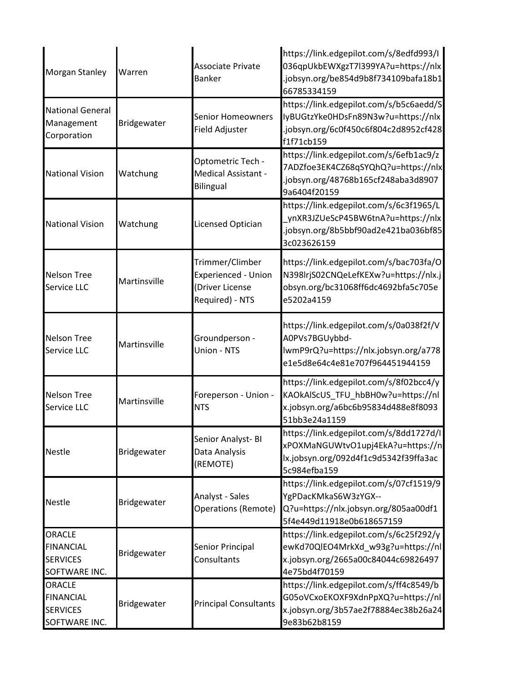| <b>Morgan Stanley</b>                                                 | Warren       | <b>Associate Private</b><br><b>Banker</b>                                           | https://link.edgepilot.com/s/8edfd993/I<br>036qpUkbEWXgzT7l399YA?u=https://nlx<br>.jobsyn.org/be854d9b8f734109bafa18b1<br>66785334159 |
|-----------------------------------------------------------------------|--------------|-------------------------------------------------------------------------------------|---------------------------------------------------------------------------------------------------------------------------------------|
| <b>National General</b><br>Management<br>Corporation                  | Bridgewater  | <b>Senior Homeowners</b><br>Field Adjuster                                          | https://link.edgepilot.com/s/b5c6aedd/S<br>lyBUGtzYke0HDsFn89N3w?u=https://nlx<br>.jobsyn.org/6c0f450c6f804c2d8952cf428<br>f1f71cb159 |
| <b>National Vision</b>                                                | Watchung     | Optometric Tech -<br>Medical Assistant -<br><b>Bilingual</b>                        | https://link.edgepilot.com/s/6efb1ac9/z<br>7ADZfoe3EK4CZ68qSYQhQ?u=https://nlx<br>.jobsyn.org/48768b165cf248aba3d8907<br>9a6404f20159 |
| <b>National Vision</b>                                                | Watchung     | <b>Licensed Optician</b>                                                            | https://link.edgepilot.com/s/6c3f1965/L<br>ynXR3JZUeScP45BW6tnA?u=https://nlx<br>.jobsyn.org/8b5bbf90ad2e421ba036bf85<br>3c023626159  |
| <b>Nelson Tree</b><br>Service LLC                                     | Martinsville | Trimmer/Climber<br><b>Experienced - Union</b><br>(Driver License<br>Required) - NTS | https://link.edgepilot.com/s/bac703fa/O<br>N398lrjS02CNQeLefKEXw?u=https://nlx.j<br>obsyn.org/bc31068ff6dc4692bfa5c705e<br>e5202a4159 |
| <b>Nelson Tree</b><br>Service LLC                                     | Martinsville | Groundperson -<br>Union - NTS                                                       | https://link.edgepilot.com/s/0a038f2f/V<br>A0PVs7BGUybbd-<br>lwmP9rQ?u=https://nlx.jobsyn.org/a778<br>e1e5d8e64c4e81e707f964451944159 |
| <b>Nelson Tree</b><br>Service LLC                                     | Martinsville | Foreperson - Union -<br><b>NTS</b>                                                  | https://link.edgepilot.com/s/8f02bcc4/y<br>KAOkAlScUS_TFU_hbBH0w?u=https://nl<br>x.jobsyn.org/a6bc6b95834d488e8f8093<br>51bb3e24a1159 |
| <b>Nestle</b>                                                         | Bridgewater  | Senior Analyst- BI<br>Data Analysis<br>(REMOTE)                                     | https://link.edgepilot.com/s/8dd1727d/I<br>xPOXMaNGUWtvO1upj4EkA?u=https://n<br>lx.jobsyn.org/092d4f1c9d5342f39ffa3ac<br>5c984efba159 |
| <b>Nestle</b>                                                         | Bridgewater  | Analyst - Sales<br>Operations (Remote)                                              | https://link.edgepilot.com/s/07cf1519/9<br>YgPDacKMkaS6W3zYGX--<br>Q?u=https://nlx.jobsyn.org/805aa00df1<br>5f4e449d11918e0b618657159 |
| <b>ORACLE</b><br><b>FINANCIAL</b><br><b>SERVICES</b><br>SOFTWARE INC. | Bridgewater  | Senior Principal<br>Consultants                                                     | https://link.edgepilot.com/s/6c25f292/y<br>ewKd70QlEO4MrkXd_w93g?u=https://nl<br>x.jobsyn.org/2665a00c84044c69826497<br>4e75bd4f70159 |
| <b>ORACLE</b><br><b>FINANCIAL</b><br><b>SERVICES</b><br>SOFTWARE INC. | Bridgewater  | <b>Principal Consultants</b>                                                        | https://link.edgepilot.com/s/ff4c8549/b<br>G05oVCxoEKOXF9XdnPpXQ?u=https://nl<br>x.jobsyn.org/3b57ae2f78884ec38b26a24<br>9e83b62b8159 |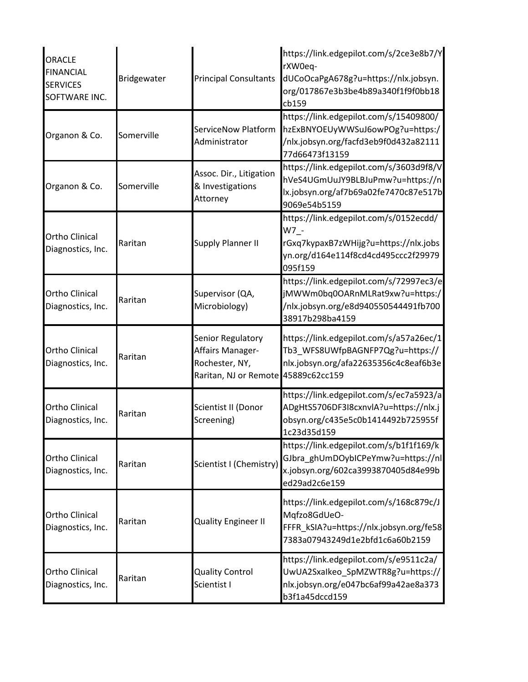| <b>ORACLE</b><br><b>FINANCIAL</b><br><b>SERVICES</b><br>SOFTWARE INC. | Bridgewater | <b>Principal Consultants</b>                                                                   | https://link.edgepilot.com/s/2ce3e8b7/Y<br>rXW0eq-<br>dUCoOcaPgA678g?u=https://nlx.jobsyn.<br>org/017867e3b3be4b89a340f1f9f0bb18<br>cb159 |
|-----------------------------------------------------------------------|-------------|------------------------------------------------------------------------------------------------|-------------------------------------------------------------------------------------------------------------------------------------------|
| Organon & Co.                                                         | Somerville  | ServiceNow Platform<br>Administrator                                                           | https://link.edgepilot.com/s/15409800/<br>hzExBNYOEUyWWSuJ6owPOg?u=https:/<br>/nlx.jobsyn.org/facfd3eb9f0d432a82111<br>77d66473f13159     |
| Organon & Co.                                                         | Somerville  | Assoc. Dir., Litigation<br>& Investigations<br>Attorney                                        | https://link.edgepilot.com/s/3603d9f8/V<br>hVeS4UGmUuJY9BLBJuPmw?u=https://n<br>lx.jobsyn.org/af7b69a02fe7470c87e517b<br>9069e54b5159     |
| <b>Ortho Clinical</b><br>Diagnostics, Inc.                            | Raritan     | <b>Supply Planner II</b>                                                                       | https://link.edgepilot.com/s/0152ecdd/<br>W7 -<br>rGxq7kypaxB7zWHijg?u=https://nlx.jobs<br>yn.org/d164e114f8cd4cd495ccc2f29979<br>095f159 |
| <b>Ortho Clinical</b><br>Diagnostics, Inc.                            | Raritan     | Supervisor (QA,<br>Microbiology)                                                               | https://link.edgepilot.com/s/72997ec3/e<br>jMWWm0bq0OARnMLRat9xw?u=https:/<br>/nlx.jobsyn.org/e8d940550544491fb700<br>38917b298ba4159     |
| <b>Ortho Clinical</b><br>Diagnostics, Inc.                            | Raritan     | Senior Regulatory<br>Affairs Manager-<br>Rochester, NY,<br>Raritan, NJ or Remote 45889c62cc159 | https://link.edgepilot.com/s/a57a26ec/1<br>Tb3_WFS8UWfpBAGNFP7Qg?u=https://<br>nlx.jobsyn.org/afa22635356c4c8eaf6b3e                      |
| <b>Ortho Clinical</b><br>Diagnostics, Inc.                            | Raritan     | Scientist II (Donor<br>Screening)                                                              | https://link.edgepilot.com/s/ec7a5923/a<br>ADgHtS5706DF3I8cxnvlA?u=https://nlx.j<br>obsyn.org/c435e5c0b1414492b725955f<br>1c23d35d159     |
| Ortho Clinical<br>Diagnostics, Inc.                                   | Raritan     | Scientist I (Chemistry)                                                                        | https://link.edgepilot.com/s/b1f1f169/k<br>GJbra ghUmDOybICPeYmw?u=https://nl<br>x.jobsyn.org/602ca3993870405d84e99b<br>ed29ad2c6e159     |
| <b>Ortho Clinical</b><br>Diagnostics, Inc.                            | Raritan     | <b>Quality Engineer II</b>                                                                     | https://link.edgepilot.com/s/168c879c/J<br>Mqfzo8GdUeO-<br>FFFR_kSIA?u=https://nlx.jobsyn.org/fe58<br>7383a07943249d1e2bfd1c6a60b2159     |
| Ortho Clinical<br>Diagnostics, Inc.                                   | Raritan     | <b>Quality Control</b><br>Scientist I                                                          | https://link.edgepilot.com/s/e9511c2a/<br>UwUA2Sxalkeo_SpMZWTR8g?u=https://<br>nlx.jobsyn.org/e047bc6af99a42ae8a373<br>b3f1a45dccd159     |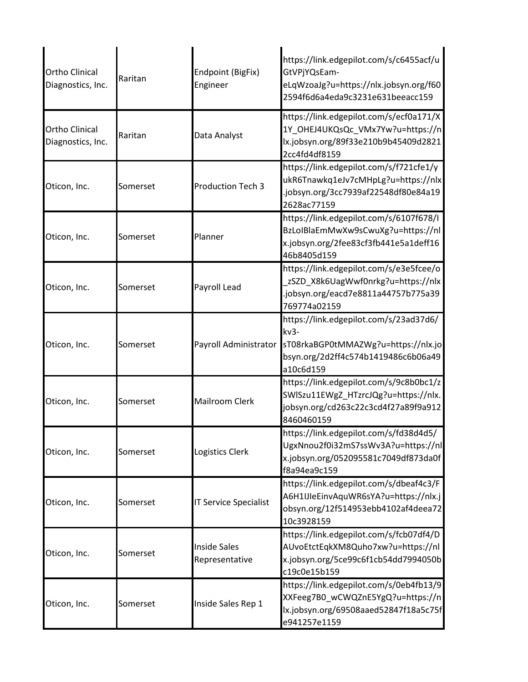| <b>Ortho Clinical</b><br>Diagnostics, Inc. | Raritan  | Endpoint (BigFix)<br>Engineer         | https://link.edgepilot.com/s/c6455acf/u<br>GtVPjYQsEam-<br>eLqWzoaJg?u=https://nlx.jobsyn.org/f60<br>2594f6d6a4eda9c3231e631beeacc159       |
|--------------------------------------------|----------|---------------------------------------|---------------------------------------------------------------------------------------------------------------------------------------------|
| <b>Ortho Clinical</b><br>Diagnostics, Inc. | Raritan  | Data Analyst                          | https://link.edgepilot.com/s/ecf0a171/X<br>1Y_OHEJ4UKQsQc_VMx7Yw?u=https://n<br>lx.jobsyn.org/89f33e210b9b45409d2821<br>2cc4fd4df8159       |
| Oticon, Inc.                               | Somerset | <b>Production Tech 3</b>              | https://link.edgepilot.com/s/f721cfe1/y<br>ukR6Tnawkq1eJv7cMHpLg?u=https://nlx<br>.jobsyn.org/3cc7939af22548df80e84a19<br>2628ac77159       |
| Oticon, Inc.                               | Somerset | Planner                               | https://link.edgepilot.com/s/6107f678/I<br>BzLoIBlaEmMwXw9sCwuXg?u=https://nl<br>x.jobsyn.org/2fee83cf3fb441e5a1deff16<br>46b8405d159       |
| Oticon, Inc.                               | Somerset | Payroll Lead                          | https://link.edgepilot.com/s/e3e5fcee/o<br>zSZD_X8k6UagWwf0nrkg?u=https://nlx<br>.jobsyn.org/eacd7e8811a44757b775a39<br>769774a02159        |
| Oticon, Inc.                               | Somerset | Payroll Administrator                 | https://link.edgepilot.com/s/23ad37d6/<br>$kv3-$<br>sT08rkaBGP0tMMAZWg?u=https://nlx.jo<br>bsyn.org/2d2ff4c574b1419486c6b06a49<br>a10c6d159 |
| Oticon, Inc.                               | Somerset | <b>Mailroom Clerk</b>                 | https://link.edgepilot.com/s/9c8b0bc1/z<br>SWISzu11EWgZ_HTzrcJQg?u=https://nlx.<br>jobsyn.org/cd263c22c3cd4f27a89f9a912<br>8460460159       |
| Oticon, Inc.                               | Somerset | Logistics Clerk                       | https://link.edgepilot.com/s/fd38d4d5/<br>UgxNnou2f0i32mS7ssWv3A?u=https://nl<br>x.jobsyn.org/052095581c7049df873da0f<br>f8a94ea9c159       |
| Oticon, Inc.                               | Somerset | <b>IT Service Specialist</b>          | https://link.edgepilot.com/s/dbeaf4c3/F<br>A6H1IJIeEinvAquWR6sYA?u=https://nlx.j<br>obsyn.org/12f514953ebb4102af4deea72<br>10c3928159       |
| Oticon, Inc.                               | Somerset | <b>Inside Sales</b><br>Representative | https://link.edgepilot.com/s/fcb07df4/D<br>AUvoEtctEqkXM8Quho7xw?u=https://nl<br>x.jobsyn.org/5ce99c6f1cb54dd7994050b<br>c19c0e15b159       |
| Oticon, Inc.                               | Somerset | Inside Sales Rep 1                    | https://link.edgepilot.com/s/0eb4fb13/9<br>XXFeeg7B0_wCWQZnE5YgQ?u=https://n<br>lx.jobsyn.org/69508aaed52847f18a5c75f<br>e941257e1159       |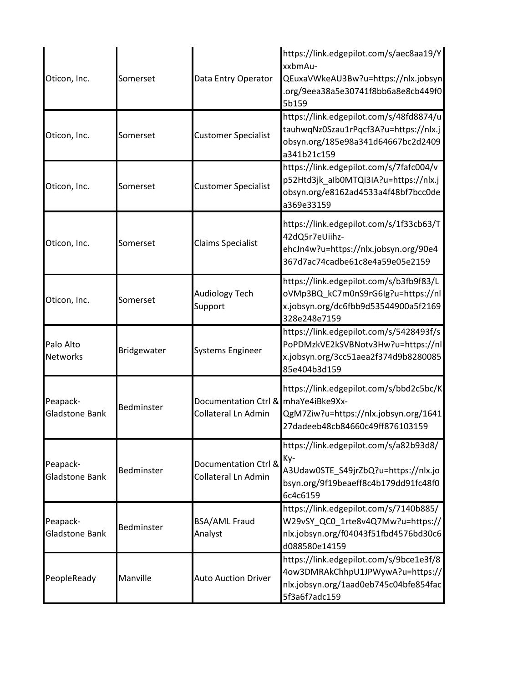| Oticon, Inc.                      | Somerset    | Data Entry Operator                                               | https://link.edgepilot.com/s/aec8aa19/Y<br>xxbmAu-<br>QEuxaVWkeAU3Bw?u=https://nlx.jobsyn<br>.org/9eea38a5e30741f8bb6a8e8cb449f0<br>5b159 |
|-----------------------------------|-------------|-------------------------------------------------------------------|-------------------------------------------------------------------------------------------------------------------------------------------|
| Oticon, Inc.                      | Somerset    | <b>Customer Specialist</b>                                        | https://link.edgepilot.com/s/48fd8874/u<br>tauhwqNz0Szau1rPqcf3A?u=https://nlx.j<br>obsyn.org/185e98a341d64667bc2d2409<br>a341b21c159     |
| Oticon, Inc.                      | Somerset    | <b>Customer Specialist</b>                                        | https://link.edgepilot.com/s/7fafc004/v<br>p52Htd3jk_aIb0MTQi3IA?u=https://nlx.j<br>obsyn.org/e8162ad4533a4f48bf7bcc0de<br>a369e33159     |
| Oticon, Inc.                      | Somerset    | <b>Claims Specialist</b>                                          | https://link.edgepilot.com/s/1f33cb63/T<br>42dQ5r7eUiihz-<br>ehcJn4w?u=https://nlx.jobsyn.org/90e4<br>367d7ac74cadbe61c8e4a59e05e2159     |
| Oticon, Inc.                      | Somerset    | Audiology Tech<br>Support                                         | https://link.edgepilot.com/s/b3fb9f83/L<br>oVMp3BQ_kC7m0nS9rG6Ig?u=https://nl<br>x.jobsyn.org/dc6fbb9d53544900a5f2169<br>328e248e7159     |
| Palo Alto<br><b>Networks</b>      | Bridgewater | <b>Systems Engineer</b>                                           | https://link.edgepilot.com/s/5428493f/s<br>PoPDMzkVE2kSVBNotv3Hw?u=https://nl<br>x.jobsyn.org/3cc51aea2f374d9b8280085<br>85e404b3d159     |
| Peapack-<br><b>Gladstone Bank</b> | Bedminster  | Documentation Ctrl & mhaYe4iBke9Xx-<br><b>Collateral Ln Admin</b> | https://link.edgepilot.com/s/bbd2c5bc/K<br>QgM7Ziw?u=https://nlx.jobsyn.org/1641<br>27dadeeb48cb84660c49ff876103159                       |
| Peapack-<br><b>Gladstone Bank</b> | Bedminster  | Documentation Ctrl &<br><b>Collateral Ln Admin</b>                | https://link.edgepilot.com/s/a82b93d8/<br>Ky-<br>A3Udaw0STE S49jrZbQ?u=https://nlx.jo<br>bsyn.org/9f19beaeff8c4b179dd91fc48f0<br>6c4c6159 |
| Peapack-<br>Gladstone Bank        | Bedminster  | <b>BSA/AML Fraud</b><br>Analyst                                   | https://link.edgepilot.com/s/7140b885/<br>W29vSY QC0 1rte8v4Q7Mw?u=https://<br>nlx.jobsyn.org/f04043f51fbd4576bd30c6<br>d088580e14159     |
| PeopleReady                       | Manville    | <b>Auto Auction Driver</b>                                        | https://link.edgepilot.com/s/9bce1e3f/8<br>4ow3DMRAkChhpU1JPWywA?u=https://<br>nlx.jobsyn.org/1aad0eb745c04bfe854fac<br>5f3a6f7adc159     |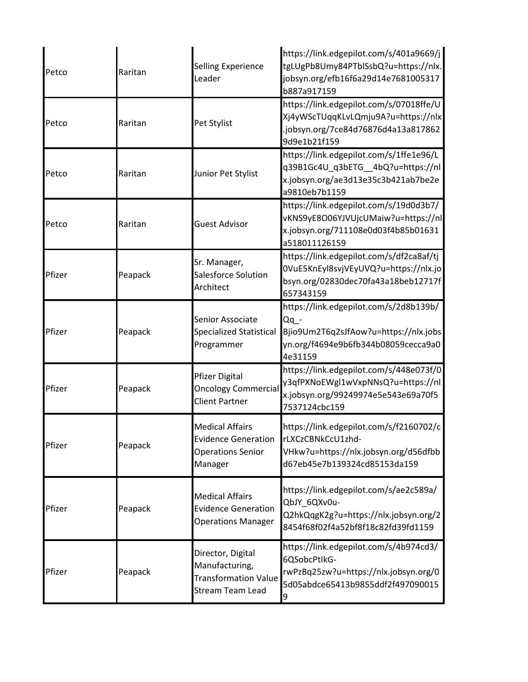| Petco  | Raritan | Selling Experience<br>Leader                                                                | https://link.edgepilot.com/s/401a9669/j<br>tgLUgPb8Umy84PTblSsbQ?u=https://nlx.<br>jobsyn.org/efb16f6a29d14e7681005317<br>b887a917159       |
|--------|---------|---------------------------------------------------------------------------------------------|---------------------------------------------------------------------------------------------------------------------------------------------|
| Petco  | Raritan | Pet Stylist                                                                                 | https://link.edgepilot.com/s/07018ffe/U<br>Xj4yWScTUqqKLvLQmju9A?u=https://nlx<br>.jobsyn.org/7ce84d76876d4a13a817862<br>9d9e1b21f159       |
| Petco  | Raritan | Junior Pet Stylist                                                                          | https://link.edgepilot.com/s/1ffe1e96/L<br>q39B1Gc4U_q3bETG__4bQ?u=https://nl<br>x.jobsyn.org/ae3d13e35c3b421ab7be2e<br>a9810eb7b1159       |
| Petco  | Raritan | <b>Guest Advisor</b>                                                                        | https://link.edgepilot.com/s/19d0d3b7/<br>vKNS9yE8O06YJVUjcUMaiw?u=https://nl<br>x.jobsyn.org/711108e0d03f4b85b01631<br>a518011126159       |
| Pfizer | Peapack | Sr. Manager,<br>Salesforce Solution<br>Architect                                            | https://link.edgepilot.com/s/df2ca8af/tj<br>0VuE5KnEyl8svjVEyUVQ?u=https://nlx.jo<br>bsyn.org/02830dec70fa43a18beb12717f<br>657343159       |
| Pfizer | Peapack | Senior Associate<br><b>Specialized Statistical</b><br>Programmer                            | https://link.edgepilot.com/s/2d8b139b/<br>$Qq -$<br>Bjio9Um2T6q2sJfAow?u=https://nlx.jobs<br>yn.org/f4694e9b6fb344b08059cecca9a0<br>4e31159 |
| Pfizer | Peapack | <b>Pfizer Digital</b><br><b>Oncology Commercial</b><br><b>Client Partner</b>                | https://link.edgepilot.com/s/448e073f/0<br>y3qfPXNoEWgl1wVxpNNsQ?u=https://nl<br>x.jobsyn.org/99249974e5e543e69a70f5<br>7537124cbc159       |
| Pfizer | Peapack | <b>Medical Affairs</b><br><b>Evidence Generation</b><br><b>Operations Senior</b><br>Manager | https://link.edgepilot.com/s/f2160702/c<br>rLXCzCBNkCcU1zhd-<br>VHkw?u=https://nlx.jobsyn.org/d56dfbb<br>d67eb45e7b139324cd85153da159       |
| Pfizer | Peapack | <b>Medical Affairs</b><br><b>Evidence Generation</b><br><b>Operations Manager</b>           | https://link.edgepilot.com/s/ae2c589a/<br>QbJY 6QXv0u-<br>Q2hkQqgK2g?u=https://nlx.jobsyn.org/2<br>8454f68f02f4a52bf8f18c82fd39fd1159       |
| Pfizer | Peapack | Director, Digital<br>Manufacturing,<br><b>Transformation Value</b><br>Stream Team Lead      | https://link.edgepilot.com/s/4b974cd3/<br>6QSobcPtIkG-<br>rwPzBq25zw?u=https://nlx.jobsyn.org/0<br>5d05abdce65413b9855ddf2f497090015<br>9   |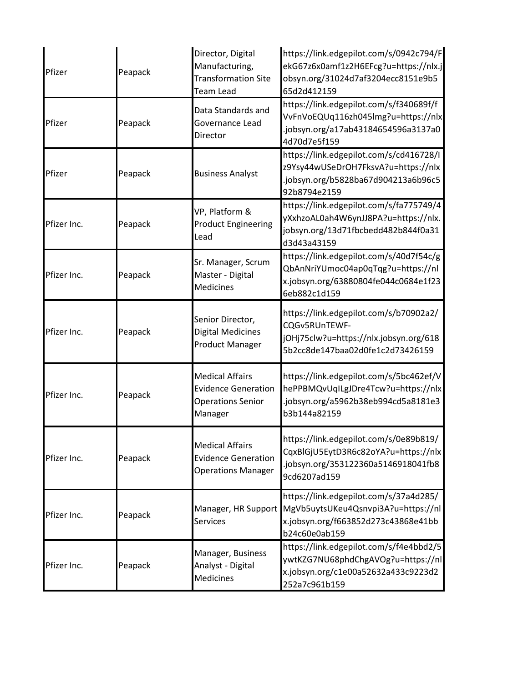| Pfizer      | Peapack | Director, Digital<br>Manufacturing,<br><b>Transformation Site</b><br><b>Team Lead</b>       | https://link.edgepilot.com/s/0942c794/F<br>ekG67z6x0amf1z2H6EFcg?u=https://nlx.j<br>obsyn.org/31024d7af3204ecc8151e9b5<br>65d2d412159 |
|-------------|---------|---------------------------------------------------------------------------------------------|---------------------------------------------------------------------------------------------------------------------------------------|
| Pfizer      | Peapack | Data Standards and<br>Governance Lead<br>Director                                           | https://link.edgepilot.com/s/f340689f/f<br>VvFnVoEQUq116zh045lmg?u=https://nlx<br>.jobsyn.org/a17ab43184654596a3137a0<br>4d70d7e5f159 |
| Pfizer      | Peapack | <b>Business Analyst</b>                                                                     | https://link.edgepilot.com/s/cd416728/I<br>z9Ysy44wUSeDrOH7FksvA?u=https://nlx<br>.jobsyn.org/b5828ba67d904213a6b96c5<br>92b8794e2159 |
| Pfizer Inc. | Peapack | VP, Platform &<br><b>Product Engineering</b><br>Lead                                        | https://link.edgepilot.com/s/fa775749/4<br>yXxhzoAL0ah4W6ynJJ8PA?u=https://nlx.<br>jobsyn.org/13d71fbcbedd482b844f0a31<br>d3d43a43159 |
| Pfizer Inc. | Peapack | Sr. Manager, Scrum<br>Master - Digital<br><b>Medicines</b>                                  | https://link.edgepilot.com/s/40d7f54c/g<br>QbAnNriYUmoc04ap0qTqg?u=https://nl<br>x.jobsyn.org/63880804fe044c0684e1f23<br>6eb882c1d159 |
| Pfizer Inc. | Peapack | Senior Director,<br><b>Digital Medicines</b><br><b>Product Manager</b>                      | https://link.edgepilot.com/s/b70902a2/<br>CQGv5RUnTEWF-<br>jOHj75clw?u=https://nlx.jobsyn.org/618<br>5b2cc8de147baa02d0fe1c2d73426159 |
| Pfizer Inc. | Peapack | <b>Medical Affairs</b><br><b>Evidence Generation</b><br><b>Operations Senior</b><br>Manager | https://link.edgepilot.com/s/5bc462ef/V<br>hePPBMQvUqILgJDre4Tcw?u=https://nlx<br>.jobsyn.org/a5962b38eb994cd5a8181e3<br>b3b144a82159 |
| Pfizer Inc. | Peapack | <b>Medical Affairs</b><br><b>Evidence Generation</b><br><b>Operations Manager</b>           | https://link.edgepilot.com/s/0e89b819/<br>CqxBlGjU5EytD3R6c82oYA?u=https://nlx<br>.jobsyn.org/353122360a5146918041fb8<br>9cd6207ad159 |
| Pfizer Inc. | Peapack | Manager, HR Support<br><b>Services</b>                                                      | https://link.edgepilot.com/s/37a4d285/<br>MgVb5uytsUKeu4Qsnvpi3A?u=https://nl<br>x.jobsyn.org/f663852d273c43868e41bb<br>b24c60e0ab159 |
| Pfizer Inc. | Peapack | Manager, Business<br>Analyst - Digital<br>Medicines                                         | https://link.edgepilot.com/s/f4e4bbd2/5<br>ywtKZG7NU68phdChgAVOg?u=https://nl<br>x.jobsyn.org/c1e00a52632a433c9223d2<br>252a7c961b159 |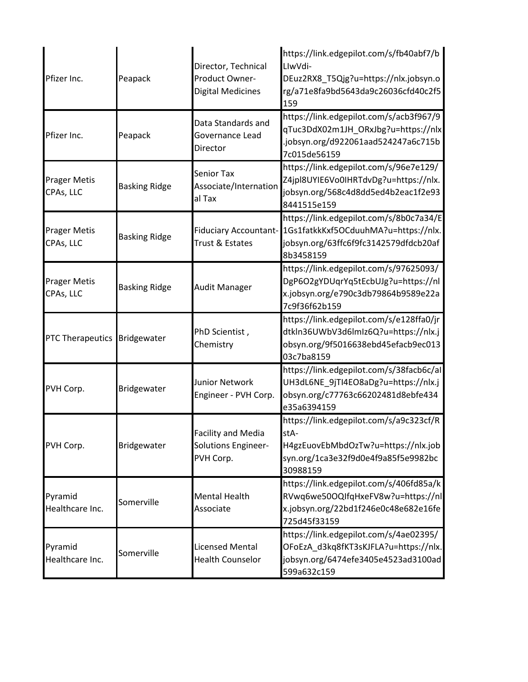| Pfizer Inc.                      | Peapack              | Director, Technical<br>Product Owner-<br><b>Digital Medicines</b> | https://link.edgepilot.com/s/fb40abf7/b<br>LlwVdi-<br>DEuz2RX8_T5Qjg?u=https://nlx.jobsyn.o<br>rg/a71e8fa9bd5643da9c26036cfd40c2f5<br>159            |
|----------------------------------|----------------------|-------------------------------------------------------------------|------------------------------------------------------------------------------------------------------------------------------------------------------|
| Pfizer Inc.                      | Peapack              | Data Standards and<br>Governance Lead<br>Director                 | https://link.edgepilot.com/s/acb3f967/9<br>qTuc3DdX02m1JH_ORxJbg?u=https://nlx<br>.jobsyn.org/d922061aad524247a6c715b<br>7c015de56159                |
| <b>Prager Metis</b><br>CPAs, LLC | <b>Basking Ridge</b> | <b>Senior Tax</b><br>Associate/Internation<br>al Tax              | https://link.edgepilot.com/s/96e7e129/<br>Z4jpl8UYIE6Vo0IHRTdvDg?u=https://nlx.<br>jobsyn.org/568c4d8dd5ed4b2eac1f2e93<br>8441515e159                |
| <b>Prager Metis</b><br>CPAs, LLC | <b>Basking Ridge</b> | <b>Fiduciary Accountant-</b><br>Trust & Estates                   | https://link.edgepilot.com/s/8b0c7a34/E<br>1Gs1fatkkKxf5OCduuhMA?u=https://nlx.<br>jobsyn.org/63ffc6f9fc3142579dfdcb20af<br>8b3458159                |
| <b>Prager Metis</b><br>CPAs, LLC | <b>Basking Ridge</b> | <b>Audit Manager</b>                                              | https://link.edgepilot.com/s/97625093/<br>DgP6O2gYDUqrYq5tEcbUJg?u=https://nl<br>x.jobsyn.org/e790c3db79864b9589e22a<br>7c9f36f62b159                |
| PTC Therapeutics Bridgewater     |                      | PhD Scientist,<br>Chemistry                                       | https://link.edgepilot.com/s/e128ffa0/jr<br>dtkln36UWbV3d6lmIz6Q?u=https://nlx.j<br>obsyn.org/9f5016638ebd45efacb9ec013<br>03c7ba8159                |
| PVH Corp.                        | Bridgewater          | <b>Junior Network</b><br>Engineer - PVH Corp.                     | https://link.edgepilot.com/s/38facb6c/al<br>UH3dL6NE_9jTI4EO8aDg?u=https://nlx.j<br>obsyn.org/c77763c66202481d8ebfe434<br>e35a6394159                |
| PVH Corp.                        | Bridgewater          | <b>Facility and Media</b><br>Solutions Engineer-<br>PVH Corp.     | https://link.edgepilot.com/s/a9c323cf/R<br><ta-<br>H4gzEuovEbMbdOzTw?u=https://nlx.job<br/>syn.org/1ca3e32f9d0e4f9a85f5e9982bc<br/>30988159</ta-<br> |
| Pyramid<br>Healthcare Inc.       | Somerville           | <b>Mental Health</b><br>Associate                                 | https://link.edgepilot.com/s/406fd85a/k<br>RVwq6we50OQIfqHxeFV8w?u=https://nl<br>x.jobsyn.org/22bd1f246e0c48e682e16fe<br>725d45f33159                |
| Pyramid<br>Healthcare Inc.       | Somerville           | <b>Licensed Mental</b><br><b>Health Counselor</b>                 | https://link.edgepilot.com/s/4ae02395/<br>OFoEzA_d3kq8fKT3sKJFLA?u=https://nlx.<br>jobsyn.org/6474efe3405e4523ad3100ad<br>599a632c159                |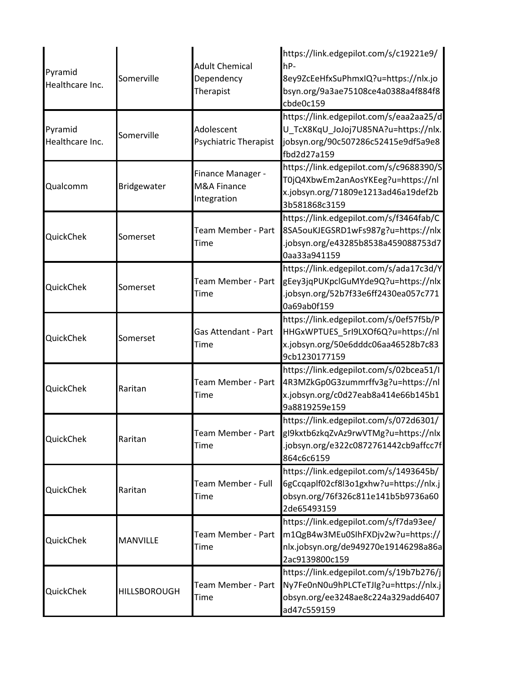| Pyramid<br>Healthcare Inc. | Somerville          | <b>Adult Chemical</b><br>Dependency<br>Therapist | https://link.edgepilot.com/s/c19221e9/<br>hP-<br>8ey9ZcEeHfxSuPhmxIQ?u=https://nlx.jo<br>bsyn.org/9a3ae75108ce4a0388a4f884f8<br>cbde0c159                  |
|----------------------------|---------------------|--------------------------------------------------|------------------------------------------------------------------------------------------------------------------------------------------------------------|
| Pyramid<br>Healthcare Inc. | Somerville          | Adolescent<br><b>Psychiatric Therapist</b>       | https://link.edgepilot.com/s/eaa2aa25/d<br>U_TcX8KqU_JoJoj7U85NA?u=https://nlx.<br>jobsyn.org/90c507286c52415e9df5a9e8<br>fbd2d27a159                      |
| Qualcomm                   | Bridgewater         | Finance Manager -<br>M&A Finance<br>Integration  | https://link.edgepilot.com/s/c9688390/S<br>T0jQ4XbwEm2anAosYKEeg?u=https://nl<br>x.jobsyn.org/71809e1213ad46a19def2b<br>3b581868c3159                      |
| QuickChek                  | Somerset            | Team Member - Part<br>Time                       | https://link.edgepilot.com/s/f3464fab/C<br>8SA5ouKJEGSRD1wFs987g?u=https://nlx<br>.jobsyn.org/e43285b8538a459088753d7<br>0aa33a941159                      |
| QuickChek                  | Somerset            | Team Member - Part<br>Time                       | https://link.edgepilot.com/s/ada17c3d/Y<br>gEey3jqPUKpclGuMYde9Q?u=https://nlx<br>.jobsyn.org/52b7f33e6ff2430ea057c771<br>0a69ab0f159                      |
| QuickChek                  | Somerset            | Gas Attendant - Part<br>Time                     | https://link.edgepilot.com/s/0ef57f5b/P<br>HHGxWPTUES_5rI9LXOf6Q?u=https://nl<br>x.jobsyn.org/50e6dddc06aa46528b7c83<br>9cb1230177159                      |
| QuickChek                  | Raritan             | Team Member - Part<br>Time                       | https://link.edgepilot.com/s/02bcea51/I<br>4R3MZkGp0G3zummrffv3g?u=https://nl<br>x.jobsyn.org/c0d27eab8a414e66b145b1<br>9a8819259e159                      |
| QuickChek                  | Raritan             | Time                                             | https://link.edgepilot.com/s/072d6301/<br>Team Member - Part   gl9kxtb6zkqZvAz9rwVTMg?u=https://nlx<br>.jobsyn.org/e322c0872761442cb9affcc7f<br>864c6c6159 |
| QuickChek                  | Raritan             | Team Member - Full<br>Time                       | https://link.edgepilot.com/s/1493645b/<br>6gCcqaplf02cf8l3o1gxhw?u=https://nlx.j<br>obsyn.org/76f326c811e141b5b9736a60<br>2de65493159                      |
| QuickChek                  | <b>MANVILLE</b>     | Team Member - Part<br>Time                       | https://link.edgepilot.com/s/f7da93ee/<br>m1QgB4w3MEu0SIhFXDjv2w?u=https://<br>nlx.jobsyn.org/de949270e19146298a86a<br>2ac9139800c159                      |
| QuickChek                  | <b>HILLSBOROUGH</b> | Team Member - Part<br><b>Time</b>                | https://link.edgepilot.com/s/19b7b276/j<br>Ny7Fe0nN0u9hPLCTeTJIg?u=https://nlx.j<br>obsyn.org/ee3248ae8c224a329add6407<br>ad47c559159                      |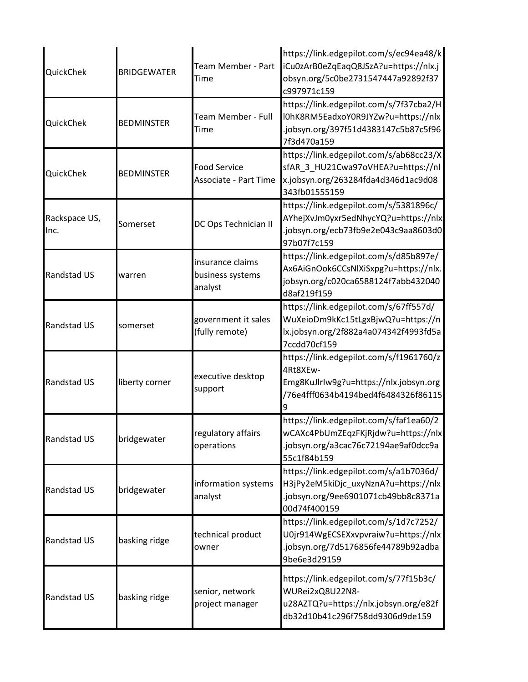| QuickChek             | <b>BRIDGEWATER</b> | Team Member - Part<br>Time                          | https://link.edgepilot.com/s/ec94ea48/k<br>iCu0zArB0eZqEaqQ8JSzA?u=https://nlx.j<br>obsyn.org/5c0be2731547447a92892f37<br>c997971c159 |
|-----------------------|--------------------|-----------------------------------------------------|---------------------------------------------------------------------------------------------------------------------------------------|
| QuickChek             | <b>BEDMINSTER</b>  | Team Member - Full<br><b>Time</b>                   | https://link.edgepilot.com/s/7f37cba2/H<br>I0hK8RM5EadxoY0R9JYZw?u=https://nlx<br>.jobsyn.org/397f51d4383147c5b87c5f96<br>7f3d470a159 |
| QuickChek             | <b>BEDMINSTER</b>  | <b>Food Service</b><br><b>Associate - Part Time</b> | https://link.edgepilot.com/s/ab68cc23/X<br>sfAR_3_HU21Cwa97oVHEA?u=https://nl<br>x.jobsyn.org/263284fda4d346d1ac9d08<br>343fb01555159 |
| Rackspace US,<br>Inc. | Somerset           | DC Ops Technician II                                | https://link.edgepilot.com/s/5381896c/<br>AYhejXvJm0yxr5edNhycYQ?u=https://nlx<br>.jobsyn.org/ecb73fb9e2e043c9aa8603d0<br>97b07f7c159 |
| <b>Randstad US</b>    | warren             | insurance claims<br>business systems<br>analyst     | https://link.edgepilot.com/s/d85b897e/<br>Ax6AiGnOok6CCsNlXiSxpg?u=https://nlx.<br>jobsyn.org/c020ca6588124f7abb432040<br>d8af219f159 |
| <b>Randstad US</b>    | somerset           | government it sales<br>(fully remote)               | https://link.edgepilot.com/s/67ff557d/<br>WuXeioDm9kKc15tLgxBjwQ?u=https://n<br>lx.jobsyn.org/2f882a4a074342f4993fd5a<br>7ccdd70cf159 |
| <b>Randstad US</b>    | liberty corner     | executive desktop<br>support                        | https://link.edgepilot.com/s/f1961760/z<br>4Rt8XEw-<br>Emg8KuJlrlw9g?u=https://nlx.jobsyn.org<br>76e4fff0634b4194bed4f6484326f86115   |
| <b>Randstad US</b>    | bridgewater        | regulatory affairs<br>operations                    | https://link.edgepilot.com/s/faf1ea60/2<br>wCAXc4PbUmZEqzFKjRjdw?u=https://nlx<br>.jobsyn.org/a3cac76c72194ae9af0dcc9a<br>55c1f84b159 |
| Randstad US           | bridgewater        | information systems<br>analyst                      | https://link.edgepilot.com/s/a1b7036d/<br>H3jPy2eM5kiDjc_uxyNznA?u=https://nlx<br>.jobsyn.org/9ee6901071cb49bb8c8371a<br>00d74f400159 |
| <b>Randstad US</b>    | basking ridge      | technical product<br>owner                          | https://link.edgepilot.com/s/1d7c7252/<br>U0jr914WgECSEXxvpvraiw?u=https://nlx<br>.jobsyn.org/7d5176856fe44789b92adba<br>9be6e3d29159 |
| Randstad US           | basking ridge      | senior, network<br>project manager                  | https://link.edgepilot.com/s/77f15b3c/<br>WURei2xQ8U22N8-<br>u28AZTQ?u=https://nlx.jobsyn.org/e82f<br>db32d10b41c296f758dd9306d9de159 |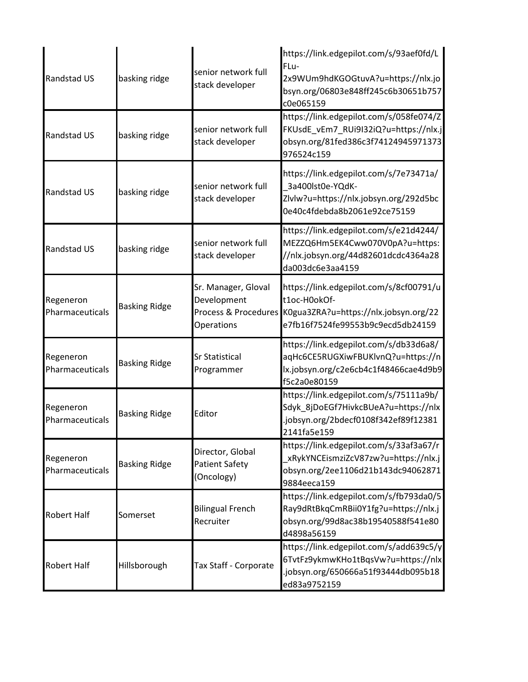| Randstad US                  | basking ridge        | senior network full<br>stack developer                                   | https://link.edgepilot.com/s/93aef0fd/L<br>FLu-<br>2x9WUm9hdKGOGtuvA?u=https://nlx.jo<br>bsyn.org/06803e848ff245c6b30651b757<br>c0e065159 |
|------------------------------|----------------------|--------------------------------------------------------------------------|-------------------------------------------------------------------------------------------------------------------------------------------|
| Randstad US                  | basking ridge        | senior network full<br>stack developer                                   | https://link.edgepilot.com/s/058fe074/Z<br>FKUsdE_vEm7_RUi9I32iQ?u=https://nlx.j<br>obsyn.org/81fed386c3f74124945971373<br>976524c159     |
| <b>Randstad US</b>           | basking ridge        | senior network full<br>stack developer                                   | https://link.edgepilot.com/s/7e73471a/<br>3a400lst0e-YQdK-<br>Zlvlw?u=https://nlx.jobsyn.org/292d5bc<br>0e40c4fdebda8b2061e92ce75159      |
| Randstad US                  | basking ridge        | senior network full<br>stack developer                                   | https://link.edgepilot.com/s/e21d4244/<br>MEZZQ6Hm5EK4Cww070V0pA?u=https:<br>//nlx.jobsyn.org/44d82601dcdc4364a28<br>da003dc6e3aa4159     |
| Regeneron<br>Pharmaceuticals | <b>Basking Ridge</b> | Sr. Manager, Gloval<br>Development<br>Process & Procedures<br>Operations | https://link.edgepilot.com/s/8cf00791/u<br>t1oc-H0okOf-<br>K0gua3ZRA?u=https://nlx.jobsyn.org/22<br>e7fb16f7524fe99553b9c9ecd5db24159     |
| Regeneron<br>Pharmaceuticals | <b>Basking Ridge</b> | <b>Sr Statistical</b><br>Programmer                                      | https://link.edgepilot.com/s/db33d6a8/<br>aqHc6CE5RUGXiwFBUKlvnQ?u=https://n<br>lx.jobsyn.org/c2e6cb4c1f48466cae4d9b9<br>f5c2a0e80159     |
| Regeneron<br>Pharmaceuticals | <b>Basking Ridge</b> | Editor                                                                   | https://link.edgepilot.com/s/75111a9b/<br>Sdyk_8jDoEGf7HivkcBUeA?u=https://nlx<br>.jobsyn.org/2bdecf0108f342ef89f12381<br>2141fa5e159     |
| Regeneron<br>Pharmaceuticals | <b>Basking Ridge</b> | Director, Global<br><b>Patient Safety</b><br>(Oncology)                  | https://link.edgepilot.com/s/33af3a67/r<br>xRykYNCEismziZcV87zw?u=https://nlx.j<br>obsyn.org/2ee1106d21b143dc94062871<br>9884eeca159      |
| <b>Robert Half</b>           | Somerset             | <b>Bilingual French</b><br>Recruiter                                     | https://link.edgepilot.com/s/fb793da0/5<br>Ray9dRtBkqCmRBii0Y1fg?u=https://nlx.j<br>obsyn.org/99d8ac38b19540588f541e80<br>d4898a56159     |
| <b>Robert Half</b>           | Hillsborough         | Tax Staff - Corporate                                                    | https://link.edgepilot.com/s/add639c5/y<br>6TvtFz9ykmwKHo1tBqsVw?u=https://nlx<br>.jobsyn.org/650666a51f93444db095b18<br>ed83a9752159     |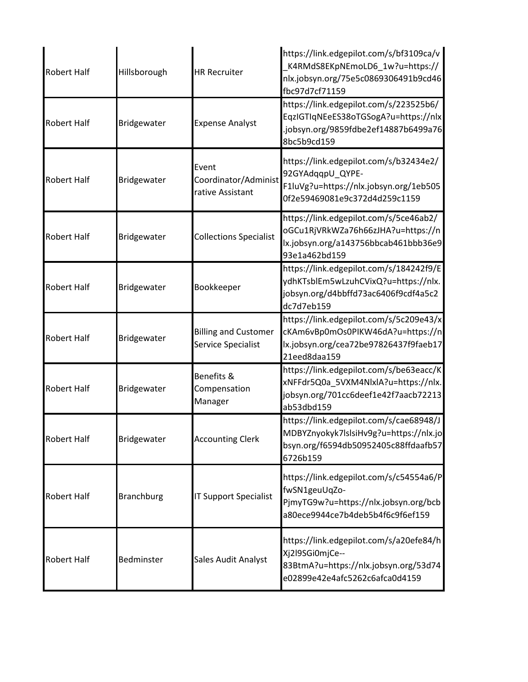| <b>Robert Half</b> | Hillsborough      | <b>HR Recruiter</b>                               | https://link.edgepilot.com/s/bf3109ca/v<br>K4RMdS8EKpNEmoLD6_1w?u=https://<br>nlx.jobsyn.org/75e5c0869306491b9cd46<br>fbc97d7cf71159  |
|--------------------|-------------------|---------------------------------------------------|---------------------------------------------------------------------------------------------------------------------------------------|
| <b>Robert Half</b> | Bridgewater       | <b>Expense Analyst</b>                            | https://link.edgepilot.com/s/223525b6/<br>EqzIGTIqNEeES38oTGSogA?u=https://nlx<br>.jobsyn.org/9859fdbe2ef14887b6499a76<br>8bc5b9cd159 |
| <b>Robert Half</b> | Bridgewater       | Event<br>Coordinator/Administ<br>rative Assistant | https://link.edgepilot.com/s/b32434e2/<br>92GYAdqqpU_QYPE-<br>F1luVg?u=https://nlx.jobsyn.org/1eb505<br>0f2e59469081e9c372d4d259c1159 |
| <b>Robert Half</b> | Bridgewater       | <b>Collections Specialist</b>                     | https://link.edgepilot.com/s/5ce46ab2/<br>oGCu1RjVRkWZa76h66zJHA?u=https://n<br>lx.jobsyn.org/a143756bbcab461bbb36e9<br>93e1a462bd159 |
| <b>Robert Half</b> | Bridgewater       | Bookkeeper                                        | https://link.edgepilot.com/s/184242f9/E<br>ydhKTsblEm5wLzuhCVixQ?u=https://nlx.<br>jobsyn.org/d4bbffd73ac6406f9cdf4a5c2<br>dc7d7eb159 |
| <b>Robert Half</b> | Bridgewater       | <b>Billing and Customer</b><br>Service Specialist | https://link.edgepilot.com/s/5c209e43/x<br>cKAm6vBp0mOs0PIKW46dA?u=https://n<br>lx.jobsyn.org/cea72be97826437f9faeb17<br>21eed8daa159 |
| <b>Robert Half</b> | Bridgewater       | Benefits &<br>Compensation<br>Manager             | https://link.edgepilot.com/s/be63eacc/K<br>xNFFdr5Q0a_5VXM4NlxlA?u=https://nlx.<br>jobsyn.org/701cc6deef1e42f7aacb72213<br>ab53dbd159 |
| <b>Robert Half</b> | Bridgewater       | <b>Accounting Clerk</b>                           | https://link.edgepilot.com/s/cae68948/J<br>MDBYZnyokyk7lslsiHv9g?u=https://nlx.jo<br>bsyn.org/f6594db50952405c88ffdaafb57<br>6726b159 |
| <b>Robert Half</b> | <b>Branchburg</b> | <b>IT Support Specialist</b>                      | https://link.edgepilot.com/s/c54554a6/P<br>fwSN1geuUqZo-<br>PjmyTG9w?u=https://nlx.jobsyn.org/bcb<br>a80ece9944ce7b4deb5b4f6c9f6ef159 |
| <b>Robert Half</b> | Bedminster        | Sales Audit Analyst                               | https://link.edgepilot.com/s/a20efe84/h<br>Xj2l9SGi0mjCe--<br>83BtmA?u=https://nlx.jobsyn.org/53d74<br>e02899e42e4afc5262c6afca0d4159 |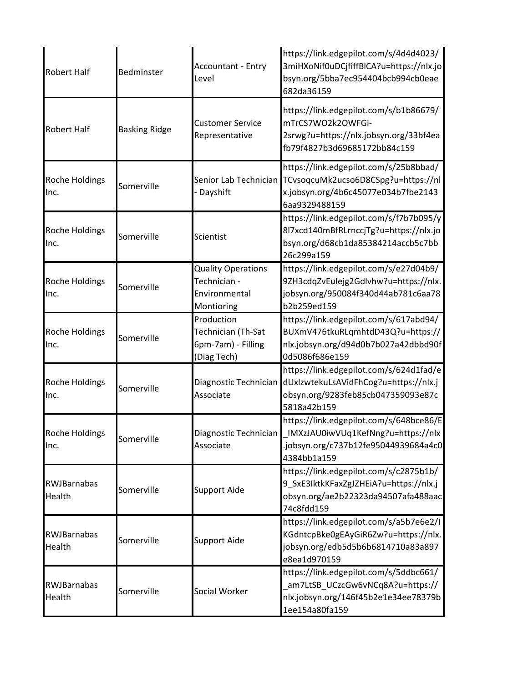| <b>Robert Half</b>            | Bedminster           | <b>Accountant - Entry</b><br>Level                                       | https://link.edgepilot.com/s/4d4d4023/<br>3miHXoNif0uDCjfiffBlCA?u=https://nlx.jo<br>bsyn.org/5bba7ec954404bcb994cb0eae<br>682da36159                       |
|-------------------------------|----------------------|--------------------------------------------------------------------------|-------------------------------------------------------------------------------------------------------------------------------------------------------------|
| <b>Robert Half</b>            | <b>Basking Ridge</b> | <b>Customer Service</b><br>Representative                                | https://link.edgepilot.com/s/b1b86679/<br>mTrCS7WO2k2OWFGi-<br>2srwg?u=https://nlx.jobsyn.org/33bf4ea<br>fb79f4827b3d69685172bb84c159                       |
| <b>Roche Holdings</b><br>Inc. | Somerville           | Dayshift                                                                 | https://link.edgepilot.com/s/25b8bbad/<br>Senior Lab Technician TCvsoqcuMk2ucso6D8CSpg?u=https://nl<br>x.jobsyn.org/4b6c45077e034b7fbe2143<br>6aa9329488159 |
| <b>Roche Holdings</b><br>Inc. | Somerville           | Scientist                                                                | https://link.edgepilot.com/s/f7b7b095/y<br>8l7xcd140mBfRLrnccjTg?u=https://nlx.jo<br>bsyn.org/d68cb1da85384214accb5c7bb<br>26c299a159                       |
| Roche Holdings<br>Inc.        | Somerville           | <b>Quality Operations</b><br>Technician -<br>Environmental<br>Montioring | https://link.edgepilot.com/s/e27d04b9/<br>9ZH3cdqZvEulejg2Gdlvhw?u=https://nlx.<br>jobsyn.org/950084f340d44ab781c6aa78<br>b2b259ed159                       |
| Roche Holdings<br>Inc.        | Somerville           | Production<br>Technician (Th-Sat<br>6pm-7am) - Filling<br>(Diag Tech)    | https://link.edgepilot.com/s/617abd94/<br>BUXmV476tkuRLqmhtdD43Q?u=https://<br>nlx.jobsyn.org/d94d0b7b027a42dbbd90f<br>0d5086f686e159                       |
| Roche Holdings<br>Inc.        | Somerville           | Associate                                                                | https://link.edgepilot.com/s/624d1fad/e<br>Diagnostic Technician dUxlzwtekuLsAVidFhCog?u=https://nlx.j<br>obsyn.org/9283feb85cb047359093e87c<br>5818a42b159 |
| Roche Holdings<br>Inc.        | Somerville           | Diagnostic Technician<br>Associate                                       | https://link.edgepilot.com/s/648bce86/E<br>IMXzJAU0iwVUq1KefNng?u=https://nlx<br>.jobsyn.org/c737b12fe95044939684a4c0<br>4384bb1a159                        |
| RWJBarnabas<br>Health         | Somerville           | <b>Support Aide</b>                                                      | https://link.edgepilot.com/s/c2875b1b/<br>9_SxE3IktkKFaxZgJZHEiA?u=https://nlx.j<br>obsyn.org/ae2b22323da94507afa488aac<br>74c8fdd159                       |
| RWJBarnabas<br>Health         | Somerville           | <b>Support Aide</b>                                                      | https://link.edgepilot.com/s/a5b7e6e2/I<br>KGdntcpBke0gEAyGiR6Zw?u=https://nlx.<br>jobsyn.org/edb5d5b6b6814710a83a897<br>e8ea1d970159                       |
| RWJBarnabas<br>Health         | Somerville           | Social Worker                                                            | https://link.edgepilot.com/s/5ddbc661/<br>am7LtSB_UCzcGw6vNCq8A?u=https://<br>nlx.jobsyn.org/146f45b2e1e34ee78379b<br>1ee154a80fa159                        |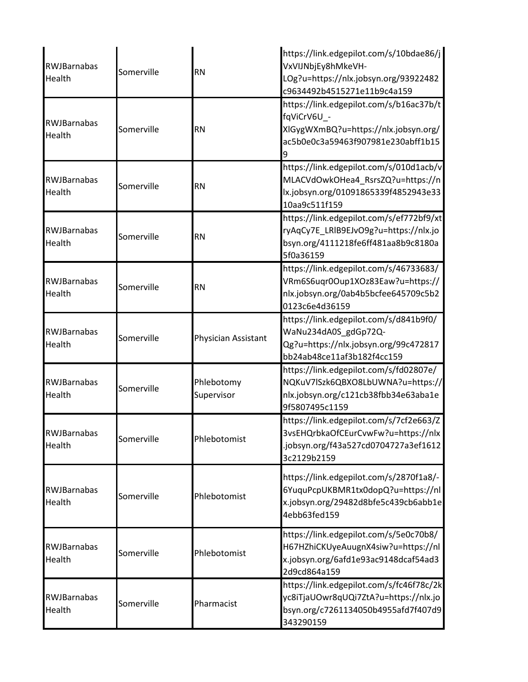| <b>RWJBarnabas</b><br>Health | Somerville | <b>RN</b>                | https://link.edgepilot.com/s/10bdae86/j<br>VxVIJNbjEy8hMkeVH-<br>LOg?u=https://nlx.jobsyn.org/93922482<br>c9634492b4515271e11b9c4a159     |
|------------------------------|------------|--------------------------|-------------------------------------------------------------------------------------------------------------------------------------------|
| RWJBarnabas<br>Health        | Somerville | <b>RN</b>                | https://link.edgepilot.com/s/b16ac37b/t<br>fqViCrV6U -<br>XIGygWXmBQ?u=https://nlx.jobsyn.org/<br>ac5b0e0c3a59463f907981e230abff1b15<br>9 |
| <b>RWJBarnabas</b><br>Health | Somerville | <b>RN</b>                | https://link.edgepilot.com/s/010d1acb/v<br>MLACVdOwkOHea4_RsrsZQ?u=https://n<br>lx.jobsyn.org/01091865339f4852943e33<br>10aa9c511f159     |
| <b>RWJBarnabas</b><br>Health | Somerville | <b>RN</b>                | https://link.edgepilot.com/s/ef772bf9/xt<br>ryAqCy7E_LRIB9EJvO9g?u=https://nlx.jo<br>bsyn.org/4111218fe6ff481aa8b9c8180a<br>5f0a36159     |
| <b>RWJBarnabas</b><br>Health | Somerville | <b>RN</b>                | https://link.edgepilot.com/s/46733683/<br>VRm6S6uqr0Oup1XOz83Eaw?u=https://<br>nlx.jobsyn.org/0ab4b5bcfee645709c5b2<br>0123c6e4d36159     |
| <b>RWJBarnabas</b><br>Health | Somerville | Physician Assistant      | https://link.edgepilot.com/s/d841b9f0/<br>WaNu234dA0S_gdGp72Q-<br>Qg?u=https://nlx.jobsyn.org/99c472817<br>bb24ab48ce11af3b182f4cc159     |
| <b>RWJBarnabas</b><br>Health | Somerville | Phlebotomy<br>Supervisor | https://link.edgepilot.com/s/fd02807e/<br>NQKuV7lSzk6QBXO8LbUWNA?u=https://<br>nlx.jobsyn.org/c121cb38fbb34e63aba1e<br>9f5807495c1159     |
| RWJBarnabas<br>Health        | Somerville | Phlebotomist             | https://link.edgepilot.com/s/7cf2e663/Z<br>3vsEHQrbkaOfCEurCvwFw?u=https://nlx<br>.jobsyn.org/f43a527cd0704727a3ef1612<br>3c2129b2159     |
| RWJBarnabas<br>Health        | Somerville | Phlebotomist             | https://link.edgepilot.com/s/2870f1a8/-<br>6YuquPcpUKBMR1tx0dopQ?u=https://nl<br>x.jobsyn.org/29482d8bfe5c439cb6abb1e<br>4ebb63fed159     |
| <b>RWJBarnabas</b><br>Health | Somerville | Phlebotomist             | https://link.edgepilot.com/s/5e0c70b8/<br>H67HZhiCKUyeAuugnX4siw?u=https://nl<br>x.jobsyn.org/6afd1e93ac9148dcaf54ad3<br>2d9cd864a159     |
| <b>RWJBarnabas</b><br>Health | Somerville | Pharmacist               | https://link.edgepilot.com/s/fc46f78c/2k<br>yc8iTjaUOwr8qUQi7ZtA?u=https://nlx.jo<br>bsyn.org/c7261134050b4955afd7f407d9<br>343290159     |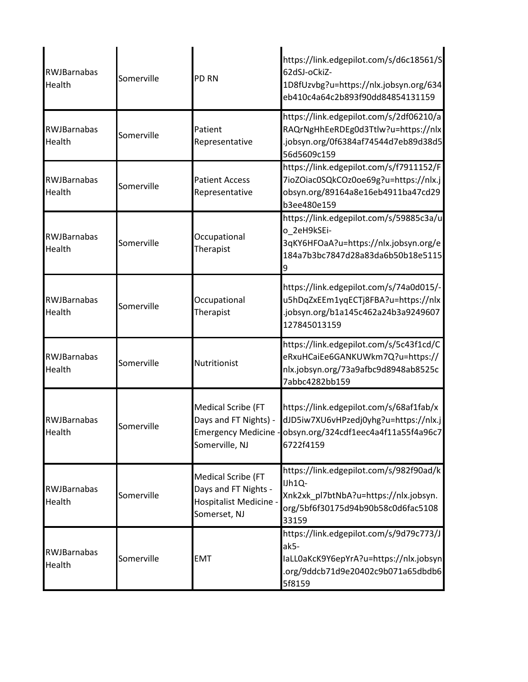| <b>RWJBarnabas</b><br>Health | Somerville | <b>PD RN</b>                                                                                | https://link.edgepilot.com/s/d6c18561/S<br>62dSJ-oCkiZ-<br>1D8fUzvbg?u=https://nlx.jobsyn.org/634<br>eb410c4a64c2b893f90dd84854131159                      |
|------------------------------|------------|---------------------------------------------------------------------------------------------|------------------------------------------------------------------------------------------------------------------------------------------------------------|
| <b>RWJBarnabas</b><br>Health | Somerville | Patient<br>Representative                                                                   | https://link.edgepilot.com/s/2df06210/a<br>RAQrNgHhEeRDEg0d3Ttlw?u=https://nlx<br>.jobsyn.org/0f6384af74544d7eb89d38d5<br>56d5609c159                      |
| <b>RWJBarnabas</b><br>Health | Somerville | <b>Patient Access</b><br>Representative                                                     | https://link.edgepilot.com/s/f7911152/F<br>7ioZOiac0SQkCOz0oe69g?u=https://nlx.j<br>obsyn.org/89164a8e16eb4911ba47cd29<br>b3ee480e159                      |
| <b>RWJBarnabas</b><br>Health | Somerville | Occupational<br>Therapist                                                                   | https://link.edgepilot.com/s/59885c3a/u<br>o_2eH9kSEi-<br>3qKY6HFOaA?u=https://nlx.jobsyn.org/e<br>184a7b3bc7847d28a83da6b50b18e5115                       |
| <b>RWJBarnabas</b><br>Health | Somerville | Occupational<br>Therapist                                                                   | https://link.edgepilot.com/s/74a0d015/-<br>u5hDqZxEEm1yqECTj8FBA?u=https://nlx<br>.jobsyn.org/b1a145c462a24b3a9249607<br>127845013159                      |
| RWJBarnabas<br>Health        | Somerville | Nutritionist                                                                                | https://link.edgepilot.com/s/5c43f1cd/C<br>eRxuHCaiEe6GANKUWkm7Q?u=https://<br>nlx.jobsyn.org/73a9afbc9d8948ab8525c<br>7abbc4282bb159                      |
| <b>RWIBarnabas</b><br>Health | Somerville | Medical Scribe (FT<br>Days and FT Nights) -<br>Somerville, NJ                               | https://link.edgepilot.com/s/68af1fab/x<br>dJD5iw7XU6vHPzedj0yhg?u=https://nlx.j<br>Emergency Medicine - obsyn.org/324cdf1eec4a4f11a55f4a96c7<br>6722f4159 |
| <b>RWJBarnabas</b><br>Health | Somerville | <b>Medical Scribe (FT</b><br>Days and FT Nights -<br>Hospitalist Medicine -<br>Somerset, NJ | https://link.edgepilot.com/s/982f90ad/k<br>IJh1Q-<br>Xnk2xk_pl7btNbA?u=https://nlx.jobsyn.<br>org/5bf6f30175d94b90b58c0d6fac5108<br>33159                  |
| <b>RWJBarnabas</b><br>Health | Somerville | <b>EMT</b>                                                                                  | https://link.edgepilot.com/s/9d79c773/J<br>ak5-<br>laLL0aKcK9Y6epYrA?u=https://nlx.jobsyn<br>.org/9ddcb71d9e20402c9b071a65dbdb6<br>5f8159                  |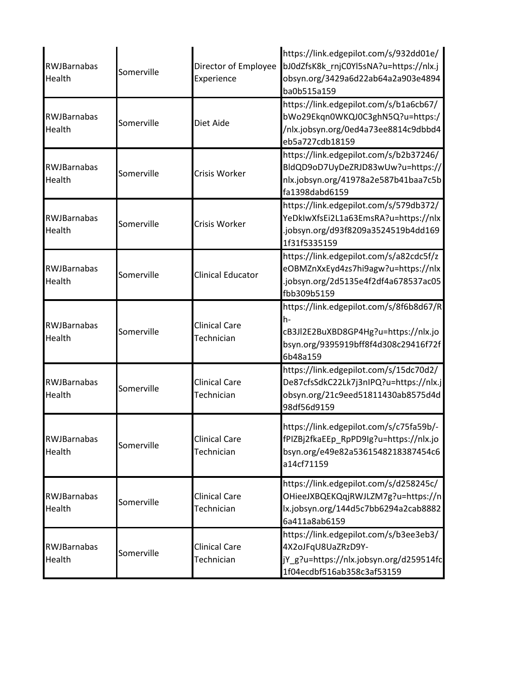| RWJBarnabas<br>Health        | Somerville | Director of Employee<br>Experience | https://link.edgepilot.com/s/932dd01e/<br>bJ0dZfsK8k_rnjC0Yl5sNA?u=https://nlx.j<br>obsyn.org/3429a6d22ab64a2a903e4894<br>ba0b515a159     |
|------------------------------|------------|------------------------------------|-------------------------------------------------------------------------------------------------------------------------------------------|
| RWJBarnabas<br>Health        | Somerville | Diet Aide                          | https://link.edgepilot.com/s/b1a6cb67/<br>bWo29Ekqn0WKQJ0C3ghN5Q?u=https:/<br>/nlx.jobsyn.org/0ed4a73ee8814c9dbbd4<br>eb5a727cdb18159     |
| RWJBarnabas<br>Health        | Somerville | Crisis Worker                      | https://link.edgepilot.com/s/b2b37246/<br>BldQD9oD7UyDeZRJD83wUw?u=https://<br>nlx.jobsyn.org/41978a2e587b41baa7c5b<br>fa1398dabd6159     |
| RWJBarnabas<br>Health        | Somerville | Crisis Worker                      | https://link.edgepilot.com/s/579db372/<br>YeDkIwXfsEi2L1a63EmsRA?u=https://nlx<br>.jobsyn.org/d93f8209a3524519b4dd169<br>1f31f5335159     |
| RWJBarnabas<br>Health        | Somerville | <b>Clinical Educator</b>           | https://link.edgepilot.com/s/a82cdc5f/z<br>eOBMZnXxEyd4zs7hi9agw?u=https://nlx<br>.jobsyn.org/2d5135e4f2df4a678537ac05<br>fbb309b5159     |
| RWJBarnabas<br>Health        | Somerville | <b>Clinical Care</b><br>Technician | https://link.edgepilot.com/s/8f6b8d67/R<br>h-<br>cB3Jl2E2BuXBD8GP4Hg?u=https://nlx.jo<br>bsyn.org/9395919bff8f4d308c29416f72f<br>6b48a159 |
| <b>RWJBarnabas</b><br>Health | Somerville | <b>Clinical Care</b><br>Technician | https://link.edgepilot.com/s/15dc70d2/<br>De87cfsSdkC22Lk7j3nIPQ?u=https://nlx.j<br>obsyn.org/21c9eed51811430ab8575d4d<br>98df56d9159     |
| RWJBarnabas<br>Health        | Somerville | <b>Clinical Care</b><br>Technician | https://link.edgepilot.com/s/c75fa59b/-<br>fPIZBj2fkaEEp RpPD9lg?u=https://nlx.jo<br>bsyn.org/e49e82a5361548218387454c6<br>a14cf71159     |
| <b>RWJBarnabas</b><br>Health | Somerville | <b>Clinical Care</b><br>Technician | https://link.edgepilot.com/s/d258245c/<br>OHieeJXBQEKQqjRWJLZM7g?u=https://n<br>lx.jobsyn.org/144d5c7bb6294a2cab8882<br>6a411a8ab6159     |
| RWJBarnabas<br>Health        | Somerville | <b>Clinical Care</b><br>Technician | https://link.edgepilot.com/s/b3ee3eb3/<br>4X2oJFqU8UaZRzD9Y-<br>jY_g?u=https://nlx.jobsyn.org/d259514fc<br>1f04ecdbf516ab358c3af53159     |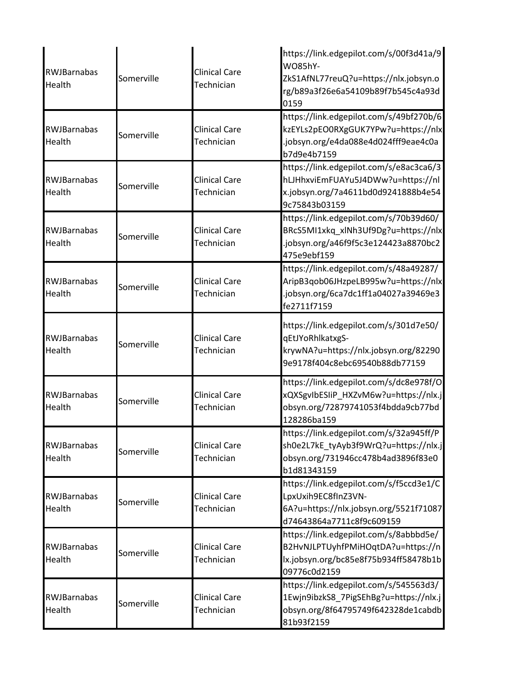| RWJBarnabas<br>Health | Somerville | Clinical Care<br>Technician        | https://link.edgepilot.com/s/00f3d41a/9<br><b>WO85hY-</b><br>ZkS1AfNL77reuQ?u=https://nlx.jobsyn.o<br>rg/b89a3f26e6a54109b89f7b545c4a93d<br>0159 |
|-----------------------|------------|------------------------------------|--------------------------------------------------------------------------------------------------------------------------------------------------|
| RWJBarnabas<br>Health | Somerville | <b>Clinical Care</b><br>Technician | https://link.edgepilot.com/s/49bf270b/6<br>kzEYLs2pEO0RXgGUK7YPw?u=https://nlx<br>.jobsyn.org/e4da088e4d024fff9eae4c0a<br>b7d9e4b7159            |
| RWJBarnabas<br>Health | Somerville | <b>Clinical Care</b><br>Technician | https://link.edgepilot.com/s/e8ac3ca6/3<br>hLJHhxviEmFUAYu5J4DWw?u=https://nl<br>x.jobsyn.org/7a4611bd0d9241888b4e54<br>9c75843b03159            |
| RWJBarnabas<br>Health | Somerville | <b>Clinical Care</b><br>Technician | https://link.edgepilot.com/s/70b39d60/<br>BRcS5MI1xkq_xlNh3Uf9Dg?u=https://nlx<br>.jobsyn.org/a46f9f5c3e124423a8870bc2<br>475e9ebf159            |
| RWJBarnabas<br>Health | Somerville | <b>Clinical Care</b><br>Technician | https://link.edgepilot.com/s/48a49287/<br>AripB3qob06JHzpeLB995w?u=https://nlx<br>.jobsyn.org/6ca7dc1ff1a04027a39469e3<br>fe2711f7159            |
| RWJBarnabas<br>Health | Somerville | <b>Clinical Care</b><br>Technician | https://link.edgepilot.com/s/301d7e50/<br>qEtJYoRhlkatxgS-<br>krywNA?u=https://nlx.jobsyn.org/82290<br>9e9178f404c8ebc69540b88db77159            |
| RWJBarnabas<br>Health | Somerville | <b>Clinical Care</b><br>Technician | https://link.edgepilot.com/s/dc8e978f/O<br>xQXSgvIbESIiP_HXZvM6w?u=https://nlx.j<br>obsyn.org/72879741053f4bdda9cb77bd<br>128286ba159            |
| RWJBarnabas<br>Health | Somerville | <b>Clinical Care</b><br>Technician | https://link.edgepilot.com/s/32a945ff/P<br>sh0e2L7kE_tyAyb3f9WrQ?u=https://nlx.j<br>obsyn.org/731946cc478b4ad3896f83e0<br>b1d81343159            |
| RWJBarnabas<br>Health | Somerville | <b>Clinical Care</b><br>Technician | https://link.edgepilot.com/s/f5ccd3e1/C<br>LpxUxih9EC8fInZ3VN-<br>6A?u=https://nlx.jobsyn.org/5521f71087<br>d74643864a7711c8f9c609159            |
| RWJBarnabas<br>Health | Somerville | <b>Clinical Care</b><br>Technician | https://link.edgepilot.com/s/8abbbd5e/<br>B2HvNJLPTUyhfPMiHOqtDA?u=https://n<br>lx.jobsyn.org/bc85e8f75b934ff58478b1b<br>09776c0d2159            |
| RWJBarnabas<br>Health | Somerville | <b>Clinical Care</b><br>Technician | https://link.edgepilot.com/s/545563d3/<br>1Ewjn9ibzkS8 7PigSEhBg?u=https://nlx.j<br>obsyn.org/8f64795749f642328de1cabdb<br>81b93f2159            |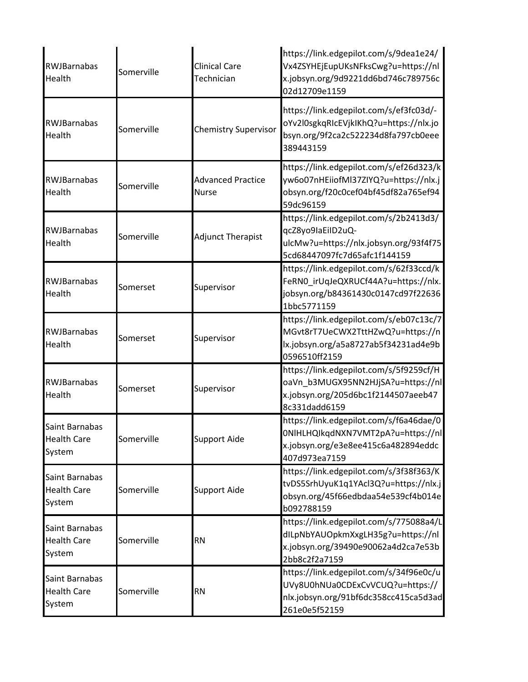| <b>RWJBarnabas</b><br>Health                   | Somerville | <b>Clinical Care</b><br>Technician       | https://link.edgepilot.com/s/9dea1e24/<br>Vx4ZSYHEjEupUKsNFksCwg?u=https://nl<br>x.jobsyn.org/9d9221dd6bd746c789756c<br>02d12709e1159 |
|------------------------------------------------|------------|------------------------------------------|---------------------------------------------------------------------------------------------------------------------------------------|
| RWJBarnabas<br>Health                          | Somerville | <b>Chemistry Supervisor</b>              | https://link.edgepilot.com/s/ef3fc03d/-<br>oYv2l0sgkqRIcEVjkIKhQ?u=https://nlx.jo<br>bsyn.org/9f2ca2c522234d8fa797cb0eee<br>389443159 |
| <b>RWJBarnabas</b><br>Health                   | Somerville | <b>Advanced Practice</b><br><b>Nurse</b> | https://link.edgepilot.com/s/ef26d323/k<br>yw6o07nHEiiofMl37ZIYQ?u=https://nlx.j<br>obsyn.org/f20c0cef04bf45df82a765ef94<br>59dc96159 |
| <b>RWJBarnabas</b><br>Health                   | Somerville | <b>Adjunct Therapist</b>                 | https://link.edgepilot.com/s/2b2413d3/<br>qcZ8yo9laEiID2uQ-<br>ulcMw?u=https://nlx.jobsyn.org/93f4f75<br>5cd68447097fc7d65afc1f144159 |
| <b>RWJBarnabas</b><br>Health                   | Somerset   | Supervisor                               | https://link.edgepilot.com/s/62f33ccd/k<br>FeRNO_irUqJeQXRUCf44A?u=https://nlx.<br>jobsyn.org/b84361430c0147cd97f22636<br>1bbc5771159 |
| <b>RWJBarnabas</b><br>Health                   | Somerset   | Supervisor                               | https://link.edgepilot.com/s/eb07c13c/7<br>MGvt8rT7UeCWX2TttHZwQ?u=https://n<br>lx.jobsyn.org/a5a8727ab5f34231ad4e9b<br>0596510ff2159 |
| RWJBarnabas<br>Health                          | Somerset   | Supervisor                               | https://link.edgepilot.com/s/5f9259cf/H<br>oaVn_b3MUGX95NN2HJjSA?u=https://nl<br>x.jobsyn.org/205d6bc1f2144507aeeb47<br>8c331dadd6159 |
| Saint Barnabas<br><b>Health Care</b><br>System | Somerville | <b>Support Aide</b>                      | https://link.edgepilot.com/s/f6a46dae/0<br>ONIHLHQIkqdNXN7VMT2pA?u=https://nl<br>x.jobsyn.org/e3e8ee415c6a482894eddc<br>407d973ea7159 |
| Saint Barnabas<br><b>Health Care</b><br>System | Somerville | <b>Support Aide</b>                      | https://link.edgepilot.com/s/3f38f363/K<br>tvDS5SrhUyuK1q1YAcl3Q?u=https://nlx.j<br>obsyn.org/45f66edbdaa54e539cf4b014e<br>b092788159 |
| Saint Barnabas<br><b>Health Care</b><br>System | Somerville | <b>RN</b>                                | https://link.edgepilot.com/s/775088a4/L<br>dILpNbYAUOpkmXxgLH35g?u=https://nl<br>x.jobsyn.org/39490e90062a4d2ca7e53b<br>2bb8c2f2a7159 |
| Saint Barnabas<br><b>Health Care</b><br>System | Somerville | <b>RN</b>                                | https://link.edgepilot.com/s/34f96e0c/u<br>UVy8U0hNUa0CDExCvVCUQ?u=https://<br>nlx.jobsyn.org/91bf6dc358cc415ca5d3ad<br>261e0e5f52159 |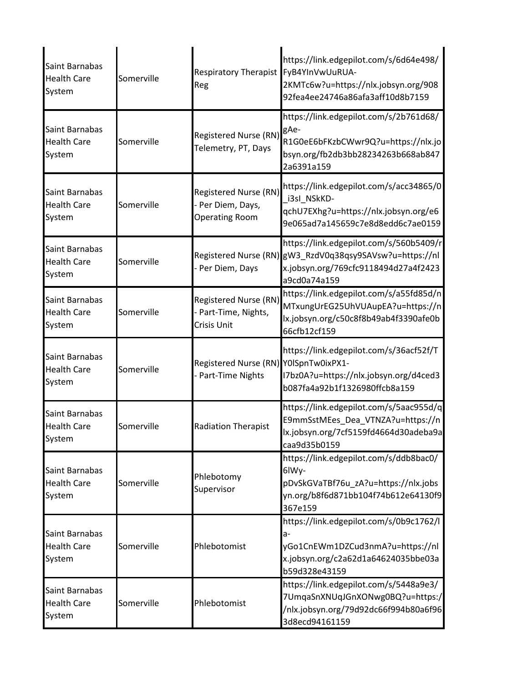| Saint Barnabas<br><b>Health Care</b><br>System | Somerville | <b>Respiratory Therapist</b><br>Reg                                 | https://link.edgepilot.com/s/6d64e498/<br>FyB4YInVwUuRUA-<br>2KMTc6w?u=https://nlx.jobsyn.org/908<br>92fea4ee24746a86afa3aff10d8b7159                       |
|------------------------------------------------|------------|---------------------------------------------------------------------|-------------------------------------------------------------------------------------------------------------------------------------------------------------|
| Saint Barnabas<br><b>Health Care</b><br>System | Somerville | Registered Nurse (RN)<br>Telemetry, PT, Days                        | https://link.edgepilot.com/s/2b761d68/<br>gAe-<br>R1G0eE6bFKzbCWwr9Q?u=https://nlx.jo<br>bsyn.org/fb2db3bb28234263b668ab847<br>2a6391a159                   |
| Saint Barnabas<br><b>Health Care</b><br>System | Somerville | Registered Nurse (RN)<br>- Per Diem, Days,<br><b>Operating Room</b> | https://link.edgepilot.com/s/acc34865/0<br>i3sl_NSkKD-<br>qchU7EXhg?u=https://nlx.jobsyn.org/e6<br>9e065ad7a145659c7e8d8edd6c7ae0159                        |
| Saint Barnabas<br><b>Health Care</b><br>System | Somerville | - Per Diem, Days                                                    | https://link.edgepilot.com/s/560b5409/r<br>Registered Nurse (RN) gW3_RzdV0q38qsy9SAVsw?u=https://nl<br>x.jobsyn.org/769cfc9118494d27a4f2423<br>a9cd0a74a159 |
| Saint Barnabas<br><b>Health Care</b><br>System | Somerville | Registered Nurse (RN)<br>- Part-Time, Nights,<br>Crisis Unit        | https://link.edgepilot.com/s/a55fd85d/n<br>MTxungUrEG25UhVUAupEA?u=https://n<br>lx.jobsyn.org/c50c8f8b49ab4f3390afe0b<br>66cfb12cf159                       |
| Saint Barnabas<br><b>Health Care</b><br>System | Somerville | Registered Nurse (RN) Y0ISpnTw0ixPX1-<br>- Part-Time Nights         | https://link.edgepilot.com/s/36acf52f/T<br>I7bz0A?u=https://nlx.jobsyn.org/d4ced3<br>b087fa4a92b1f1326980ffcb8a159                                          |
| Saint Barnabas<br><b>Health Care</b><br>System | Somerville | <b>Radiation Therapist</b>                                          | https://link.edgepilot.com/s/5aac955d/q<br>E9mmSstMEes_Dea_VTNZA?u=https://n<br>lx.jobsyn.org/7cf5159fd4664d30adeba9a<br>caa9d35b0159                       |
| Saint Barnabas<br><b>Health Care</b><br>System | Somerville | Phlebotomy<br>Supervisor                                            | https://link.edgepilot.com/s/ddb8bac0/<br>6lWy-<br>pDvSkGVaTBf76u_zA?u=https://nlx.jobs<br>yn.org/b8f6d871bb104f74b612e64130f9<br>367e159                   |
| Saint Barnabas<br><b>Health Care</b><br>System | Somerville | Phlebotomist                                                        | https://link.edgepilot.com/s/0b9c1762/l<br>a-<br>yGo1CnEWm1DZCud3nmA?u=https://nl<br>x.jobsyn.org/c2a62d1a64624035bbe03a<br>b59d328e43159                   |
| Saint Barnabas<br><b>Health Care</b><br>System | Somerville | Phlebotomist                                                        | https://link.edgepilot.com/s/5448a9e3/<br>7UmqaSnXNUqJGnXONwg0BQ?u=https:/<br>/nlx.jobsyn.org/79d92dc66f994b80a6f96<br>3d8ecd94161159                       |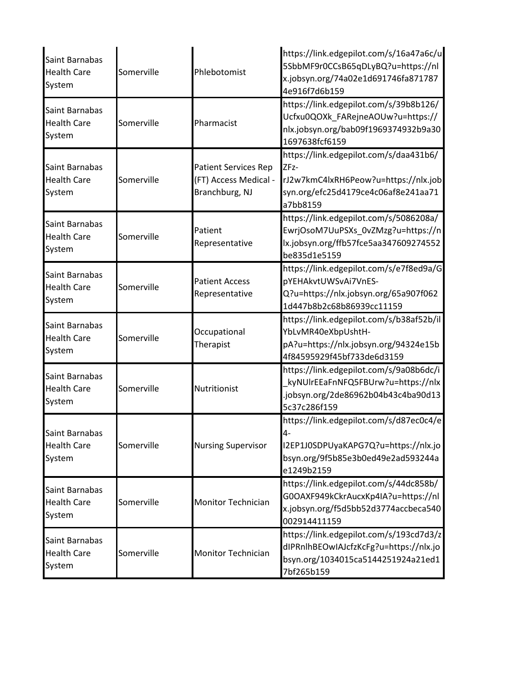| Saint Barnabas<br><b>Health Care</b><br>System | Somerville | Phlebotomist                                                           | https://link.edgepilot.com/s/16a47a6c/u<br>5SbbMF9r0CCsB65qDLyBQ?u=https://nl<br>x.jobsyn.org/74a02e1d691746fa871787<br>4e916f7d6b159     |
|------------------------------------------------|------------|------------------------------------------------------------------------|-------------------------------------------------------------------------------------------------------------------------------------------|
| Saint Barnabas<br><b>Health Care</b><br>System | Somerville | Pharmacist                                                             | https://link.edgepilot.com/s/39b8b126/<br>Ucfxu0QOXk_FARejneAOUw?u=https://<br>nlx.jobsyn.org/bab09f1969374932b9a30<br>1697638fcf6159     |
| Saint Barnabas<br><b>Health Care</b><br>System | Somerville | <b>Patient Services Rep</b><br>(FT) Access Medical -<br>Branchburg, NJ | https://link.edgepilot.com/s/daa431b6/<br>ZFz-<br>rJ2w7kmC4lxRH6Peow?u=https://nlx.job<br>syn.org/efc25d4179ce4c06af8e241aa71<br>a7bb8159 |
| Saint Barnabas<br><b>Health Care</b><br>System | Somerville | Patient<br>Representative                                              | https://link.edgepilot.com/s/5086208a/<br>EwrjOsoM7UuPSXs 0vZMzg?u=https://n<br>lx.jobsyn.org/ffb57fce5aa347609274552<br>be835d1e5159     |
| Saint Barnabas<br><b>Health Care</b><br>System | Somerville | <b>Patient Access</b><br>Representative                                | https://link.edgepilot.com/s/e7f8ed9a/G<br>pYEHAkvtUWSvAi7VnES-<br>Q?u=https://nlx.jobsyn.org/65a907f062<br>1d447b8b2c68b86939cc11159     |
| Saint Barnabas<br><b>Health Care</b><br>System | Somerville | Occupational<br>Therapist                                              | https://link.edgepilot.com/s/b38af52b/il<br>YbLvMR40eXbpUshtH-<br>pA?u=https://nlx.jobsyn.org/94324e15b<br>4f84595929f45bf733de6d3159     |
| Saint Barnabas<br><b>Health Care</b><br>System | Somerville | Nutritionist                                                           | https://link.edgepilot.com/s/9a08b6dc/i<br>kyNUIrEEaFnNFQ5FBUrw?u=https://nlx<br>.jobsyn.org/2de86962b04b43c4ba90d13<br>5c37c286f159      |
| Saint Barnabas<br><b>Health Care</b><br>System | Somerville | <b>Nursing Supervisor</b>                                              | https://link.edgepilot.com/s/d87ec0c4/e<br>4-<br>I2EP1J0SDPUyaKAPG7Q?u=https://nlx.jo<br>bsyn.org/9f5b85e3b0ed49e2ad593244a<br>e1249b2159 |
| Saint Barnabas<br><b>Health Care</b><br>System | Somerville | <b>Monitor Technician</b>                                              | https://link.edgepilot.com/s/44dc858b/<br>G0OAXF949kCkrAucxKp4IA?u=https://nl<br>x.jobsyn.org/f5d5bb52d3774accbeca540<br>002914411159     |
| Saint Barnabas<br><b>Health Care</b><br>System | Somerville | <b>Monitor Technician</b>                                              | https://link.edgepilot.com/s/193cd7d3/z<br>dIPRnIhBEOwIAJcfzKcFg?u=https://nlx.jo<br>bsyn.org/1034015ca5144251924a21ed1<br>7bf265b159     |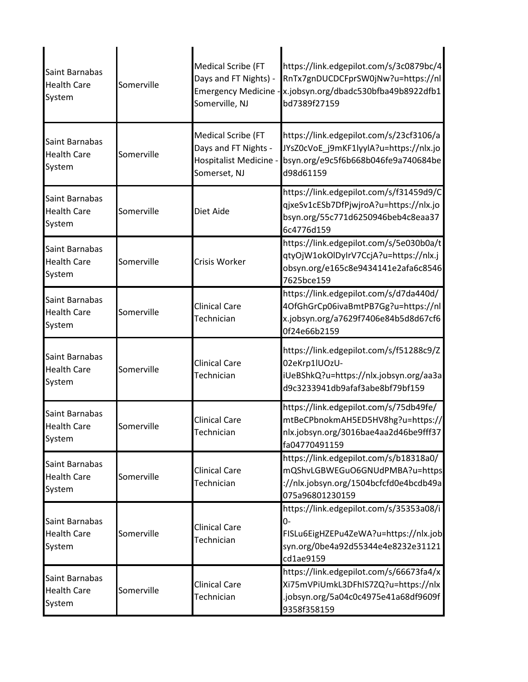| Saint Barnabas<br><b>Health Care</b><br>System | Somerville | <b>Medical Scribe (FT</b><br>Days and FT Nights) -<br><b>Emergency Medicine -</b><br>Somerville, NJ | https://link.edgepilot.com/s/3c0879bc/4<br>RnTx7gnDUCDCFprSW0jNw?u=https://nl<br>x.jobsyn.org/dbadc530bfba49b8922dfb1<br>bd7389f27159     |
|------------------------------------------------|------------|-----------------------------------------------------------------------------------------------------|-------------------------------------------------------------------------------------------------------------------------------------------|
| Saint Barnabas<br><b>Health Care</b><br>System | Somerville | <b>Medical Scribe (FT</b><br>Days and FT Nights -<br><b>Hospitalist Medicine</b><br>Somerset, NJ    | https://link.edgepilot.com/s/23cf3106/a<br>JYsZ0cVoE_j9mKF1lyylA?u=https://nlx.jo<br>bsyn.org/e9c5f6b668b046fe9a740684be<br>d98d61159     |
| Saint Barnabas<br><b>Health Care</b><br>System | Somerville | Diet Aide                                                                                           | https://link.edgepilot.com/s/f31459d9/C<br>qjxeSv1cESb7DfPjwjroA?u=https://nlx.jo<br>bsyn.org/55c771d6250946beb4c8eaa37<br>6c4776d159     |
| Saint Barnabas<br><b>Health Care</b><br>System | Somerville | Crisis Worker                                                                                       | https://link.edgepilot.com/s/5e030b0a/t<br>qtyOjW1okOlDyIrV7CcjA?u=https://nlx.j<br>obsyn.org/e165c8e9434141e2afa6c8546<br>7625bce159     |
| Saint Barnabas<br><b>Health Care</b><br>System | Somerville | <b>Clinical Care</b><br>Technician                                                                  | https://link.edgepilot.com/s/d7da440d/<br>4OfGhGrCp06ivaBmtPB7Gg?u=https://nl<br>x.jobsyn.org/a7629f7406e84b5d8d67cf6<br>0f24e66b2159     |
| Saint Barnabas<br><b>Health Care</b><br>System | Somerville | <b>Clinical Care</b><br>Technician                                                                  | https://link.edgepilot.com/s/f51288c9/Z<br>02eKrp1lUOzU-<br>iUeBShkQ?u=https://nlx.jobsyn.org/aa3a<br>d9c3233941db9afaf3abe8bf79bf159     |
| Saint Barnabas<br><b>Health Care</b><br>System | Somerville | <b>Clinical Care</b><br>Technician                                                                  | https://link.edgepilot.com/s/75db49fe/<br>mtBeCPbnokmAH5ED5HV8hg?u=https://<br>nlx.jobsyn.org/3016bae4aa2d46be9fff37<br>fa04770491159     |
| Saint Barnabas<br><b>Health Care</b><br>System | Somerville | <b>Clinical Care</b><br>Technician                                                                  | https://link.edgepilot.com/s/b18318a0/<br>mQShvLGBWEGuO6GNUdPMBA?u=https<br>://nlx.jobsyn.org/1504bcfcfd0e4bcdb49a<br>075a96801230159     |
| Saint Barnabas<br><b>Health Care</b><br>System | Somerville | <b>Clinical Care</b><br>Technician                                                                  | https://link.edgepilot.com/s/35353a08/i<br>0-<br>FISLu6EigHZEPu4ZeWA?u=https://nlx.job<br>syn.org/0be4a92d55344e4e8232e31121<br>cd1ae9159 |
| Saint Barnabas<br><b>Health Care</b><br>System | Somerville | <b>Clinical Care</b><br>Technician                                                                  | https://link.edgepilot.com/s/66673fa4/x<br>Xi75mVPiUmkL3DFhIS7ZQ?u=https://nlx<br>.jobsyn.org/5a04c0c4975e41a68df9609f<br>9358f358159     |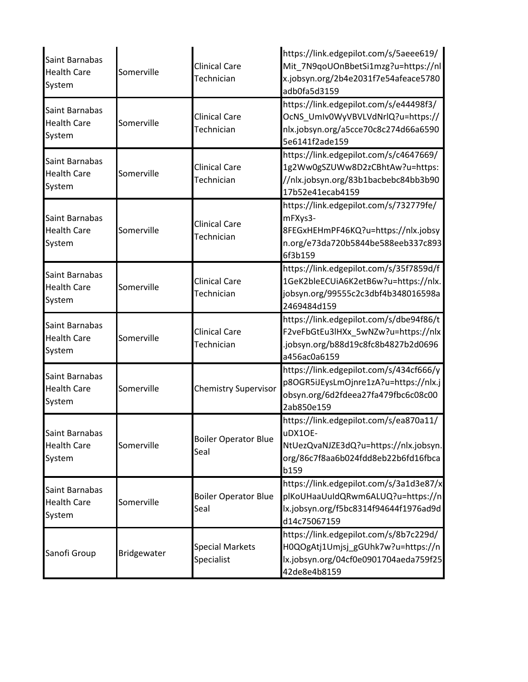| Saint Barnabas<br><b>Health Care</b><br>System | Somerville  | <b>Clinical Care</b><br>Technician   | https://link.edgepilot.com/s/5aeee619/<br>Mit_7N9qoUOnBbetSi1mzg?u=https://nl<br>x.jobsyn.org/2b4e2031f7e54afeace5780<br>adb0fa5d3159     |
|------------------------------------------------|-------------|--------------------------------------|-------------------------------------------------------------------------------------------------------------------------------------------|
| Saint Barnabas<br><b>Health Care</b><br>System | Somerville  | <b>Clinical Care</b><br>Technician   | https://link.edgepilot.com/s/e44498f3/<br>OcNS_UmIv0WyVBVLVdNrlQ?u=https://<br>nlx.jobsyn.org/a5cce70c8c274d66a6590<br>5e6141f2ade159     |
| Saint Barnabas<br><b>Health Care</b><br>System | Somerville  | <b>Clinical Care</b><br>Technician   | https://link.edgepilot.com/s/c4647669/<br>1g2Ww0gSZUWw8D2zCBhtAw?u=https:<br>//nlx.jobsyn.org/83b1bacbebc84bb3b90<br>17b52e41ecab4159     |
| Saint Barnabas<br><b>Health Care</b><br>System | Somerville  | <b>Clinical Care</b><br>Technician   | https://link.edgepilot.com/s/732779fe/<br>mFXys3-<br>8FEGxHEHmPF46KQ?u=https://nlx.jobsy<br>n.org/e73da720b5844be588eeb337c893<br>6f3b159 |
| Saint Barnabas<br><b>Health Care</b><br>System | Somerville  | <b>Clinical Care</b><br>Technician   | https://link.edgepilot.com/s/35f7859d/f<br>1GeK2bleECUiA6K2etB6w?u=https://nlx.<br>jobsyn.org/99555c2c3dbf4b348016598a<br>2469484d159     |
| Saint Barnabas<br><b>Health Care</b><br>System | Somerville  | <b>Clinical Care</b><br>Technician   | https://link.edgepilot.com/s/dbe94f86/t<br>F2veFbGtEu3lHXx_5wNZw?u=https://nlx<br>.jobsyn.org/b88d19c8fc8b4827b2d0696<br>a456ac0a6159     |
| Saint Barnabas<br><b>Health Care</b><br>System | Somerville  | <b>Chemistry Supervisor</b>          | https://link.edgepilot.com/s/434cf666/y<br>p8OGR5iJEysLmOjnre1zA?u=https://nlx.j<br>obsyn.org/6d2fdeea27fa479fbc6c08c00<br>2ab850e159     |
| Saint Barnabas<br><b>Health Care</b><br>System | Somerville  | <b>Boiler Operator Blue</b><br>Seal  | https://link.edgepilot.com/s/ea870a11/<br>uDX1OF-<br>NtUezQvaNJZE3dQ?u=https://nlx.jobsyn.<br>org/86c7f8aa6b024fdd8eb22b6fd16fbca<br>b159 |
| Saint Barnabas<br><b>Health Care</b><br>System | Somerville  | <b>Boiler Operator Blue</b><br>Seal  | https://link.edgepilot.com/s/3a1d3e87/x<br>plKoUHaaUuIdQRwm6ALUQ?u=https://n<br>lx.jobsyn.org/f5bc8314f94644f1976ad9d<br>d14c75067159     |
| Sanofi Group                                   | Bridgewater | <b>Special Markets</b><br>Specialist | https://link.edgepilot.com/s/8b7c229d/<br>H0QOgAtj1Umjsj_gGUhk7w?u=https://n<br>lx.jobsyn.org/04cf0e0901704aeda759f25<br>42de8e4b8159     |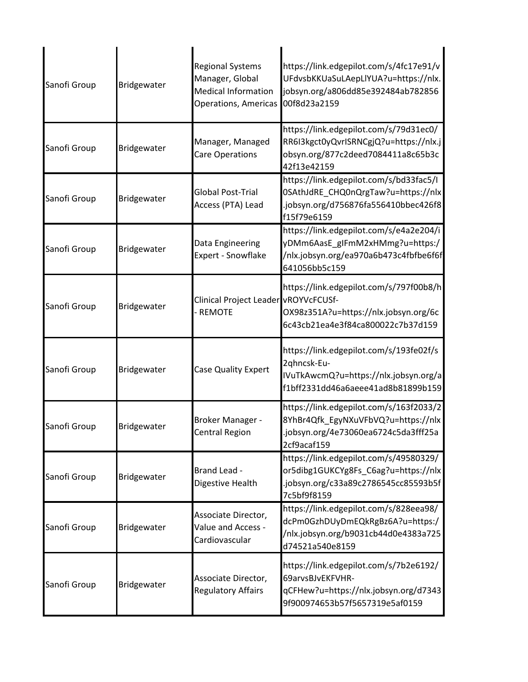| Sanofi Group | Bridgewater | <b>Regional Systems</b><br>Manager, Global<br><b>Medical Information</b><br><b>Operations, Americas</b> | https://link.edgepilot.com/s/4fc17e91/v<br>UFdvsbKKUaSuLAepLlYUA?u=https://nlx.<br>jobsyn.org/a806dd85e392484ab782856<br>00f8d23a2159 |
|--------------|-------------|---------------------------------------------------------------------------------------------------------|---------------------------------------------------------------------------------------------------------------------------------------|
| Sanofi Group | Bridgewater | Manager, Managed<br>Care Operations                                                                     | https://link.edgepilot.com/s/79d31ec0/<br>RR6I3kgct0yQvrISRNCgjQ?u=https://nlx.j<br>obsyn.org/877c2deed7084411a8c65b3c<br>42f13e42159 |
| Sanofi Group | Bridgewater | Global Post-Trial<br>Access (PTA) Lead                                                                  | https://link.edgepilot.com/s/bd33fac5/I<br>0SAthJdRE_CHQ0nQrgTaw?u=https://nlx<br>.jobsyn.org/d756876fa556410bbec426f8<br>f15f79e6159 |
| Sanofi Group | Bridgewater | Data Engineering<br>Expert - Snowflake                                                                  | https://link.edgepilot.com/s/e4a2e204/i<br>yDMm6AasE_gIFmM2xHMmg?u=https:/<br>/nlx.jobsyn.org/ea970a6b473c4fbfbe6f6f<br>641056bb5c159 |
| Sanofi Group | Bridgewater | Clinical Project Leader vROYVcFCUSf-<br><b>REMOTE</b>                                                   | https://link.edgepilot.com/s/797f00b8/h<br>OX98z351A?u=https://nlx.jobsyn.org/6c<br>6c43cb21ea4e3f84ca800022c7b37d159                 |
| Sanofi Group | Bridgewater | Case Quality Expert                                                                                     | https://link.edgepilot.com/s/193fe02f/s<br>2qhncsk-Eu-<br>IVuTkAwcmQ?u=https://nlx.jobsyn.org/a<br>f1bff2331dd46a6aeee41ad8b81899b159 |
| Sanofi Group | Bridgewater | Broker Manager -<br><b>Central Region</b>                                                               | https://link.edgepilot.com/s/163f2033/2<br>8YhBr4Qfk EgyNXuVFbVQ?u=https://nlx<br>.jobsyn.org/4e73060ea6724c5da3fff25a<br>2cf9acaf159 |
| Sanofi Group | Bridgewater | Brand Lead -<br>Digestive Health                                                                        | https://link.edgepilot.com/s/49580329/<br>or5dibg1GUKCYg8Fs_C6ag?u=https://nlx<br>.jobsyn.org/c33a89c2786545cc85593b5f<br>7c5bf9f8159 |
| Sanofi Group | Bridgewater | Associate Director,<br>Value and Access -<br>Cardiovascular                                             | https://link.edgepilot.com/s/828eea98/<br>dcPm0GzhDUyDmEQkRgBz6A?u=https:/<br>/nlx.jobsyn.org/b9031cb44d0e4383a725<br>d74521a540e8159 |
| Sanofi Group | Bridgewater | Associate Director,<br><b>Regulatory Affairs</b>                                                        | https://link.edgepilot.com/s/7b2e6192/<br>69arvsBJvEKFVHR-<br>qCFHew?u=https://nlx.jobsyn.org/d7343<br>9f900974653b57f5657319e5af0159 |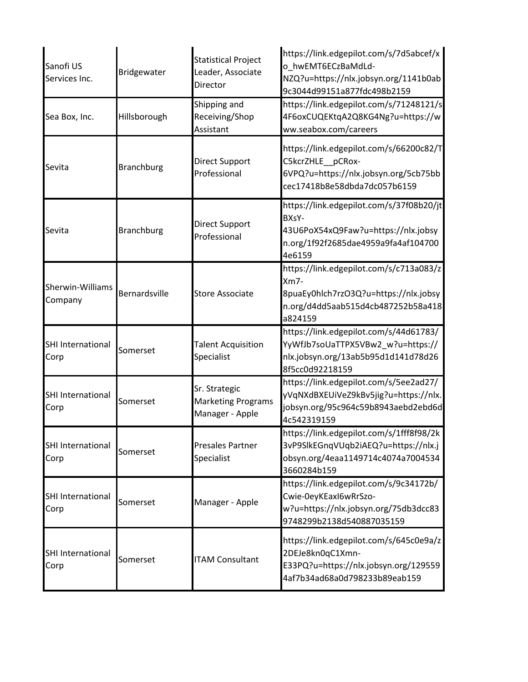| Sanofi US<br>Services Inc.       | Bridgewater       | <b>Statistical Project</b><br>Leader, Associate<br>Director   | https://link.edgepilot.com/s/7d5abcef/x<br>o_hwEMT6ECzBaMdLd-<br>NZQ?u=https://nlx.jobsyn.org/1141b0ab<br>9c3044d99151a877fdc498b2159       |
|----------------------------------|-------------------|---------------------------------------------------------------|---------------------------------------------------------------------------------------------------------------------------------------------|
| Sea Box, Inc.                    | Hillsborough      | Shipping and<br>Receiving/Shop<br>Assistant                   | https://link.edgepilot.com/s/71248121/s<br>4F6oxCUQEKtqA2Q8KG4Ng?u=https://w<br>ww.seabox.com/careers                                       |
| Sevita                           | <b>Branchburg</b> | Direct Support<br>Professional                                | https://link.edgepilot.com/s/66200c82/T<br>C5kcrZHLE pCRox-<br>6VPQ?u=https://nlx.jobsyn.org/5cb75bb<br>cec17418b8e58dbda7dc057b6159        |
| Sevita                           | <b>Branchburg</b> | Direct Support<br>Professional                                | https://link.edgepilot.com/s/37f08b20/jt<br>BXsY-<br>43U6PoX54xQ9Faw?u=https://nlx.jobsy<br>n.org/1f92f2685dae4959a9fa4af104700<br>4e6159   |
| Sherwin-Williams<br>Company      | Bernardsville     | <b>Store Associate</b>                                        | https://link.edgepilot.com/s/c713a083/z<br>$Xm7-$<br>8puaEy0hlch7rzO3Q?u=https://nlx.jobsy<br>n.org/d4dd5aab515d4cb487252b58a418<br>a824159 |
| <b>SHI International</b><br>Corp | Somerset          | <b>Talent Acquisition</b><br>Specialist                       | https://link.edgepilot.com/s/44d61783/<br>YyWfJb7soUaTTPX5VBw2_w?u=https://<br>nlx.jobsyn.org/13ab5b95d1d141d78d26<br>8f5cc0d92218159       |
| SHI International<br>Corp        | Somerset          | Sr. Strategic<br><b>Marketing Programs</b><br>Manager - Apple | https://link.edgepilot.com/s/5ee2ad27/<br>yVqNXdBXEUiVeZ9kBv5jig?u=https://nlx.<br>jobsyn.org/95c964c59b8943aebd2ebd6d<br>4c542319159       |
| SHI International<br>Corp        | Somerset          | <b>Presales Partner</b><br>Specialist                         | https://link.edgepilot.com/s/1fff8f98/2k<br>3vP9SlkEGnqVUqb2iAEQ?u=https://nlx.j<br>obsyn.org/4eaa1149714c4074a7004534<br>3660284b159       |
| <b>SHI International</b><br>Corp | Somerset          | Manager - Apple                                               | https://link.edgepilot.com/s/9c34172b/<br>Cwie-0eyKEaxI6wRrSzo-<br>w?u=https://nlx.jobsyn.org/75db3dcc83<br>9748299b2138d540887035159       |
| <b>SHI International</b><br>Corp | Somerset          | <b>ITAM Consultant</b>                                        | https://link.edgepilot.com/s/645c0e9a/z<br>2DEJe8kn0qC1Xmn-<br>E33PQ?u=https://nlx.jobsyn.org/129559<br>4af7b34ad68a0d798233b89eab159       |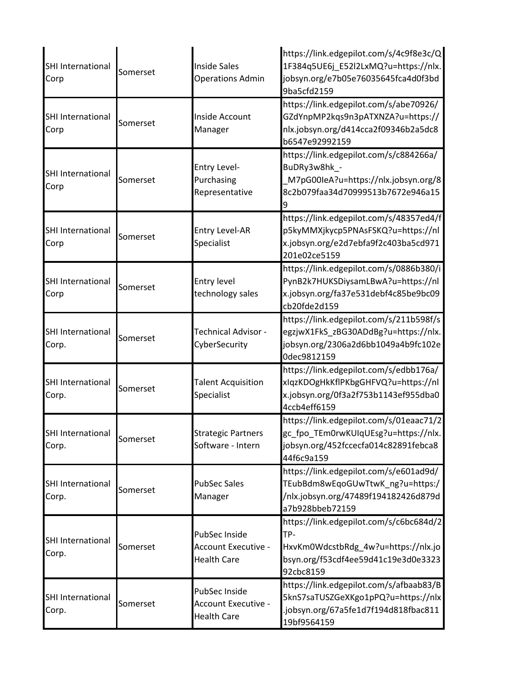| SHI International<br>Corp         | Somerset | <b>Inside Sales</b><br><b>Operations Admin</b>                    | https://link.edgepilot.com/s/4c9f8e3c/Q<br>1F384q5UE6j_E52l2LxMQ?u=https://nlx.<br>jobsyn.org/e7b05e76035645fca4d0f3bd<br>9ba5cfd2159     |
|-----------------------------------|----------|-------------------------------------------------------------------|-------------------------------------------------------------------------------------------------------------------------------------------|
| SHI International<br>Corp         | Somerset | Inside Account<br>Manager                                         | https://link.edgepilot.com/s/abe70926/<br>GZdYnpMP2kqs9n3pATXNZA?u=https://<br>nlx.jobsyn.org/d414cca2f09346b2a5dc8<br>b6547e92992159     |
| SHI International<br>Corp         | Somerset | Entry Level-<br>Purchasing<br>Representative                      | https://link.edgepilot.com/s/c884266a/<br>BuDRy3w8hk_-<br>M7pG00leA?u=https://nlx.jobsyn.org/8<br>8c2b079faa34d70999513b7672e946a15<br>9  |
| SHI International<br>Corp         | Somerset | <b>Entry Level-AR</b><br>Specialist                               | https://link.edgepilot.com/s/48357ed4/f<br>p5kyMMXjkycp5PNAsFSKQ?u=https://nl<br>x.jobsyn.org/e2d7ebfa9f2c403ba5cd971<br>201e02ce5159     |
| <b>SHI International</b><br>Corp  | Somerset | <b>Entry level</b><br>technology sales                            | https://link.edgepilot.com/s/0886b380/i<br>PynB2k7HUKSDiysamLBwA?u=https://nl<br>x.jobsyn.org/fa37e531debf4c85be9bc09<br>cb20fde2d159     |
| <b>SHI International</b><br>Corp. | Somerset | Technical Advisor -<br>CyberSecurity                              | https://link.edgepilot.com/s/211b598f/s<br>egzjwX1FkS_zBG30ADdBg?u=https://nlx.<br>jobsyn.org/2306a2d6bb1049a4b9fc102e<br>0dec9812159     |
| SHI International<br>Corp.        | Somerset | <b>Talent Acquisition</b><br>Specialist                           | https://link.edgepilot.com/s/edbb176a/<br>xIqzKDOgHkKflPKbgGHFVQ?u=https://nl<br>x.jobsyn.org/0f3a2f753b1143ef955dba0<br>4ccb4eff6159     |
| <b>SHI International</b><br>Corp. | Somerset | <b>Strategic Partners</b><br>Software - Intern                    | https://link.edgepilot.com/s/01eaac71/2<br>gc fpo TEm0rwKUIqUEsg?u=https://nlx.<br>jobsyn.org/452fccecfa014c82891febca8<br>44f6c9a159     |
| SHI International<br>Corp.        | Somerset | <b>PubSec Sales</b><br>Manager                                    | https://link.edgepilot.com/s/e601ad9d/<br>TEubBdm8wEqoGUwTtwK_ng?u=https:/<br>/nlx.jobsyn.org/47489f194182426d879d<br>a7b928bbeb72159     |
| SHI International<br>Corp.        | Somerset | PubSec Inside<br><b>Account Executive -</b><br><b>Health Care</b> | https://link.edgepilot.com/s/c6bc684d/2<br>TP-<br>HxvKm0WdcstbRdg_4w?u=https://nlx.jo<br>bsyn.org/f53cdf4ee59d41c19e3d0e3323<br>92cbc8159 |
| SHI International<br>Corp.        | Somerset | PubSec Inside<br>Account Executive -<br><b>Health Care</b>        | https://link.edgepilot.com/s/afbaab83/B<br>5knS7saTUSZGeXKgo1pPQ?u=https://nlx<br>.jobsyn.org/67a5fe1d7f194d818fbac811<br>19bf9564159     |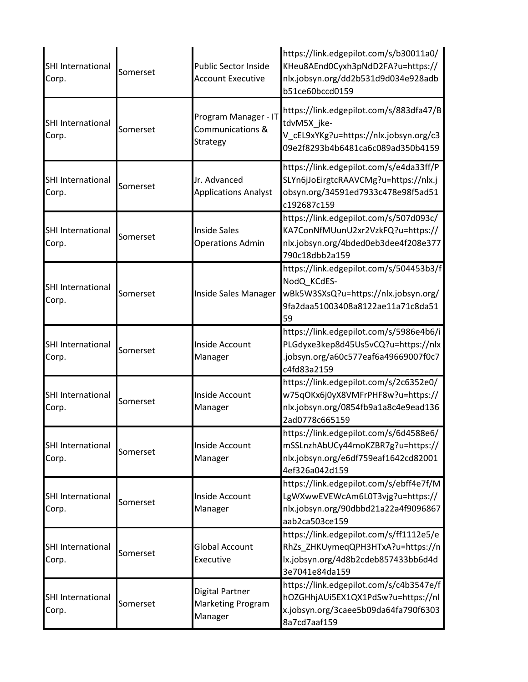| SHI International<br>Corp.        | Somerset | <b>Public Sector Inside</b><br><b>Account Executive</b> | https://link.edgepilot.com/s/b30011a0/<br>KHeu8AEnd0Cyxh3pNdD2FA?u=https://<br>nlx.jobsyn.org/dd2b531d9d034e928adb<br>b51ce60bccd0159     |
|-----------------------------------|----------|---------------------------------------------------------|-------------------------------------------------------------------------------------------------------------------------------------------|
| SHI International<br>Corp.        | Somerset | Program Manager - IT<br>Communications &<br>Strategy    | https://link.edgepilot.com/s/883dfa47/B<br>tdvM5X jke-<br>V_cEL9xYKg?u=https://nlx.jobsyn.org/c3<br>09e2f8293b4b6481ca6c089ad350b4159     |
| <b>SHI International</b><br>Corp. | Somerset | Jr. Advanced<br><b>Applications Analyst</b>             | https://link.edgepilot.com/s/e4da33ff/P<br>SLYn6jJoEirgtcRAAVCMg?u=https://nlx.j<br>obsyn.org/34591ed7933c478e98f5ad51<br>c192687c159     |
| SHI International<br>Corp.        | Somerset | <b>Inside Sales</b><br><b>Operations Admin</b>          | https://link.edgepilot.com/s/507d093c/<br>KA7ConNfMUunU2xr2VzkFQ?u=https://<br>nlx.jobsyn.org/4bded0eb3dee4f208e377<br>790c18dbb2a159     |
| SHI International<br>Corp.        | Somerset | Inside Sales Manager                                    | https://link.edgepilot.com/s/504453b3/f<br>NodQ KCdES-<br>wBk5W3SXsQ?u=https://nlx.jobsyn.org/<br>9fa2daa51003408a8122ae11a71c8da51<br>59 |
| SHI International<br>Corp.        | Somerset | Inside Account<br>Manager                               | https://link.edgepilot.com/s/5986e4b6/i<br>PLGdyxe3kep8d45Us5vCQ?u=https://nlx<br>.jobsyn.org/a60c577eaf6a49669007f0c7<br>c4fd83a2159     |
| <b>SHI International</b><br>Corp. | Somerset | Inside Account<br>Manager                               | https://link.edgepilot.com/s/2c6352e0/<br>w75qOKx6j0yX8VMFrPHF8w?u=https://<br>nlx.jobsyn.org/0854fb9a1a8c4e9ead136<br>2ad0778c665159     |
| SHI International<br>Corp.        | Somerset | Inside Account<br>Manager                               | https://link.edgepilot.com/s/6d4588e6/<br>mSSLnzhAbUCy44moKZBR7g?u=https://<br>nlx.jobsyn.org/e6df759eaf1642cd82001<br>4ef326a042d159     |
| SHI International<br>Corp.        | Somerset | Inside Account<br>Manager                               | https://link.edgepilot.com/s/ebff4e7f/M<br>LgWXwwEVEWcAm6L0T3vjg?u=https://<br>nlx.jobsyn.org/90dbbd21a22a4f9096867<br>aab2ca503ce159     |
| SHI International<br>Corp.        | Somerset | <b>Global Account</b><br>Executive                      | https://link.edgepilot.com/s/ff1112e5/e<br>RhZs_ZHKUymeqQPH3HTxA?u=https://n<br>lx.jobsyn.org/4d8b2cdeb857433bb6d4d<br>3e7041e84da159     |
| SHI International<br>Corp.        | Somerset | Digital Partner<br><b>Marketing Program</b><br>Manager  | https://link.edgepilot.com/s/c4b3547e/f<br>hOZGHhjAUi5EX1QX1PdSw?u=https://nl<br>x.jobsyn.org/3caee5b09da64fa790f6303<br>8a7cd7aaf159     |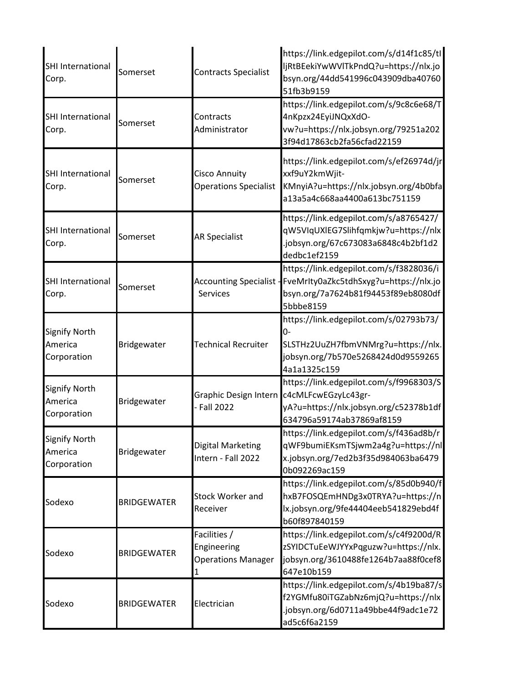| SHI International<br>Corp.                     | Somerset           | <b>Contracts Specialist</b>                                   | https://link.edgepilot.com/s/d14f1c85/tl<br>ljRtBEekiYwWVlTkPndQ?u=https://nlx.jo<br>bsyn.org/44dd541996c043909dba40760<br>51fb3b9159                         |
|------------------------------------------------|--------------------|---------------------------------------------------------------|---------------------------------------------------------------------------------------------------------------------------------------------------------------|
| <b>SHI International</b><br>Corp.              | Somerset           | Contracts<br>Administrator                                    | https://link.edgepilot.com/s/9c8c6e68/T<br>4nKpzx24EyiJNQxXdO-<br>vw?u=https://nlx.jobsyn.org/79251a202<br>3f94d17863cb2fa56cfad22159                         |
| <b>SHI International</b><br>Corp.              | Somerset           | <b>Cisco Annuity</b><br><b>Operations Specialist</b>          | https://link.edgepilot.com/s/ef26974d/jr<br>xxf9uY2kmWjit-<br>KMnyiA?u=https://nlx.jobsyn.org/4b0bfa<br>a13a5a4c668aa4400a613bc751159                         |
| SHI International<br>Corp.                     | Somerset           | <b>AR Specialist</b>                                          | https://link.edgepilot.com/s/a8765427/<br>qW5VIqUXIEG7Slihfqmkjw?u=https://nlx<br>.jobsyn.org/67c673083a6848c4b2bf1d2<br>dedbc1ef2159                         |
| SHI International<br>Corp.                     | Somerset           | <b>Services</b>                                               | https://link.edgepilot.com/s/f3828036/i<br>Accounting Specialist - FveMrIty0aZkc5tdhSxyg?u=https://nlx.jo<br>bsyn.org/7a7624b81f94453f89eb8080df<br>5bbbe8159 |
| <b>Signify North</b><br>America<br>Corporation | Bridgewater        | <b>Technical Recruiter</b>                                    | https://link.edgepilot.com/s/02793b73/<br>0-<br>SLSTHz2UuZH7fbmVNMrg?u=https://nlx.<br>jobsyn.org/7b570e5268424d0d9559265<br>4a1a1325c159                     |
| <b>Signify North</b><br>America<br>Corporation | Bridgewater        | Graphic Design Intern<br>- Fall 2022                          | https://link.edgepilot.com/s/f9968303/S<br>c4cMLFcwEGzyLc43gr-<br>yA?u=https://nlx.jobsyn.org/c52378b1df<br>634796a59174ab37869af8159                         |
| <b>Signify North</b><br>America<br>Corporation | Bridgewater        | <b>Digital Marketing</b><br>Intern - Fall 2022                | https://link.edgepilot.com/s/f436ad8b/r<br>qWF9bumiEKsmTSjwm2a4g?u=https://nl<br>x.jobsyn.org/7ed2b3f35d984063ba6479<br>0b092269ac159                         |
| Sodexo                                         | <b>BRIDGEWATER</b> | <b>Stock Worker and</b><br>Receiver                           | https://link.edgepilot.com/s/85d0b940/f<br>hxB7FOSQEmHNDg3x0TRYA?u=https://n<br>lx.jobsyn.org/9fe44404eeb541829ebd4f<br>b60f897840159                         |
| Sodexo                                         | <b>BRIDGEWATER</b> | Facilities /<br>Engineering<br><b>Operations Manager</b><br>1 | https://link.edgepilot.com/s/c4f9200d/R<br>zSYIDCTuEeWJYYxPqguzw?u=https://nlx.<br>jobsyn.org/3610488fe1264b7aa88f0cef8<br>647e10b159                         |
| Sodexo                                         | <b>BRIDGEWATER</b> | Electrician                                                   | https://link.edgepilot.com/s/4b19ba87/s<br>f2YGMfu80iTGZabNz6mjQ?u=https://nlx<br>.jobsyn.org/6d0711a49bbe44f9adc1e72<br>ad5c6f6a2159                         |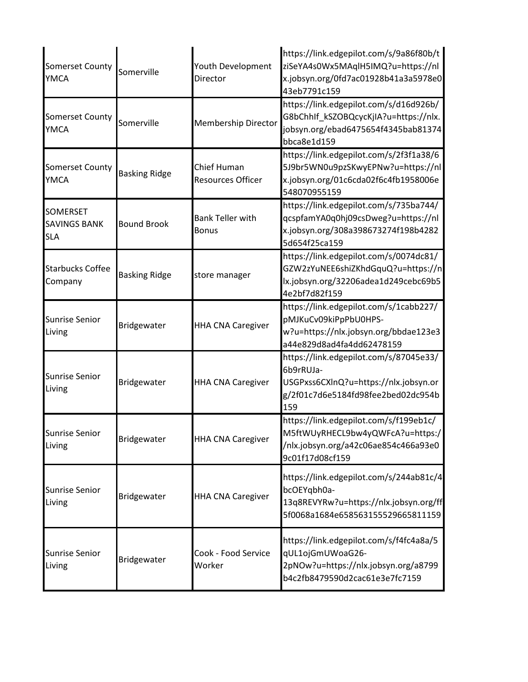| <b>Somerset County</b><br><b>YMCA</b>                | Somerville           | Youth Development<br>Director           | https://link.edgepilot.com/s/9a86f80b/t<br>ziSeYA4s0Wx5MAqlH5IMQ?u=https://nl<br>x.jobsyn.org/0fd7ac01928b41a3a5978e0<br>43eb7791c159     |
|------------------------------------------------------|----------------------|-----------------------------------------|-------------------------------------------------------------------------------------------------------------------------------------------|
| <b>Somerset County</b><br>YMCA                       | Somerville           | <b>Membership Director</b>              | https://link.edgepilot.com/s/d16d926b/<br>G8bChhIf_kSZOBQcycKjIA?u=https://nlx.<br>jobsyn.org/ebad6475654f4345bab81374<br>bbca8e1d159     |
| <b>Somerset County</b><br><b>YMCA</b>                | <b>Basking Ridge</b> | Chief Human<br><b>Resources Officer</b> | https://link.edgepilot.com/s/2f3f1a38/6<br>5J9br5WN0u9pzSKwyEPNw?u=https://nl<br>x.jobsyn.org/01c6cda02f6c4fb1958006e<br>548070955159     |
| <b>SOMERSET</b><br><b>SAVINGS BANK</b><br><b>SLA</b> | <b>Bound Brook</b>   | <b>Bank Teller with</b><br><b>Bonus</b> | https://link.edgepilot.com/s/735ba744/<br>qcspfamYA0q0hj09csDweg?u=https://nl<br>x.jobsyn.org/308a398673274f198b4282<br>5d654f25ca159     |
| <b>Starbucks Coffee</b><br>Company                   | <b>Basking Ridge</b> | store manager                           | https://link.edgepilot.com/s/0074dc81/<br>GZW2zYuNEE6shiZKhdGquQ?u=https://n<br>lx.jobsyn.org/32206adea1d249cebc69b5<br>4e2bf7d82f159     |
| <b>Sunrise Senior</b><br>Living                      | Bridgewater          | <b>HHA CNA Caregiver</b>                | https://link.edgepilot.com/s/1cabb227/<br>pMJKuCv09kiPpPbU0HPS-<br>w?u=https://nlx.jobsyn.org/bbdae123e3<br>a44e829d8ad4fa4dd62478159     |
| <b>Sunrise Senior</b><br>Living                      | Bridgewater          | <b>HHA CNA Caregiver</b>                | https://link.edgepilot.com/s/87045e33/<br>6b9rRUJa-<br>USGPxss6CXlnQ?u=https://nlx.jobsyn.or<br>g/2f01c7d6e5184fd98fee2bed02dc954b<br>159 |
| <b>Sunrise Senior</b><br>Living                      | Bridgewater          | <b>HHA CNA Caregiver</b>                | https://link.edgepilot.com/s/f199eb1c/<br>M5ftWUyRHECL9bw4yQWFcA?u=https:/<br>/nlx.jobsyn.org/a42c06ae854c466a93e0<br>9c01f17d08cf159     |
| <b>Sunrise Senior</b><br>Living                      | Bridgewater          | <b>HHA CNA Caregiver</b>                | https://link.edgepilot.com/s/244ab81c/4<br>bcOEYqbh0a-<br>13q8REVYRw?u=https://nlx.jobsyn.org/ff<br>5f0068a1684e658563155529665811159     |
| <b>Sunrise Senior</b><br>Living                      | Bridgewater          | Cook - Food Service<br>Worker           | https://link.edgepilot.com/s/f4fc4a8a/5<br>qUL1ojGmUWoaG26-<br>2pNOw?u=https://nlx.jobsyn.org/a8799<br>b4c2fb8479590d2cac61e3e7fc7159     |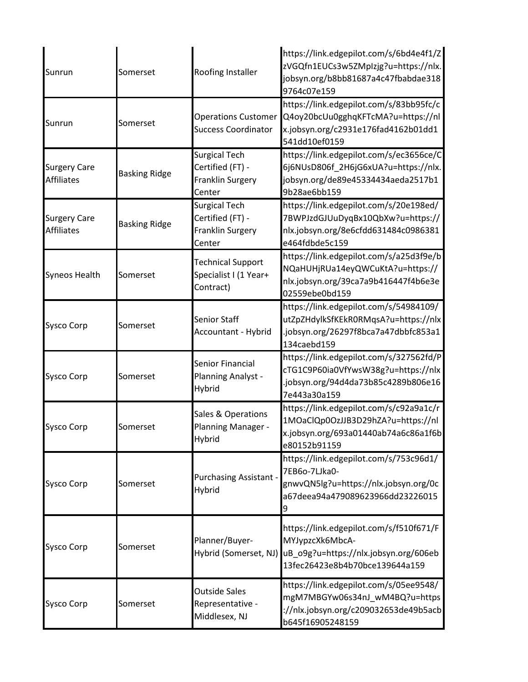| Sunrun                                   | Somerset             | Roofing Installer                                                             | https://link.edgepilot.com/s/6bd4e4f1/Z<br>zVGQfn1EUCs3w5ZMpIzjg?u=https://nlx.<br>jobsyn.org/b8bb81687a4c47fbabdae318<br>9764c07e159                       |
|------------------------------------------|----------------------|-------------------------------------------------------------------------------|-------------------------------------------------------------------------------------------------------------------------------------------------------------|
| Sunrun                                   | Somerset             | <b>Operations Customer</b><br><b>Success Coordinator</b>                      | https://link.edgepilot.com/s/83bb95fc/c<br>Q4oy20bcUu0gghqKFTcMA?u=https://nl<br>x.jobsyn.org/c2931e176fad4162b01dd1<br>541dd10ef0159                       |
| <b>Surgery Care</b><br><b>Affiliates</b> | <b>Basking Ridge</b> | <b>Surgical Tech</b><br>Certified (FT) -<br><b>Franklin Surgery</b><br>Center | https://link.edgepilot.com/s/ec3656ce/C<br>6j6NUsD806f_2H6jG6xUA?u=https://nlx.<br>jobsyn.org/de89e45334434aeda2517b1<br>9b28ae6bb159                       |
| <b>Surgery Care</b><br><b>Affiliates</b> | <b>Basking Ridge</b> | <b>Surgical Tech</b><br>Certified (FT) -<br>Franklin Surgery<br>Center        | https://link.edgepilot.com/s/20e198ed/<br>7BWPJzdGJUuDyqBx10QbXw?u=https://<br>nlx.jobsyn.org/8e6cfdd631484c0986381<br>e464fdbde5c159                       |
| Syneos Health                            | Somerset             | <b>Technical Support</b><br>Specialist I (1 Year+<br>Contract)                | https://link.edgepilot.com/s/a25d3f9e/b<br>NQaHUHjRUa14eyQWCuKtA?u=https://<br>nlx.jobsyn.org/39ca7a9b416447f4b6e3e<br>02559ebe0bd159                       |
| <b>Sysco Corp</b>                        | Somerset             | Senior Staff<br>Accountant - Hybrid                                           | https://link.edgepilot.com/s/54984109/<br>utZpZHdylkSfKEkR0RMqsA?u=https://nlx<br>.jobsyn.org/26297f8bca7a47dbbfc853a1<br>134caebd159                       |
| <b>Sysco Corp</b>                        | Somerset             | Senior Financial<br>Planning Analyst -<br>Hybrid                              | https://link.edgepilot.com/s/327562fd/P<br>cTG1C9P60ia0VfYwsW38g?u=https://nlx<br>.jobsyn.org/94d4da73b85c4289b806e16<br>7e443a30a159                       |
| <b>Sysco Corp</b>                        | Somerset             | Sales & Operations<br>Planning Manager -<br>Hybrid                            | https://link.edgepilot.com/s/c92a9a1c/r<br>1MOaClQp0OzJJB3D29hZA?u=https://nl<br>x.jobsyn.org/693a01440ab74a6c86a1f6b<br>e80152b91159                       |
| <b>Sysco Corp</b>                        | Somerset             | <b>Purchasing Assistant -</b><br>Hybrid                                       | https://link.edgepilot.com/s/753c96d1/<br>7EB6o-7LJka0-<br>gnwvQN5lg?u=https://nlx.jobsyn.org/0c<br>a67deea94a479089623966dd23226015                        |
| <b>Sysco Corp</b>                        | Somerset             | Planner/Buyer-                                                                | https://link.edgepilot.com/s/f510f671/F<br>MYJypzcXk6MbcA-<br>Hybrid (Somerset, NJ) uB_o9g?u=https://nlx.jobsyn.org/606eb<br>13fec26423e8b4b70bce139644a159 |
| <b>Sysco Corp</b>                        | Somerset             | <b>Outside Sales</b><br>Representative -<br>Middlesex, NJ                     | https://link.edgepilot.com/s/05ee9548/<br>mgM7MBGYw06s34nJ_wM4BQ?u=https<br>://nlx.jobsyn.org/c209032653de49b5acb<br>b645f16905248159                       |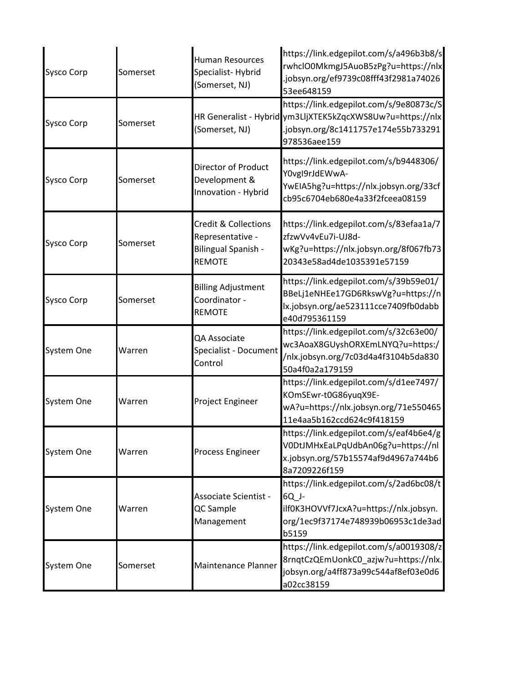| <b>Sysco Corp</b> | Somerset | <b>Human Resources</b><br>Specialist-Hybrid<br>(Somerset, NJ)                               | https://link.edgepilot.com/s/a496b3b8/s<br>rwhclO0MkmgJ5AuoB5zPg?u=https://nlx<br>.jobsyn.org/ef9739c08fff43f2981a74026<br>53ee648159                        |
|-------------------|----------|---------------------------------------------------------------------------------------------|--------------------------------------------------------------------------------------------------------------------------------------------------------------|
| <b>Sysco Corp</b> | Somerset | (Somerset, NJ)                                                                              | https://link.edgepilot.com/s/9e80873c/S<br>HR Generalist - Hybrid ym3LljXTEK5kZqcXWS8Uw?u=https://nlx<br>.jobsyn.org/8c1411757e174e55b733291<br>978536aee159 |
| <b>Sysco Corp</b> | Somerset | <b>Director of Product</b><br>Development &<br>Innovation - Hybrid                          | https://link.edgepilot.com/s/b9448306/<br>Y0vgI9rJdEWwA-<br>YwEIA5hg?u=https://nlx.jobsyn.org/33cf<br>cb95c6704eb680e4a33f2fceea08159                        |
| <b>Sysco Corp</b> | Somerset | <b>Credit &amp; Collections</b><br>Representative -<br>Bilingual Spanish -<br><b>REMOTE</b> | https://link.edgepilot.com/s/83efaa1a/7<br>zfzwVv4vEu7i-UJ8d-<br>wKg?u=https://nlx.jobsyn.org/8f067fb73<br>20343e58ad4de1035391e57159                        |
| <b>Sysco Corp</b> | Somerset | <b>Billing Adjustment</b><br>Coordinator -<br><b>REMOTE</b>                                 | https://link.edgepilot.com/s/39b59e01/<br>BBeLj1eNHEe17GD6RkswVg?u=https://n<br>lx.jobsyn.org/ae523111cce7409fb0dabb<br>e40d795361159                        |
| System One        | Warren   | QA Associate<br>Specialist - Document<br>Control                                            | https://link.edgepilot.com/s/32c63e00/<br>wc3AoaX8GUyshORXEmLNYQ?u=https:/<br>/nlx.jobsyn.org/7c03d4a4f3104b5da830<br>50a4f0a2a179159                        |
| System One        | Warren   | Project Engineer                                                                            | https://link.edgepilot.com/s/d1ee7497/<br>KOmSEwr-t0G86yuqX9E-<br>wA?u=https://nlx.jobsyn.org/71e550465<br>11e4aa5b162ccd624c9f418159                        |
| System One        | Warren   | <b>Process Engineer</b>                                                                     | https://link.edgepilot.com/s/eaf4b6e4/g<br>V0DtJMHxEaLPqUdbAn06g?u=https://nl<br>x.jobsyn.org/57b15574af9d4967a744b6<br>8a7209226f159                        |
| System One        | Warren   | Associate Scientist -<br>QC Sample<br>Management                                            | https://link.edgepilot.com/s/2ad6bc08/t<br>6Q_J-<br>ilf0K3HOVVf7JcxA?u=https://nlx.jobsyn.<br>org/1ec9f37174e748939b06953c1de3ad<br>b5159                    |
| System One        | Somerset | Maintenance Planner                                                                         | https://link.edgepilot.com/s/a0019308/z<br>8rnqtCzQEmUonkC0_azjw?u=https://nlx.<br>jobsyn.org/a4ff873a99c544af8ef03e0d6<br>a02cc38159                        |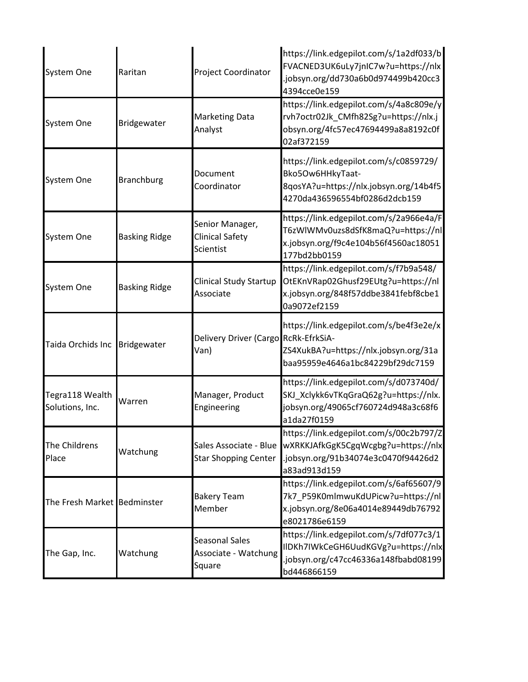| System One                         | Raritan              | Project Coordinator                                     | https://link.edgepilot.com/s/1a2df033/b<br>FVACNED3UK6uLy7jnIC7w?u=https://nlx<br>.jobsyn.org/dd730a6b0d974499b420cc3<br>4394cce0e159 |
|------------------------------------|----------------------|---------------------------------------------------------|---------------------------------------------------------------------------------------------------------------------------------------|
| System One                         | Bridgewater          | <b>Marketing Data</b><br>Analyst                        | https://link.edgepilot.com/s/4a8c809e/y<br>rvh7octr02Jk_CMfh82Sg?u=https://nlx.j<br>obsyn.org/4fc57ec47694499a8a8192c0f<br>02af372159 |
| System One                         | <b>Branchburg</b>    | Document<br>Coordinator                                 | https://link.edgepilot.com/s/c0859729/<br>Bko5Ow6HHkyTaat-<br>8qosYA?u=https://nlx.jobsyn.org/14b4f5<br>4270da436596554bf0286d2dcb159 |
| System One                         | <b>Basking Ridge</b> | Senior Manager,<br><b>Clinical Safety</b><br>Scientist  | https://link.edgepilot.com/s/2a966e4a/F<br>T6zWlWMv0uzs8dSfK8maQ?u=https://nl<br>x.jobsyn.org/f9c4e104b56f4560ac18051<br>177bd2bb0159 |
| System One                         | <b>Basking Ridge</b> | <b>Clinical Study Startup</b><br>Associate              | https://link.edgepilot.com/s/f7b9a548/<br>OtEKnVRap02Ghusf29EUtg?u=https://nl<br>x.jobsyn.org/848f57ddbe3841febf8cbe1<br>0a9072ef2159 |
| Taida Orchids Inc                  | Bridgewater          | Delivery Driver (Cargo RcRk-EfrkSiA-<br>Van)            | https://link.edgepilot.com/s/be4f3e2e/x<br>ZS4XukBA?u=https://nlx.jobsyn.org/31a<br>baa95959e4646a1bc84229bf29dc7159                  |
| Tegra118 Wealth<br>Solutions, Inc. | Warren               | Manager, Product<br>Engineering                         | https://link.edgepilot.com/s/d073740d/<br>SKJ_Xclykk6vTKqGraQ62g?u=https://nlx.<br>jobsyn.org/49065cf760724d948a3c68f6<br>a1da27f0159 |
| The Childrens<br>Place             | Watchung             | Sales Associate - Blue<br><b>Star Shopping Center</b>   | https://link.edgepilot.com/s/00c2b797/Z<br>wXRKKJAfkGgK5CgqWcgbg?u=https://nlx<br>.jobsyn.org/91b34074e3c0470f94426d2<br>a83ad913d159 |
| The Fresh Market Bedminster        |                      | <b>Bakery Team</b><br>Member                            | https://link.edgepilot.com/s/6af65607/9<br>7k7 P59K0mlmwuKdUPicw?u=https://nl<br>x.jobsyn.org/8e06a4014e89449db76792<br>e8021786e6159 |
| The Gap, Inc.                      | Watchung             | <b>Seasonal Sales</b><br>Associate - Watchung<br>Square | https://link.edgepilot.com/s/7df077c3/1<br>IIDKh7IWkCeGH6UudKGVg?u=https://nlx<br>.jobsyn.org/c47cc46336a148fbabd08199<br>bd446866159 |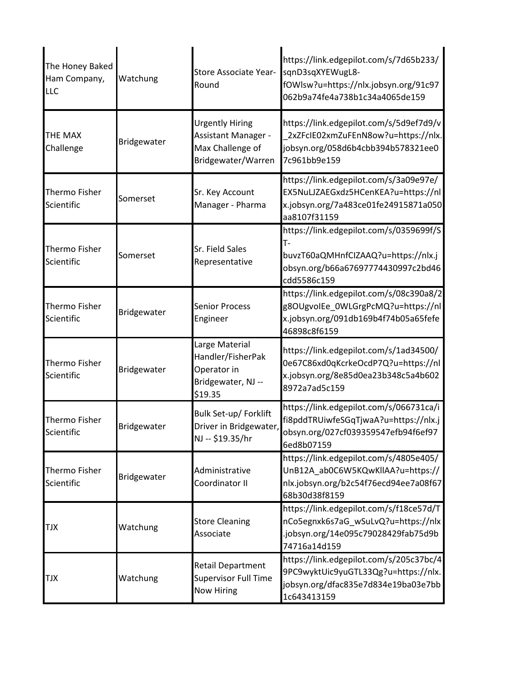| The Honey Baked<br>Ham Company,<br>LLC | Watchung    | Store Associate Year-<br>Round                                                          | https://link.edgepilot.com/s/7d65b233/<br>sqnD3sqXYEWugL8-<br>fOWlsw?u=https://nlx.jobsyn.org/91c97<br>062b9a74fe4a738b1c34a4065de159     |
|----------------------------------------|-------------|-----------------------------------------------------------------------------------------|-------------------------------------------------------------------------------------------------------------------------------------------|
| THE MAX<br>Challenge                   | Bridgewater | <b>Urgently Hiring</b><br>Assistant Manager -<br>Max Challenge of<br>Bridgewater/Warren | https://link.edgepilot.com/s/5d9ef7d9/v<br>2xZFcIE02xmZuFEnN8ow?u=https://nlx.<br>jobsyn.org/058d6b4cbb394b578321ee0<br>7c961bb9e159      |
| Thermo Fisher<br>Scientific            | Somerset    | Sr. Key Account<br>Manager - Pharma                                                     | https://link.edgepilot.com/s/3a09e97e/<br>EX5NuLJZAEGxdz5HCenKEA?u=https://nl<br>x.jobsyn.org/7a483ce01fe24915871a050<br>aa8107f31159     |
| Thermo Fisher<br>Scientific            | Somerset    | Sr. Field Sales<br>Representative                                                       | https://link.edgepilot.com/s/0359699f/S<br>т.<br>buvzT60aQMHnfCIZAAQ?u=https://nlx.j<br>obsyn.org/b66a67697774430997c2bd46<br>cdd5586c159 |
| Thermo Fisher<br>Scientific            | Bridgewater | <b>Senior Process</b><br>Engineer                                                       | https://link.edgepilot.com/s/08c390a8/2<br>g8OUgvoIEe_0WLGrgPcMQ?u=https://nl<br>x.jobsyn.org/091db169b4f74b05a65fefe<br>46898c8f6159     |
| Thermo Fisher<br>Scientific            | Bridgewater | Large Material<br>Handler/FisherPak<br>Operator in<br>Bridgewater, NJ --<br>\$19.35     | https://link.edgepilot.com/s/1ad34500/<br>0e67C86xd0qKcrkeOcdP7Q?u=https://nl<br>x.jobsyn.org/8e85d0ea23b348c5a4b602<br>8972a7ad5c159     |
| Thermo Fisher<br>Scientific            | Bridgewater | Bulk Set-up/ Forklift<br>Driver in Bridgewater,<br>NJ -- \$19.35/hr                     | https://link.edgepilot.com/s/066731ca/i<br>fi8pddTRUiwfeSGqTjwaA?u=https://nlx.j<br>obsyn.org/027cf039359547efb94f6ef97<br>6ed8b07159     |
| Thermo Fisher<br>Scientific            | Bridgewater | Administrative<br>Coordinator II                                                        | https://link.edgepilot.com/s/4805e405/<br>UnB12A ab0C6W5KQwKllAA?u=https://<br>nlx.jobsyn.org/b2c54f76ecd94ee7a08f67<br>68b30d38f8159     |
| TJX                                    | Watchung    | <b>Store Cleaning</b><br>Associate                                                      | https://link.edgepilot.com/s/f18ce57d/T<br>nCo5egnxk6s7aG wSuLvQ?u=https://nlx<br>.jobsyn.org/14e095c79028429fab75d9b<br>74716a14d159     |
| TJX                                    | Watchung    | <b>Retail Department</b><br>Supervisor Full Time<br>Now Hiring                          | https://link.edgepilot.com/s/205c37bc/4<br>9PC9wyktUic9yuGTL33Qg?u=https://nlx.<br>jobsyn.org/dfac835e7d834e19ba03e7bb<br>1c643413159     |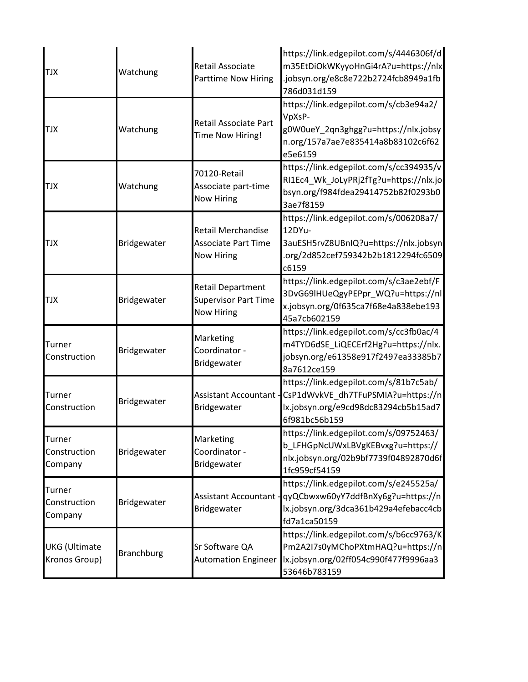| <b>TJX</b>                            | Watchung          | <b>Retail Associate</b><br>Parttime Now Hiring                               | https://link.edgepilot.com/s/4446306f/d<br>m35EtDiOkWKyyoHnGi4rA?u=https://nlx<br>jobsyn.org/e8c8e722b2724fcb8949a1fb<br>786d031d159                         |
|---------------------------------------|-------------------|------------------------------------------------------------------------------|--------------------------------------------------------------------------------------------------------------------------------------------------------------|
| <b>TJX</b>                            | Watchung          | Retail Associate Part<br>Time Now Hiring!                                    | https://link.edgepilot.com/s/cb3e94a2/<br>VpXsP-<br>g0W0ueY_2qn3ghgg?u=https://nlx.jobsy<br>n.org/157a7ae7e835414a8b83102c6f62<br>e5e6159                    |
| <b>TJX</b>                            | Watchung          | 70120-Retail<br>Associate part-time<br><b>Now Hiring</b>                     | https://link.edgepilot.com/s/cc394935/v<br>RI1Ec4_Wk_JoLyPRj2fTg?u=https://nlx.jo<br>bsyn.org/f984fdea29414752b82f0293b0<br>3ae7f8159                        |
| <b>TJX</b>                            | Bridgewater       | <b>Retail Merchandise</b><br><b>Associate Part Time</b><br><b>Now Hiring</b> | https://link.edgepilot.com/s/006208a7/<br>12DYu-<br>3auESH5rvZ8UBnIQ?u=https://nlx.jobsyn<br>.org/2d852cef759342b2b1812294fc6509<br>c6159                    |
| <b>TJX</b>                            | Bridgewater       | <b>Retail Department</b><br><b>Supervisor Part Time</b><br><b>Now Hiring</b> | https://link.edgepilot.com/s/c3ae2ebf/F<br>3DvG69lHUeQgyPEPpr_WQ?u=https://nl<br>x.jobsyn.org/0f635ca7f68e4a838ebe193<br>45a7cb602159                        |
| Turner<br>Construction                | Bridgewater       | Marketing<br>Coordinator -<br>Bridgewater                                    | https://link.edgepilot.com/s/cc3fb0ac/4<br>m4TYD6dSE_LiQECErf2Hg?u=https://nlx.<br>jobsyn.org/e61358e917f2497ea33385b7<br>8a7612ce159                        |
| Turner<br>Construction                | Bridgewater       | Bridgewater                                                                  | https://link.edgepilot.com/s/81b7c5ab/<br>Assistant Accountant - CsP1dWvkVE_dh7TFuPSMIA?u=https://n<br>lx.jobsyn.org/e9cd98dc83294cb5b15ad7<br>6f981bc56b159 |
| Turner<br>Construction<br>Company     | Bridgewater       | Marketing<br>Coordinator -<br>Bridgewater                                    | https://link.edgepilot.com/s/09752463/<br>b LFHGpNcUWxLBVgKEBvxg?u=https://<br>nlx.jobsyn.org/02b9bf7739f04892870d6f<br>1fc959cf54159                        |
| Turner<br>Construction<br>Company     | Bridgewater       | Bridgewater                                                                  | https://link.edgepilot.com/s/e245525a/<br>Assistant Accountant - qyQCbwxw60yY7ddfBnXy6g?u=https://n<br>lx.jobsyn.org/3dca361b429a4efebacc4cb<br>fd7a1ca50159 |
| <b>UKG</b> (Ultimate<br>Kronos Group) | <b>Branchburg</b> | Sr Software QA<br><b>Automation Engineer</b>                                 | https://link.edgepilot.com/s/b6cc9763/K<br>Pm2A2I7s0yMChoPXtmHAQ?u=https://n<br>lx.jobsyn.org/02ff054c990f477f9996aa3<br>53646b783159                        |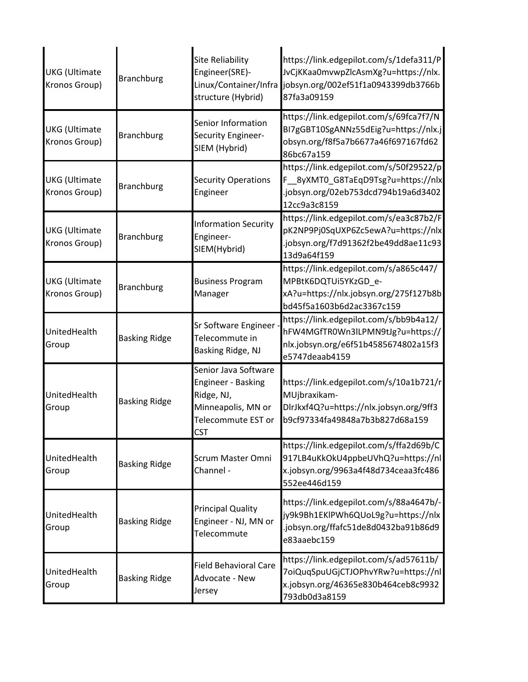| <b>UKG</b> (Ultimate<br>Kronos Group) | <b>Branchburg</b>    | <b>Site Reliability</b><br>Engineer(SRE)-<br>structure (Hybrid)                                                    | https://link.edgepilot.com/s/1defa311/P<br>JvCjKKaa0mvwpZlcAsmXg?u=https://nlx.<br>Linux/Container/Infra jobsyn.org/002ef51f1a0943399db3766b<br>87fa3a09159 |
|---------------------------------------|----------------------|--------------------------------------------------------------------------------------------------------------------|-------------------------------------------------------------------------------------------------------------------------------------------------------------|
| <b>UKG</b> (Ultimate<br>Kronos Group) | <b>Branchburg</b>    | Senior Information<br>Security Engineer-<br>SIEM (Hybrid)                                                          | https://link.edgepilot.com/s/69fca7f7/N<br>BI7gGBT10SgANNz55dEig?u=https://nlx.j<br>obsyn.org/f8f5a7b6677a46f697167fd62<br>86bc67a159                       |
| <b>UKG</b> (Ultimate<br>Kronos Group) | <b>Branchburg</b>    | <b>Security Operations</b><br>Engineer                                                                             | https://link.edgepilot.com/s/50f29522/p<br>F __ 8yXMT0_G8TaEqD9Tsg?u=https://nlx<br>.jobsyn.org/02eb753dcd794b19a6d3402<br>12cc9a3c8159                     |
| <b>UKG</b> (Ultimate<br>Kronos Group) | <b>Branchburg</b>    | <b>Information Security</b><br>Engineer-<br>SIEM(Hybrid)                                                           | https://link.edgepilot.com/s/ea3c87b2/F<br>pK2NP9Pj0SqUXP6Zc5ewA?u=https://nlx<br>.jobsyn.org/f7d91362f2be49dd8ae11c93<br>13d9a64f159                       |
| <b>UKG</b> (Ultimate<br>Kronos Group) | <b>Branchburg</b>    | <b>Business Program</b><br>Manager                                                                                 | https://link.edgepilot.com/s/a865c447/<br>MPBtK6DQTUi5YKzGD e-<br>xA?u=https://nlx.jobsyn.org/275f127b8b<br>bd45f5a1603b6d2ac3367c159                       |
| UnitedHealth<br>Group                 | <b>Basking Ridge</b> | Sr Software Engineer -<br>Telecommute in<br>Basking Ridge, NJ                                                      | https://link.edgepilot.com/s/bb9b4a12/<br>hFW4MGfTR0Wn3lLPMN9tJg?u=https://<br>nlx.jobsyn.org/e6f51b4585674802a15f3<br>e5747deaab4159                       |
| UnitedHealth<br>Group                 | <b>Basking Ridge</b> | Senior Java Software<br>Engineer - Basking<br>Ridge, NJ,<br>Minneapolis, MN or<br>Telecommute EST or<br><b>CST</b> | https://link.edgepilot.com/s/10a1b721/r<br>MUjbraxikam-<br>DlrJkxf4Q?u=https://nlx.jobsyn.org/9ff3<br>b9cf97334fa49848a7b3b827d68a159                       |
| UnitedHealth<br>Group                 | <b>Basking Ridge</b> | <b>Scrum Master Omni</b><br>Channel -                                                                              | https://link.edgepilot.com/s/ffa2d69b/C<br>917LB4uKkOkU4ppbeUVhQ?u=https://nl<br>x.jobsyn.org/9963a4f48d734ceaa3fc486<br>552ee446d159                       |
| UnitedHealth<br>Group                 | <b>Basking Ridge</b> | <b>Principal Quality</b><br>Engineer - NJ, MN or<br>Telecommute                                                    | https://link.edgepilot.com/s/88a4647b/-<br>jy9k9Bh1EKlPWh6QUoL9g?u=https://nlx<br>.jobsyn.org/ffafc51de8d0432ba91b86d9<br>e83aaebc159                       |
| UnitedHealth<br>Group                 | <b>Basking Ridge</b> | <b>Field Behavioral Care</b><br>Advocate - New<br>Jersey                                                           | https://link.edgepilot.com/s/ad57611b/<br>7oiQuqSpuUGjCTJOPhvYRw?u=https://nl<br>x.jobsyn.org/46365e830b464ceb8c9932<br>793db0d3a8159                       |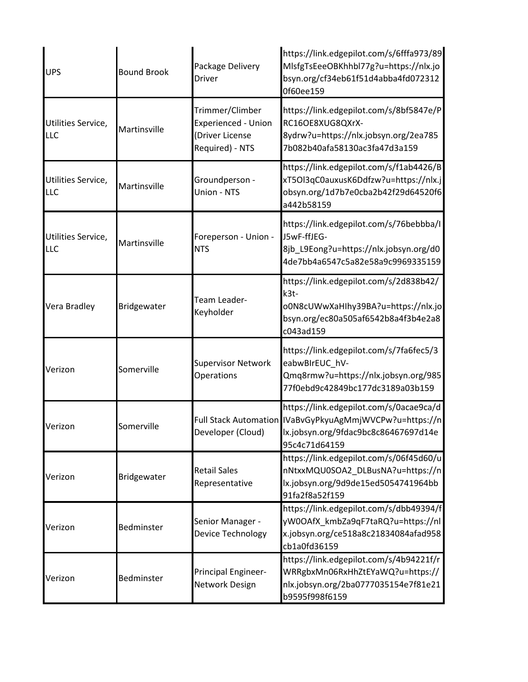| <b>UPS</b>                | <b>Bound Brook</b> | Package Delivery<br><b>Driver</b>                                                   | https://link.edgepilot.com/s/6fffa973/89<br>MlsfgTsEeeOBKhhbl77g?u=https://nlx.jo<br>bsyn.org/cf34eb61f51d4abba4fd072312<br>0f60ee159                       |
|---------------------------|--------------------|-------------------------------------------------------------------------------------|-------------------------------------------------------------------------------------------------------------------------------------------------------------|
| Utilities Service,<br>LLC | Martinsville       | Trimmer/Climber<br><b>Experienced - Union</b><br>(Driver License<br>Required) - NTS | https://link.edgepilot.com/s/8bf5847e/P<br>RC16OE8XUG8QXrX-<br>8ydrw?u=https://nlx.jobsyn.org/2ea785<br>7b082b40afa58130ac3fa47d3a159                       |
| Utilities Service,<br>LLC | Martinsville       | Groundperson -<br>Union - NTS                                                       | https://link.edgepilot.com/s/f1ab4426/B<br>xT5Ol3qC0auxusK6Ddfzw?u=https://nlx.j<br>obsyn.org/1d7b7e0cba2b42f29d64520f6<br>a442b58159                       |
| Utilities Service,<br>LLC | Martinsville       | Foreperson - Union -<br><b>NTS</b>                                                  | https://link.edgepilot.com/s/76bebbba/l<br>J5wF-ffJEG-<br>8jb_L9Eong?u=https://nlx.jobsyn.org/d0<br>4de7bb4a6547c5a82e58a9c9969335159                       |
| Vera Bradley              | Bridgewater        | Team Leader-<br>Keyholder                                                           | https://link.edgepilot.com/s/2d838b42/<br>k3t-<br>o0N8cUWwXaHIhy39BA?u=https://nlx.jo<br>bsyn.org/ec80a505af6542b8a4f3b4e2a8<br>c043ad159                   |
| Verizon                   | Somerville         | <b>Supervisor Network</b><br>Operations                                             | https://link.edgepilot.com/s/7fa6fec5/3<br>eabwBIrEUC_hV-<br>Qmq8rmw?u=https://nlx.jobsyn.org/985<br>77f0ebd9c42849bc177dc3189a03b159                       |
| Verizon                   | Somerville         | Developer (Cloud)                                                                   | https://link.edgepilot.com/s/0acae9ca/d<br>Full Stack Automation IVaBvGyPkyuAgMmjWVCPw?u=https://n<br>lx.jobsyn.org/9fdac9bc8c86467697d14e<br>95c4c71d64159 |
| Verizon                   | Bridgewater        | <b>Retail Sales</b><br>Representative                                               | https://link.edgepilot.com/s/06f45d60/u<br>nNtxxMQU0SOA2_DLBusNA?u=https://n<br>lx.jobsyn.org/9d9de15ed5054741964bb<br>91fa2f8a52f159                       |
| Verizon                   | Bedminster         | Senior Manager -<br>Device Technology                                               | https://link.edgepilot.com/s/dbb49394/f<br>yW0OAfX_kmbZa9qF7taRQ?u=https://nl<br>x.jobsyn.org/ce518a8c21834084afad958<br>cb1a0fd36159                       |
| Verizon                   | Bedminster         | Principal Engineer-<br>Network Design                                               | https://link.edgepilot.com/s/4b94221f/r<br>WRRgbxMn06RxHhZtEYaWQ?u=https://<br>nlx.jobsyn.org/2ba0777035154e7f81e21<br>b9595f998f6159                       |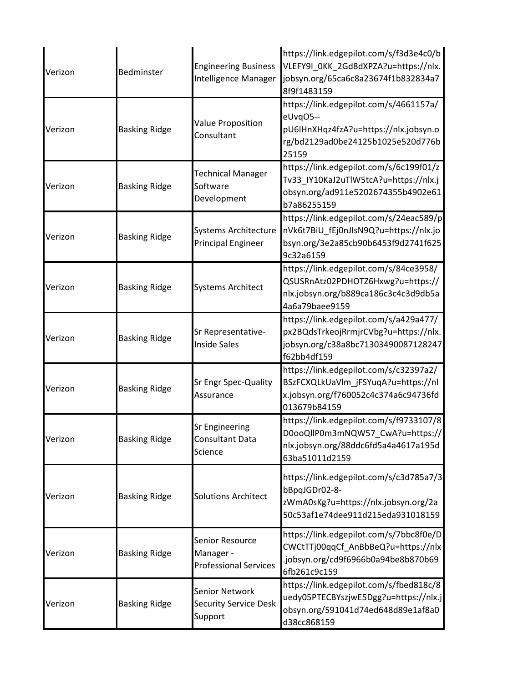| Verizon | Bedminster           | <b>Engineering Business</b><br>Intelligence Manager          | https://link.edgepilot.com/s/f3d3e4c0/b<br>VLEFY9l_0KK_2Gd8dXPZA?u=https://nlx.<br>jobsyn.org/65ca6c8a23674f1b832834a7<br>8f9f1483159     |
|---------|----------------------|--------------------------------------------------------------|-------------------------------------------------------------------------------------------------------------------------------------------|
| Verizon | <b>Basking Ridge</b> | <b>Value Proposition</b><br>Consultant                       | https://link.edgepilot.com/s/4661157a/<br>eUvqO5--<br>pU6IHnXHqz4fzA?u=https://nlx.jobsyn.o<br>rg/bd2129ad0be24125b1025e520d776b<br>25159 |
| Verizon | <b>Basking Ridge</b> | <b>Technical Manager</b><br>Software<br>Development          | https://link.edgepilot.com/s/6c199f01/z<br>Tv33_IY10KaJ2uTlW5tcA?u=https://nlx.j<br>obsyn.org/ad911e5202674355b4902e61<br>b7a86255159     |
| Verizon | <b>Basking Ridge</b> | <b>Systems Architecture</b><br><b>Principal Engineer</b>     | https://link.edgepilot.com/s/24eac589/p<br>nVk6t7BiU_fEj0nJIsN9Q?u=https://nlx.jo<br>bsyn.org/3e2a85cb90b6453f9d2741f625<br>9c32a6159     |
| Verizon | <b>Basking Ridge</b> | <b>Systems Architect</b>                                     | https://link.edgepilot.com/s/84ce3958/<br>QSUSRnAtz02PDHOTZ6Hxwg?u=https://<br>nlx.jobsyn.org/b889ca186c3c4c3d9db5a<br>4a6a79baee9159     |
| Verizon | <b>Basking Ridge</b> | Sr Representative-<br><b>Inside Sales</b>                    | https://link.edgepilot.com/s/a429a477/<br>px2BQdsTrkeojRrmjrCVbg?u=https://nlx.<br>jobsyn.org/c38a8bc71303490087128247<br>f62bb4df159     |
| Verizon | <b>Basking Ridge</b> | Sr Engr Spec-Quality<br>Assurance                            | https://link.edgepilot.com/s/c32397a2/<br>BSzFCXQLkUaVlm_jFSYuqA?u=https://nl<br>x.jobsyn.org/f760052c4c374a6c94736fd<br>013679b84159     |
| Verizon | <b>Basking Ridge</b> | <b>Sr Engineering</b><br>Consultant Data<br>Science          | https://link.edgepilot.com/s/f9733107/8<br>D0ooQllP0m3mNQW57_CwA?u=https://<br>nlx.jobsyn.org/88ddc6fd5a4a4617a195d<br>63ba51011d2159     |
| Verizon | <b>Basking Ridge</b> | <b>Solutions Architect</b>                                   | https://link.edgepilot.com/s/c3d785a7/3<br>bBpqJGDr02-8-<br>zWmA0sKg?u=https://nlx.jobsyn.org/2a<br>50c53af1e74dee911d215eda931018159     |
| Verizon | <b>Basking Ridge</b> | Senior Resource<br>Manager -<br><b>Professional Services</b> | https://link.edgepilot.com/s/7bbc8f0e/D<br>CWCtTTj00qqCf_AnBbBeQ?u=https://nlx<br>.jobsyn.org/cd9f6966b0a94be8b870b69<br>6fb261c9c159     |
| Verizon | <b>Basking Ridge</b> | Senior Network<br><b>Security Service Desk</b><br>Support    | https://link.edgepilot.com/s/fbed818c/8<br>uedy05PTECBYszjwE5Dgg?u=https://nlx.j<br>obsyn.org/591041d74ed648d89e1af8a0<br>d38cc868159     |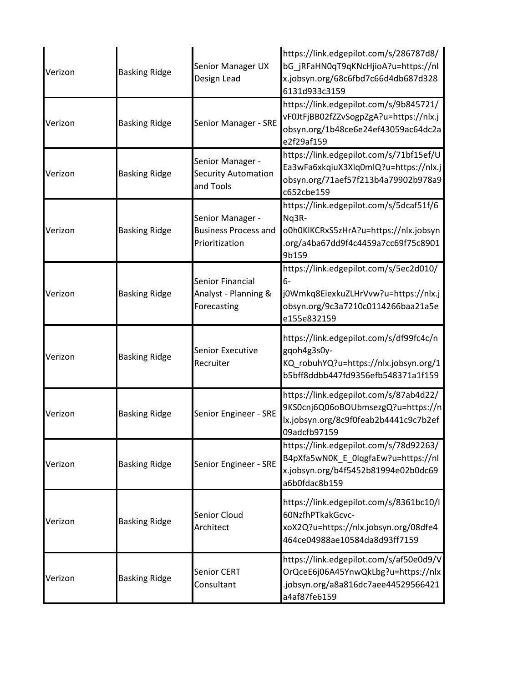| Verizon | <b>Basking Ridge</b> | Senior Manager UX<br>Design Lead                                  | https://link.edgepilot.com/s/286787d8/<br>bG_jRFaHN0qT9qKNcHjioA?u=https://nl<br>x.jobsyn.org/68c6fbd7c66d4db687d328<br>6131d933c3159       |
|---------|----------------------|-------------------------------------------------------------------|---------------------------------------------------------------------------------------------------------------------------------------------|
| Verizon | <b>Basking Ridge</b> | Senior Manager - SRE                                              | https://link.edgepilot.com/s/9b845721/<br>vF0JtFjBB02fZZvSogpZgA?u=https://nlx.j<br>obsyn.org/1b48ce6e24ef43059ac64dc2a<br>e2f29af159       |
| Verizon | <b>Basking Ridge</b> | Senior Manager -<br><b>Security Automation</b><br>and Tools       | https://link.edgepilot.com/s/71bf15ef/U<br>Ea3wFa6xkqiuX3Xlq0mlQ?u=https://nlx.j<br>obsyn.org/71aef57f213b4a79902b978a9<br>c652cbe159       |
| Verizon | <b>Basking Ridge</b> | Senior Manager -<br><b>Business Process and</b><br>Prioritization | https://link.edgepilot.com/s/5dcaf51f/6<br>Nq3R-<br>o0h0KlKCRxS5zHrA?u=https://nlx.jobsyn<br>.org/a4ba67dd9f4c4459a7cc69f75c8901<br>9b159   |
| Verizon | <b>Basking Ridge</b> | Senior Financial<br>Analyst - Planning &<br>Forecasting           | https://link.edgepilot.com/s/5ec2d010/<br>$6-$<br>j0Wmkq8EiexkuZLHrVvw?u=https://nlx.j<br>obsyn.org/9c3a7210c0114266baa21a5e<br>e155e832159 |
| Verizon | <b>Basking Ridge</b> | <b>Senior Executive</b><br>Recruiter                              | https://link.edgepilot.com/s/df99fc4c/n<br>gqoh4g3s0y-<br>KQ_robuhYQ?u=https://nlx.jobsyn.org/1<br>b5bff8ddbb447fd9356efb548371a1f159       |
| Verizon | <b>Basking Ridge</b> | Senior Engineer - SRE                                             | https://link.edgepilot.com/s/87ab4d22/<br>9KS0cnj6Q06oBOUbmsezgQ?u=https://n<br>lx.jobsyn.org/8c9f0feab2b4441c9c7b2ef<br>09adcfb97159       |
| Verizon | <b>Basking Ridge</b> | Senior Engineer - SRE                                             | https://link.edgepilot.com/s/78d92263/<br>B4pXfa5wN0K_E_0lqgfaEw?u=https://nl<br>x.jobsyn.org/b4f5452b81994e02b0dc69<br>a6b0fdac8b159       |
| Verizon | <b>Basking Ridge</b> | Senior Cloud<br>Architect                                         | https://link.edgepilot.com/s/8361bc10/l<br>60NzfhPTkakGcvc-<br>xoX2Q?u=https://nlx.jobsyn.org/08dfe4<br>464ce04988ae10584da8d93ff7159       |
| Verizon | <b>Basking Ridge</b> | Senior CERT<br>Consultant                                         | https://link.edgepilot.com/s/af50e0d9/V<br>OrQceE6j06A45YnwQkLbg?u=https://nlx<br>.jobsyn.org/a8a816dc7aee44529566421<br>a4af87fe6159       |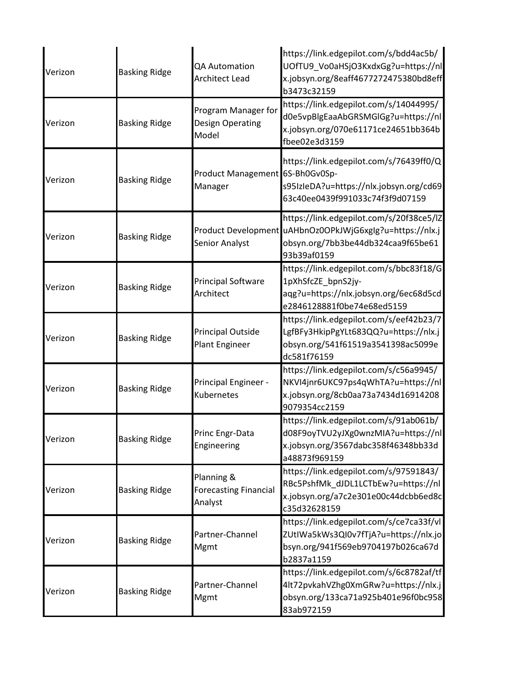| Verizon | <b>Basking Ridge</b> | QA Automation<br><b>Architect Lead</b>                  | https://link.edgepilot.com/s/bdd4ac5b/<br>UOfTU9 Vo0aHSjO3KxdxGg?u=https://nl<br>x.jobsyn.org/8eaff4677272475380bd8eff<br>b3473c32159                     |
|---------|----------------------|---------------------------------------------------------|-----------------------------------------------------------------------------------------------------------------------------------------------------------|
| Verizon | <b>Basking Ridge</b> | Program Manager for<br><b>Design Operating</b><br>Model | https://link.edgepilot.com/s/14044995/<br>d0e5vpBlgEaaAbGRSMGlGg?u=https://nl<br>x.jobsyn.org/070e61171ce24651bb364b<br>fbee02e3d3159                     |
| Verizon | <b>Basking Ridge</b> | Product Management 6S-Bh0Gv0Sp-<br>Manager              | https://link.edgepilot.com/s/76439ff0/Q<br>s95IzIeDA?u=https://nlx.jobsyn.org/cd69<br>63c40ee0439f991033c74f3f9d07159                                     |
| Verizon | <b>Basking Ridge</b> | <b>Senior Analyst</b>                                   | https://link.edgepilot.com/s/20f38ce5/IZ<br>Product Development uAHbnOz0OPkJWjG6xglg?u=https://nlx.j<br>obsyn.org/7bb3be44db324caa9f65be61<br>93b39af0159 |
| Verizon | <b>Basking Ridge</b> | <b>Principal Software</b><br>Architect                  | https://link.edgepilot.com/s/bbc83f18/G<br>1pXhSfcZE_bpnS2jy-<br>aqg?u=https://nlx.jobsyn.org/6ec68d5cd<br>e2846128881f0be74e68ed5159                     |
| Verizon | <b>Basking Ridge</b> | Principal Outside<br>Plant Engineer                     | https://link.edgepilot.com/s/eef42b23/7<br>LgfBFy3HkipPgYLt683QQ?u=https://nlx.j<br>obsyn.org/541f61519a3541398ac5099e<br>dc581f76159                     |
| Verizon | <b>Basking Ridge</b> | Principal Engineer -<br>Kubernetes                      | https://link.edgepilot.com/s/c56a9945/<br>NKVI4jnr6UKC97ps4qWhTA?u=https://nl<br>x.jobsyn.org/8cb0aa73a7434d16914208<br>9079354cc2159                     |
| Verizon | <b>Basking Ridge</b> | Princ Engr-Data<br>Engineering                          | https://link.edgepilot.com/s/91ab061b/<br>d08F9oyTVU2yJXg0wnzMIA?u=https://nl<br>x.jobsyn.org/3567dabc358f46348bb33d<br>a48873f969159                     |
| Verizon | <b>Basking Ridge</b> | Planning &<br><b>Forecasting Financial</b><br>Analyst   | https://link.edgepilot.com/s/97591843/<br>RBc5PshfMk dJDL1LCTbEw?u=https://nl<br>x.jobsyn.org/a7c2e301e00c44dcbb6ed8c<br>c35d32628159                     |
| Verizon | <b>Basking Ridge</b> | Partner-Channel<br>Mgmt                                 | https://link.edgepilot.com/s/ce7ca33f/vl<br>ZUtIWa5kWs3QI0v7fTjA?u=https://nlx.jo<br>bsyn.org/941f569eb9704197b026ca67d<br>b2837a1159                     |
| Verizon | <b>Basking Ridge</b> | Partner-Channel<br>Mgmt                                 | https://link.edgepilot.com/s/6c8782af/tf<br>4lt72pvkahVZhg0XmGRw?u=https://nlx.j<br>obsyn.org/133ca71a925b401e96f0bc958<br>83ab972159                     |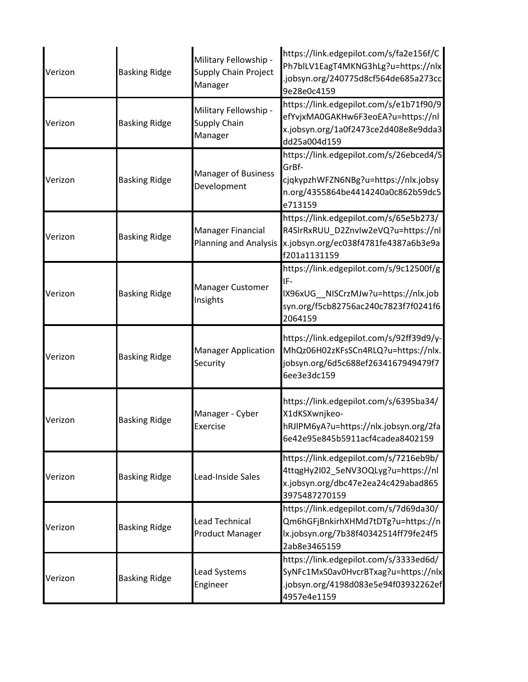| Verizon | <b>Basking Ridge</b> | Military Fellowship -<br><b>Supply Chain Project</b><br>Manager | https://link.edgepilot.com/s/fa2e156f/C<br>Ph7blLV1EagT4MKNG3hLg?u=https://nlx<br>.jobsyn.org/240775d8cf564de685a273cc<br>9e28e0c4159     |
|---------|----------------------|-----------------------------------------------------------------|-------------------------------------------------------------------------------------------------------------------------------------------|
| Verizon | <b>Basking Ridge</b> | Military Fellowship -<br>Supply Chain<br>Manager                | https://link.edgepilot.com/s/e1b71f90/9<br>efYvjxMA0GAKHw6F3eoEA?u=https://nl<br>x.jobsyn.org/1a0f2473ce2d408e8e9dda3<br>dd25a004d159     |
| Verizon | <b>Basking Ridge</b> | <b>Manager of Business</b><br>Development                       | https://link.edgepilot.com/s/26ebced4/S<br>GrBf-<br>cjqkypzhWFZN6NBg?u=https://nlx.jobsy<br>n.org/4355864be4414240a0c862b59dc5<br>e713159 |
| Verizon | <b>Basking Ridge</b> | Manager Financial<br><b>Planning and Analysis</b>               | https://link.edgepilot.com/s/65e5b273/<br>R4SIrRxRUU D2ZnvIw2eVQ?u=https://nl<br>x.jobsyn.org/ec038f4781fe4387a6b3e9a<br>f201a1131159     |
| Verizon | <b>Basking Ridge</b> | Manager Customer<br>Insights                                    | https://link.edgepilot.com/s/9c12500f/g<br>IF-<br>IX96xUG__NISCrzMJw?u=https://nlx.job<br>syn.org/f5cb82756ac240c7823f7f0241f6<br>2064159 |
| Verizon | <b>Basking Ridge</b> | <b>Manager Application</b><br>Security                          | https://link.edgepilot.com/s/92ff39d9/y-<br>MhQz06H02zKFsSCn4RLQ?u=https://nlx.<br>jobsyn.org/6d5c688ef2634167949479f7<br>6ee3e3dc159     |
| Verizon | <b>Basking Ridge</b> | Manager - Cyber<br>Exercise                                     | https://link.edgepilot.com/s/6395ba34/<br>X1dKSXwnjkeo-<br>hRJlPM6yA?u=https://nlx.jobsyn.org/2fa<br>6e42e95e845b5911acf4cadea8402159     |
| Verizon | <b>Basking Ridge</b> | Lead-Inside Sales                                               | https://link.edgepilot.com/s/7216eb9b/<br>4ttqgHy2I02_5eNV3OQLyg?u=https://nl<br>x.jobsyn.org/dbc47e2ea24c429abad865<br>3975487270159     |
| Verizon | <b>Basking Ridge</b> | <b>Lead Technical</b><br><b>Product Manager</b>                 | https://link.edgepilot.com/s/7d69da30/<br>Qm6hGFjBnkirhXHMd7tDTg?u=https://n<br>lx.jobsyn.org/7b38f40342514ff79fe24f5<br>2ab8e3465159     |
| Verizon | <b>Basking Ridge</b> | Lead Systems<br>Engineer                                        | https://link.edgepilot.com/s/3333ed6d/<br>SyNFc1MxS0av0HvcrBTxag?u=https://nlx<br>.jobsyn.org/4198d083e5e94f03932262ef<br>4957e4e1159     |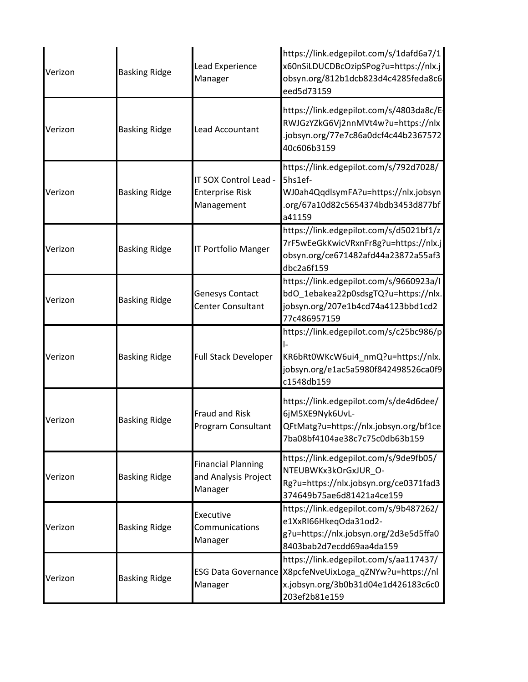| Verizon | <b>Basking Ridge</b> | Lead Experience<br>Manager                                    | https://link.edgepilot.com/s/1dafd6a7/1<br>x60nSiLDUCDBcOzipSPog?u=https://nlx.j<br>obsyn.org/812b1dcb823d4c4285feda8c6<br>eed5d73159                     |
|---------|----------------------|---------------------------------------------------------------|-----------------------------------------------------------------------------------------------------------------------------------------------------------|
| Verizon | <b>Basking Ridge</b> | Lead Accountant                                               | https://link.edgepilot.com/s/4803da8c/E<br>RWJGzYZkG6Vj2nnMVt4w?u=https://nlx<br>.jobsyn.org/77e7c86a0dcf4c44b2367572<br>40c606b3159                      |
| Verizon | <b>Basking Ridge</b> | IT SOX Control Lead -<br><b>Enterprise Risk</b><br>Management | https://link.edgepilot.com/s/792d7028/<br>5hs1ef-<br>WJ0ah4QqdlsymFA?u=https://nlx.jobsyn<br>.org/67a10d82c5654374bdb3453d877bf<br>a41159                 |
| Verizon | <b>Basking Ridge</b> | <b>IT Portfolio Manger</b>                                    | https://link.edgepilot.com/s/d5021bf1/z<br>7rF5wEeGkKwicVRxnFr8g?u=https://nlx.j<br>obsyn.org/ce671482afd44a23872a55af3<br>dbc2a6f159                     |
| Verizon | <b>Basking Ridge</b> | Genesys Contact<br>Center Consultant                          | https://link.edgepilot.com/s/9660923a/I<br>bdO_1ebakea22p0sdsgTQ?u=https://nlx.<br>jobsyn.org/207e1b4cd74a4123bbd1cd2<br>77c486957159                     |
| Verizon | <b>Basking Ridge</b> | <b>Full Stack Developer</b>                                   | https://link.edgepilot.com/s/c25bc986/p<br>KR6bRt0WKcW6ui4_nmQ?u=https://nlx.<br>jobsyn.org/e1ac5a5980f842498526ca0f9<br>c1548db159                       |
| Verizon | <b>Basking Ridge</b> | <b>Fraud and Risk</b><br>Program Consultant                   | https://link.edgepilot.com/s/de4d6dee/<br>6jM5XE9Nyk6UvL-<br>QFtMatg?u=https://nlx.jobsyn.org/bf1ce<br>7ba08bf4104ae38c7c75c0db63b159                     |
| Verizon | <b>Basking Ridge</b> | <b>Financial Planning</b><br>and Analysis Project<br>Manager  | https://link.edgepilot.com/s/9de9fb05/<br>NTEUBWKx3kOrGxJUR O-<br>Rg?u=https://nlx.jobsyn.org/ce0371fad3<br>374649b75ae6d81421a4ce159                     |
| Verizon | <b>Basking Ridge</b> | Executive<br>Communications<br>Manager                        | https://link.edgepilot.com/s/9b487262/<br>e1XxRI66HkeqOda31od2-<br>g?u=https://nlx.jobsyn.org/2d3e5d5ffa0<br>8403bab2d7ecdd69aa4da159                     |
| Verizon | <b>Basking Ridge</b> | Manager                                                       | https://link.edgepilot.com/s/aa117437/<br>ESG Data Governance X8pcfeNveUixLoga_qZNYw?u=https://nl<br>x.jobsyn.org/3b0b31d04e1d426183c6c0<br>203ef2b81e159 |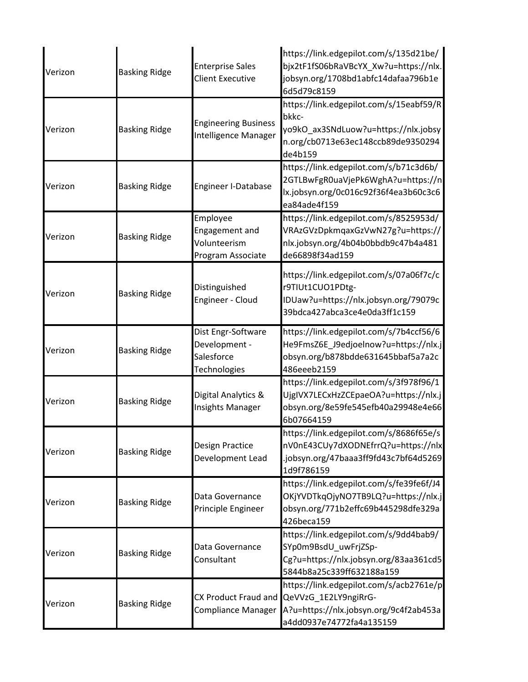| Verizon | <b>Basking Ridge</b> | <b>Enterprise Sales</b><br><b>Client Executive</b>                | https://link.edgepilot.com/s/135d21be/<br>bjx2tF1fS06bRaVBcYX_Xw?u=https://nlx.<br>jobsyn.org/1708bd1abfc14dafaa796b1e<br>6d5d79c8159                      |
|---------|----------------------|-------------------------------------------------------------------|------------------------------------------------------------------------------------------------------------------------------------------------------------|
| Verizon | <b>Basking Ridge</b> | <b>Engineering Business</b><br>Intelligence Manager               | https://link.edgepilot.com/s/15eabf59/R<br>bkkc-<br>yo9kO_ax3SNdLuow?u=https://nlx.jobsy<br>n.org/cb0713e63ec148ccb89de9350294<br>de4b159                  |
| Verizon | <b>Basking Ridge</b> | Engineer I-Database                                               | https://link.edgepilot.com/s/b71c3d6b/<br>2GTLBwFgR0uaVjePk6WghA?u=https://n<br>lx.jobsyn.org/0c016c92f36f4ea3b60c3c6<br>ea84ade4f159                      |
| Verizon | <b>Basking Ridge</b> | Employee<br>Engagement and<br>Volunteerism<br>Program Associate   | https://link.edgepilot.com/s/8525953d/<br>VRAzGVzDpkmqaxGzVwN27g?u=https://<br>nlx.jobsyn.org/4b04b0bbdb9c47b4a481<br>de66898f34ad159                      |
| Verizon | <b>Basking Ridge</b> | Distinguished<br>Engineer - Cloud                                 | https://link.edgepilot.com/s/07a06f7c/c<br>r9TIUt1CUO1PDtg-<br>IDUaw?u=https://nlx.jobsyn.org/79079c<br>39bdca427abca3ce4e0da3ff1c159                      |
| Verizon | <b>Basking Ridge</b> | Dist Engr-Software<br>Development -<br>Salesforce<br>Technologies | https://link.edgepilot.com/s/7b4ccf56/6<br>He9FmsZ6E_J9edjoelnow?u=https://nlx.j <br>obsyn.org/b878bdde631645bbaf5a7a2c<br>486eeeb2159                     |
| Verizon | <b>Basking Ridge</b> | Digital Analytics &<br><b>Insights Manager</b>                    | https://link.edgepilot.com/s/3f978f96/1<br>UjgIVX7LECxHzZCEpaeOA?u=https://nlx.j <br>obsyn.org/8e59fe545efb40a29948e4e66<br>6b07664159                     |
| Verizon | <b>Basking Ridge</b> | Design Practice<br>Development Lead                               | https://link.edgepilot.com/s/8686f65e/s<br>nV0nE43CUy7dXODNEfrrQ?u=https://nlx<br>.jobsyn.org/47baaa3ff9fd43c7bf64d5269<br>1d9f786159                      |
| Verizon | <b>Basking Ridge</b> | Data Governance<br>Principle Engineer                             | https://link.edgepilot.com/s/fe39fe6f/J4<br>OKjYVDTkqOjyNO7TB9LQ?u=https://nlx.j<br>obsyn.org/771b2effc69b445298dfe329a<br>426beca159                      |
| Verizon | <b>Basking Ridge</b> | Data Governance<br>Consultant                                     | https://link.edgepilot.com/s/9dd4bab9/<br>SYp0m9BsdU_uwFrjZSp-<br>Cg?u=https://nlx.jobsyn.org/83aa361cd5<br>5844b8a25c339ff632188a159                      |
| Verizon | <b>Basking Ridge</b> | Compliance Manager                                                | https://link.edgepilot.com/s/acb2761e/p<br>CX Product Fraud and QeVVzG_1E2LY9ngiRrG-<br>A?u=https://nlx.jobsyn.org/9c4f2ab453a<br>a4dd0937e74772fa4a135159 |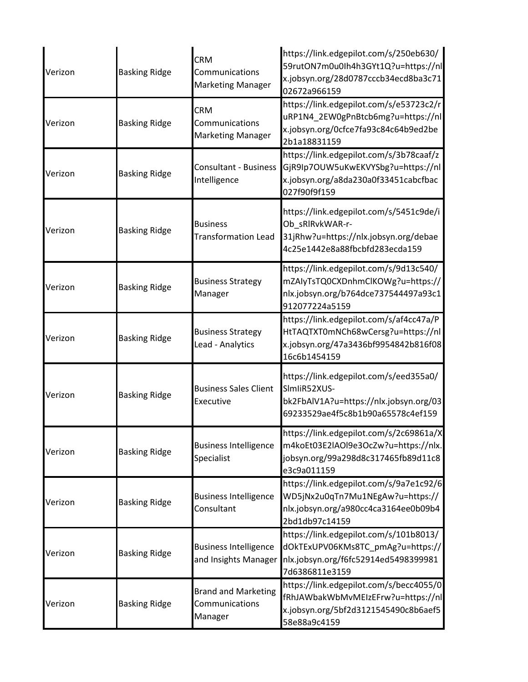| Verizon | <b>Basking Ridge</b> | <b>CRM</b><br>Communications<br><b>Marketing Manager</b> | https://link.edgepilot.com/s/250eb630/<br>59rutON7m0u0Ih4h3GYt1Q?u=https://nl<br>x.jobsyn.org/28d0787cccb34ecd8ba3c71<br>02672a966159 |
|---------|----------------------|----------------------------------------------------------|---------------------------------------------------------------------------------------------------------------------------------------|
| Verizon | <b>Basking Ridge</b> | <b>CRM</b><br>Communications<br><b>Marketing Manager</b> | https://link.edgepilot.com/s/e53723c2/r<br>uRP1N4_2EW0gPnBtcb6mg?u=https://nl<br>x.jobsyn.org/0cfce7fa93c84c64b9ed2be<br>2b1a18831159 |
| Verizon | <b>Basking Ridge</b> | <b>Consultant - Business</b><br>Intelligence             | https://link.edgepilot.com/s/3b78caaf/z<br>GjR9Ip7OUW5uKwEKVYSbg?u=https://nl<br>x.jobsyn.org/a8da230a0f33451cabcfbac<br>027f90f9f159 |
| Verizon | <b>Basking Ridge</b> | <b>Business</b><br><b>Transformation Lead</b>            | https://link.edgepilot.com/s/5451c9de/i<br>Ob_sRIRvkWAR-r-<br>31jRhw?u=https://nlx.jobsyn.org/debae<br>4c25e1442e8a88fbcbfd283ecda159 |
| Verizon | <b>Basking Ridge</b> | <b>Business Strategy</b><br>Manager                      | https://link.edgepilot.com/s/9d13c540/<br>mZAIyTsTQ0CXDnhmClKOWg?u=https://<br>nlx.jobsyn.org/b764dce737544497a93c1<br>912077224a5159 |
| Verizon | <b>Basking Ridge</b> | <b>Business Strategy</b><br>Lead - Analytics             | https://link.edgepilot.com/s/af4cc47a/P<br>HtTAQTXT0mNCh68wCersg?u=https://nl<br>x.jobsyn.org/47a3436bf9954842b816f08<br>16c6b1454159 |
| Verizon | <b>Basking Ridge</b> | <b>Business Sales Client</b><br>Executive                | https://link.edgepilot.com/s/eed355a0/<br>SlmIiR52XUS-<br>bk2FbAlV1A?u=https://nlx.jobsyn.org/03<br>69233529ae4f5c8b1b90a65578c4ef159 |
| Verizon | <b>Basking Ridge</b> | <b>Business Intelligence</b><br>Specialist               | https://link.edgepilot.com/s/2c69861a/X<br>m4koEt03E2lAOl9e3OcZw?u=https://nlx.<br>jobsyn.org/99a298d8c317465fb89d11c8<br>e3c9a011159 |
| Verizon | <b>Basking Ridge</b> | <b>Business Intelligence</b><br>Consultant               | https://link.edgepilot.com/s/9a7e1c92/6<br>WD5jNx2u0qTn7Mu1NEgAw?u=https://<br>nlx.jobsyn.org/a980cc4ca3164ee0b09b4<br>2bd1db97c14159 |
| Verizon | <b>Basking Ridge</b> | <b>Business Intelligence</b><br>and Insights Manager     | https://link.edgepilot.com/s/101b8013/<br>dOkTExUPV06KMs8TC_pmAg?u=https://<br>nlx.jobsyn.org/f6fc52914ed5498399981<br>7d6386811e3159 |
| Verizon | <b>Basking Ridge</b> | <b>Brand and Marketing</b><br>Communications<br>Manager  | https://link.edgepilot.com/s/becc4055/0<br>fRhJAWbakWbMvMEIzEFrw?u=https://nl<br>x.jobsyn.org/5bf2d3121545490c8b6aef5<br>58e88a9c4159 |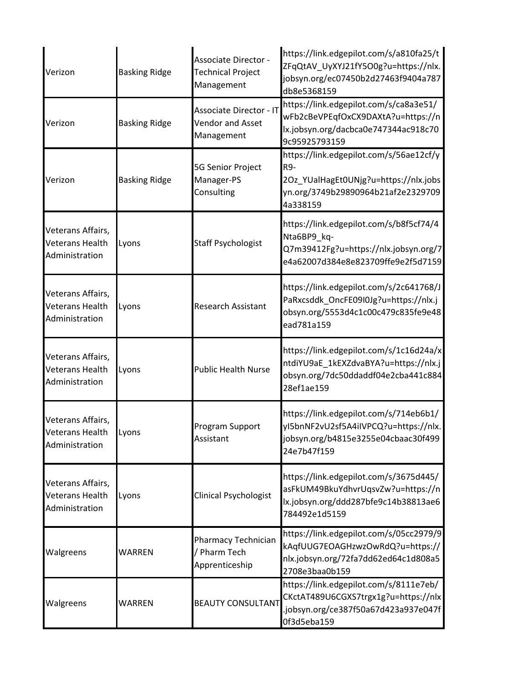| Verizon                                                | <b>Basking Ridge</b> | Associate Director -<br><b>Technical Project</b><br>Management          | https://link.edgepilot.com/s/a810fa25/t<br>ZFqQtAV_UyXYJ21fY5O0g?u=https://nlx.<br>jobsyn.org/ec07450b2d27463f9404a787<br>db8e5368159     |
|--------------------------------------------------------|----------------------|-------------------------------------------------------------------------|-------------------------------------------------------------------------------------------------------------------------------------------|
| Verizon                                                | <b>Basking Ridge</b> | <b>Associate Director - IT</b><br><b>Vendor and Asset</b><br>Management | https://link.edgepilot.com/s/ca8a3e51/<br>wFb2cBeVPEqfOxCX9DAXtA?u=https://n<br>lx.jobsyn.org/dacbca0e747344ac918c70<br>9c95925793159     |
| Verizon                                                | <b>Basking Ridge</b> | 5G Senior Project<br>Manager-PS<br>Consulting                           | https://link.edgepilot.com/s/56ae12cf/y<br>R9-<br>2Oz_YUalHagEt0UNjg?u=https://nlx.jobs<br>yn.org/3749b29890964b21af2e2329709<br>4a338159 |
| Veterans Affairs,<br>Veterans Health<br>Administration | Lyons                | <b>Staff Psychologist</b>                                               | https://link.edgepilot.com/s/b8f5cf74/4<br>Nta6BP9_kq-<br>Q7m39412Fg?u=https://nlx.jobsyn.org/7<br>e4a62007d384e8e823709ffe9e2f5d7159     |
| Veterans Affairs,<br>Veterans Health<br>Administration | Lyons                | <b>Research Assistant</b>                                               | https://link.edgepilot.com/s/2c641768/J<br>PaRxcsddk_OncFE09I0Jg?u=https://nlx.j<br>obsyn.org/5553d4c1c00c479c835fe9e48<br>ead781a159     |
| Veterans Affairs,<br>Veterans Health<br>Administration | Lyons                | <b>Public Health Nurse</b>                                              | https://link.edgepilot.com/s/1c16d24a/x<br>ntdiYU9aE_1kEXZdvaBYA?u=https://nlx.j<br>obsyn.org/7dc50ddaddf04e2cba441c884<br>28ef1ae159     |
| Veterans Affairs,<br>Veterans Health<br>Administration | Lyons                | Program Support<br>Assistant                                            | https://link.edgepilot.com/s/714eb6b1/<br>vI5bnNF2vU2sf5A4iIVPCQ?u=https://nlx.<br>jobsyn.org/b4815e3255e04cbaac30f499<br>24e7b47f159     |
| Veterans Affairs,<br>Veterans Health<br>Administration | Lyons                | Clinical Psychologist                                                   | https://link.edgepilot.com/s/3675d445/<br>asFkUM49BkuYdhvrUqsvZw?u=https://n<br>lx.jobsyn.org/ddd287bfe9c14b38813ae6<br>784492e1d5159     |
| Walgreens                                              | WARREN               | Pharmacy Technician<br>/ Pharm Tech<br>Apprenticeship                   | https://link.edgepilot.com/s/05cc2979/9<br>kAqfUUG7EOAGHzwzOwRdQ?u=https://<br>nlx.jobsyn.org/72fa7dd62ed64c1d808a5<br>2708e3baa0b159     |
| Walgreens                                              | WARREN               | <b>BEAUTY CONSULTANT</b>                                                | https://link.edgepilot.com/s/8111e7eb/<br>CKctAT489U6CGXS7trgx1g?u=https://nlx<br>.jobsyn.org/ce387f50a67d423a937e047f<br>0f3d5eba159     |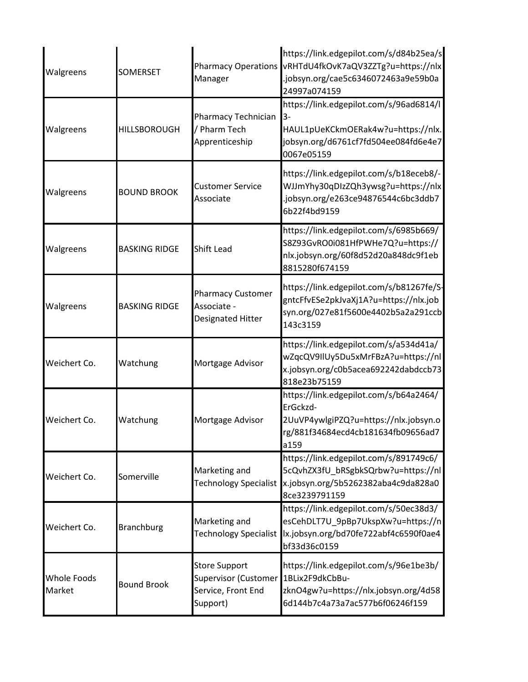| Walgreens                    | <b>SOMERSET</b>      | <b>Pharmacy Operations</b><br>Manager                                          | https://link.edgepilot.com/s/d84b25ea/s<br>vRHTdU4fkOvK7aQV3ZZTg?u=https://nlx<br>.jobsyn.org/cae5c6346072463a9e59b0a<br>24997a074159       |
|------------------------------|----------------------|--------------------------------------------------------------------------------|---------------------------------------------------------------------------------------------------------------------------------------------|
| Walgreens                    | <b>HILLSBOROUGH</b>  | Pharmacy Technician<br>/ Pharm Tech<br>Apprenticeship                          | https://link.edgepilot.com/s/96ad6814/l<br>$3-$<br>HAUL1pUeKCkmOERak4w?u=https://nlx.<br>jobsyn.org/d6761cf7fd504ee084fd6e4e7<br>0067e05159 |
| Walgreens                    | <b>BOUND BROOK</b>   | <b>Customer Service</b><br>Associate                                           | https://link.edgepilot.com/s/b18eceb8/-<br>WJJmYhy30qDIzZQh3ywsg?u=https://nlx<br>.jobsyn.org/e263ce94876544c6bc3ddb7<br>6b22f4bd9159       |
| Walgreens                    | <b>BASKING RIDGE</b> | <b>Shift Lead</b>                                                              | https://link.edgepilot.com/s/6985b669/<br>S8Z93GvRO0i081HfPWHe7Q?u=https://<br>nlx.jobsyn.org/60f8d52d20a848dc9f1eb<br>8815280f674159       |
| Walgreens                    | <b>BASKING RIDGE</b> | <b>Pharmacy Customer</b><br>Associate -<br>Designated Hitter                   | https://link.edgepilot.com/s/b81267fe/S-<br>gntcFfvESe2pkJvaXj1A?u=https://nlx.job<br>syn.org/027e81f5600e4402b5a2a291ccb<br>143c3159       |
| Weichert Co.                 | Watchung             | Mortgage Advisor                                                               | https://link.edgepilot.com/s/a534d41a/<br>wZqcQV9IIUy5Du5xMrFBzA?u=https://nl<br>x.jobsyn.org/c0b5acea692242dabdccb73<br>818e23b75159       |
| Weichert Co.                 | Watchung             | Mortgage Advisor                                                               | https://link.edgepilot.com/s/b64a2464/<br>ErGckzd-<br>2UuVP4ywlgiPZQ?u=https://nlx.jobsyn.o<br>rg/881f34684ecd4cb181634fb09656ad7<br>a159   |
| Weichert Co.                 | Somerville           | Marketing and<br><b>Technology Specialist</b>                                  | https://link.edgepilot.com/s/891749c6/<br>5cQvhZX3fU_bRSgbkSQrbw?u=https://nl<br>x.jobsyn.org/5b5262382aba4c9da828a0<br>8ce3239791159       |
| Weichert Co.                 | <b>Branchburg</b>    | Marketing and<br><b>Technology Specialist</b>                                  | https://link.edgepilot.com/s/50ec38d3/<br>esCehDLT7U_9pBp7UkspXw?u=https://n<br>lx.jobsyn.org/bd70fe722abf4c6590f0ae4<br>bf33d36c0159       |
| <b>Whole Foods</b><br>Market | <b>Bound Brook</b>   | <b>Store Support</b><br>Supervisor (Customer<br>Service, Front End<br>Support) | https://link.edgepilot.com/s/96e1be3b/<br>1BLix2F9dkCbBu-<br>zknO4gw?u=https://nlx.jobsyn.org/4d58<br>6d144b7c4a73a7ac577b6f06246f159       |